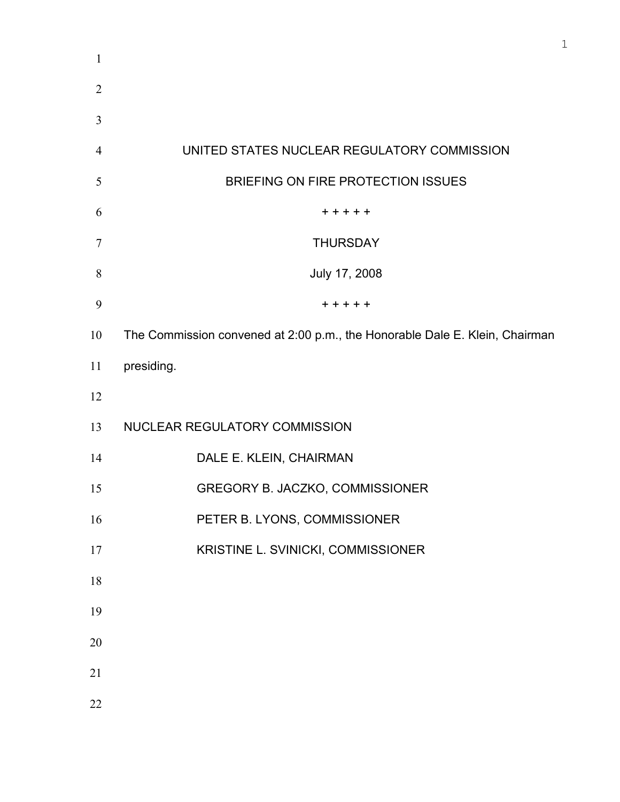| $\mathbf{1}$   |                                                                             |
|----------------|-----------------------------------------------------------------------------|
| $\overline{2}$ |                                                                             |
| 3              |                                                                             |
| $\overline{4}$ | UNITED STATES NUCLEAR REGULATORY COMMISSION                                 |
| 5              | BRIEFING ON FIRE PROTECTION ISSUES                                          |
| 6              | +++++                                                                       |
| 7              | <b>THURSDAY</b>                                                             |
| 8              | July 17, 2008                                                               |
| 9              | $+ + + + +$                                                                 |
| 10             | The Commission convened at 2:00 p.m., the Honorable Dale E. Klein, Chairman |
| 11             | presiding.                                                                  |
| 12             |                                                                             |
| 13             | NUCLEAR REGULATORY COMMISSION                                               |
| 14             | DALE E. KLEIN, CHAIRMAN                                                     |
| 15             | GREGORY B. JACZKO, COMMISSIONER                                             |
| 16             | PETER B. LYONS, COMMISSIONER                                                |
| 17             | KRISTINE L. SVINICKI, COMMISSIONER                                          |
| 18             |                                                                             |
| 19             |                                                                             |
| 20             |                                                                             |
| 21             |                                                                             |
| 22             |                                                                             |
|                |                                                                             |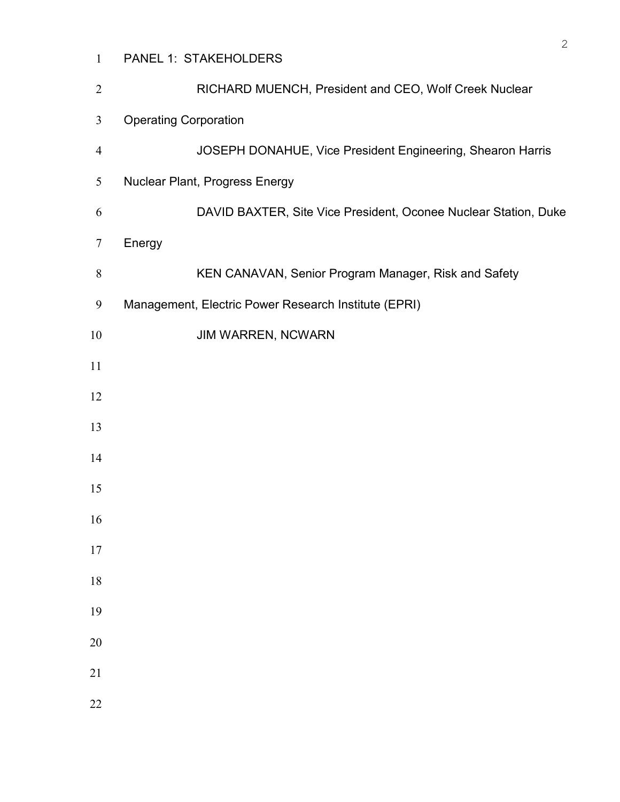| $\mathbf{1}$   | PANEL 1: STAKEHOLDERS                                           |
|----------------|-----------------------------------------------------------------|
| $\overline{2}$ | RICHARD MUENCH, President and CEO, Wolf Creek Nuclear           |
| $\overline{3}$ | <b>Operating Corporation</b>                                    |
| $\overline{4}$ | JOSEPH DONAHUE, Vice President Engineering, Shearon Harris      |
| 5              | Nuclear Plant, Progress Energy                                  |
| 6              | DAVID BAXTER, Site Vice President, Oconee Nuclear Station, Duke |
| $\tau$         | Energy                                                          |
| $8\,$          | KEN CANAVAN, Senior Program Manager, Risk and Safety            |
| 9              | Management, Electric Power Research Institute (EPRI)            |
| 10             | JIM WARREN, NCWARN                                              |
| 11             |                                                                 |
| 12             |                                                                 |
| 13             |                                                                 |
| 14             |                                                                 |
| 15             |                                                                 |
| 16             |                                                                 |
| $17\,$         |                                                                 |
| $18\,$         |                                                                 |
| 19             |                                                                 |
| $20\,$         |                                                                 |
| $21\,$         |                                                                 |
| $22\,$         |                                                                 |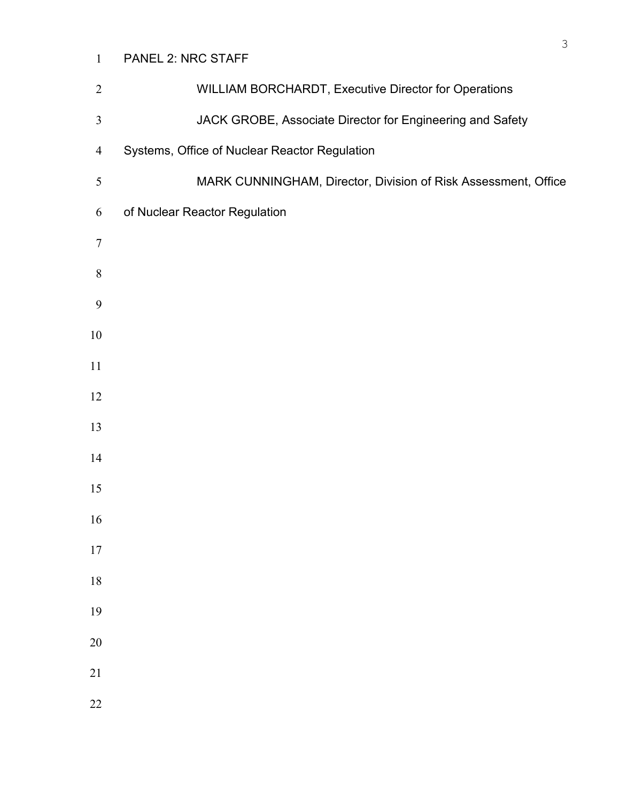## PANEL 2: NRC STAFF

| $\overline{2}$   | WILLIAM BORCHARDT, Executive Director for Operations           |
|------------------|----------------------------------------------------------------|
| $\mathfrak{Z}$   | JACK GROBE, Associate Director for Engineering and Safety      |
| $\overline{4}$   | Systems, Office of Nuclear Reactor Regulation                  |
| $\sqrt{5}$       | MARK CUNNINGHAM, Director, Division of Risk Assessment, Office |
| 6                | of Nuclear Reactor Regulation                                  |
| $\boldsymbol{7}$ |                                                                |
| $\,$ $\,$        |                                                                |
| 9                |                                                                |
| $10\,$           |                                                                |
| 11               |                                                                |
| 12               |                                                                |
| 13               |                                                                |
| 14               |                                                                |
| 15               |                                                                |
| 16               |                                                                |
| $17$             |                                                                |
| $18\,$           |                                                                |
| 19               |                                                                |
| $20\,$           |                                                                |
| $21\,$           |                                                                |
| 22               |                                                                |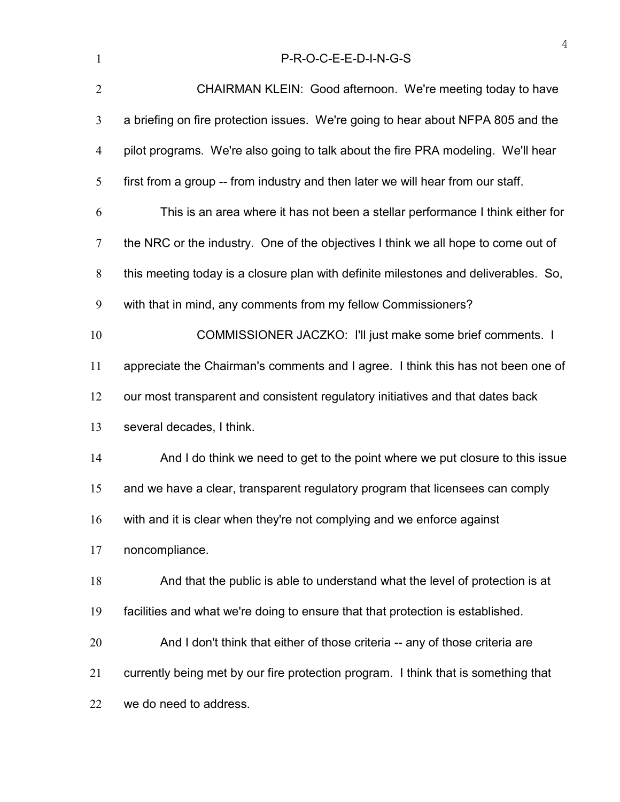| $\mathbf{1}$   | P-R-O-C-E-E-D-I-N-G-S                                                               |
|----------------|-------------------------------------------------------------------------------------|
| $\overline{2}$ | CHAIRMAN KLEIN: Good afternoon. We're meeting today to have                         |
| 3              | a briefing on fire protection issues. We're going to hear about NFPA 805 and the    |
| $\overline{4}$ | pilot programs. We're also going to talk about the fire PRA modeling. We'll hear    |
| 5              | first from a group -- from industry and then later we will hear from our staff.     |
| 6              | This is an area where it has not been a stellar performance I think either for      |
| $\tau$         | the NRC or the industry. One of the objectives I think we all hope to come out of   |
| 8              | this meeting today is a closure plan with definite milestones and deliverables. So, |
| 9              | with that in mind, any comments from my fellow Commissioners?                       |
| 10             | COMMISSIONER JACZKO: I'll just make some brief comments. I                          |
| 11             | appreciate the Chairman's comments and I agree. I think this has not been one of    |
| 12             | our most transparent and consistent regulatory initiatives and that dates back      |
| 13             | several decades, I think.                                                           |
| 14             | And I do think we need to get to the point where we put closure to this issue       |
| 15             | and we have a clear, transparent regulatory program that licensees can comply       |
| 16             | with and it is clear when they're not complying and we enforce against              |
| 17             | noncompliance.                                                                      |
| 18             | And that the public is able to understand what the level of protection is at        |
| 19             | facilities and what we're doing to ensure that that protection is established.      |
| 20             | And I don't think that either of those criteria -- any of those criteria are        |
| 21             | currently being met by our fire protection program. I think that is something that  |
| 22             | we do need to address.                                                              |
|                |                                                                                     |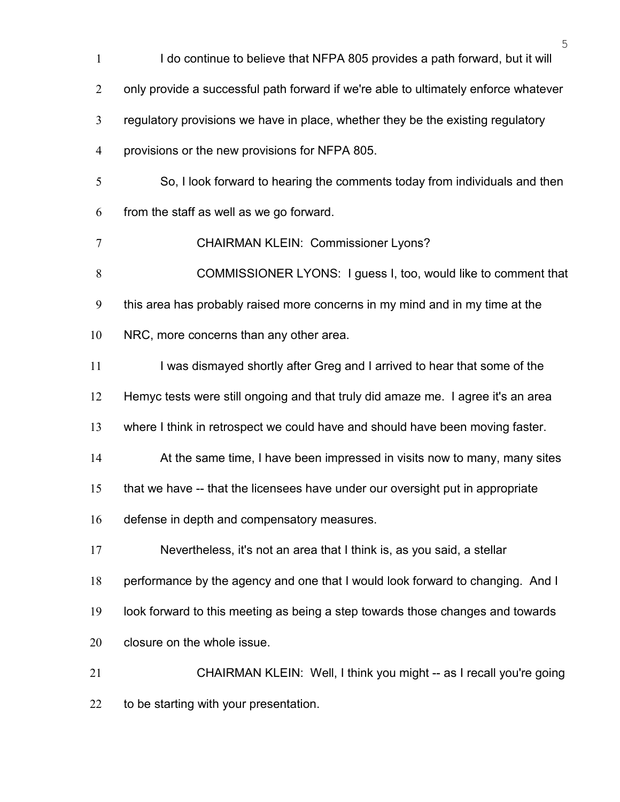| $\mathbf{1}$   | 5<br>I do continue to believe that NFPA 805 provides a path forward, but it will    |
|----------------|-------------------------------------------------------------------------------------|
| $\overline{2}$ | only provide a successful path forward if we're able to ultimately enforce whatever |
| 3              | regulatory provisions we have in place, whether they be the existing regulatory     |
| $\overline{4}$ | provisions or the new provisions for NFPA 805.                                      |
| $\mathfrak{S}$ | So, I look forward to hearing the comments today from individuals and then          |
| 6              | from the staff as well as we go forward.                                            |
| $\tau$         | <b>CHAIRMAN KLEIN: Commissioner Lyons?</b>                                          |
| 8              | COMMISSIONER LYONS: I guess I, too, would like to comment that                      |
| 9              | this area has probably raised more concerns in my mind and in my time at the        |
| 10             | NRC, more concerns than any other area.                                             |
| 11             | I was dismayed shortly after Greg and I arrived to hear that some of the            |
| 12             | Hemyc tests were still ongoing and that truly did amaze me. I agree it's an area    |
| 13             | where I think in retrospect we could have and should have been moving faster.       |
| 14             | At the same time, I have been impressed in visits now to many, many sites           |
| 15             | that we have -- that the licensees have under our oversight put in appropriate      |
| 16             | defense in depth and compensatory measures.                                         |
| 17             | Nevertheless, it's not an area that I think is, as you said, a stellar              |
| 18             | performance by the agency and one that I would look forward to changing. And I      |
| 19             | look forward to this meeting as being a step towards those changes and towards      |
| 20             | closure on the whole issue.                                                         |
| 21             | CHAIRMAN KLEIN: Well, I think you might -- as I recall you're going                 |
| 22             | to be starting with your presentation.                                              |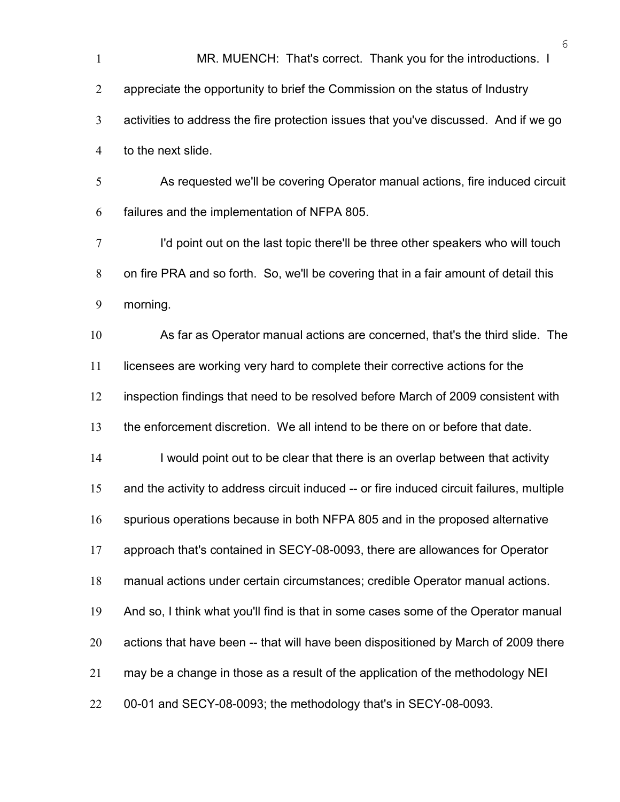MR. MUENCH: That's correct. Thank you for the introductions. I appreciate the opportunity to brief the Commission on the status of Industry activities to address the fire protection issues that you've discussed. And if we go to the next slide. As requested we'll be covering Operator manual actions, fire induced circuit failures and the implementation of NFPA 805. I'd point out on the last topic there'll be three other speakers who will touch on fire PRA and so forth. So, we'll be covering that in a fair amount of detail this morning. As far as Operator manual actions are concerned, that's the third slide. The 11 licensees are working very hard to complete their corrective actions for the inspection findings that need to be resolved before March of 2009 consistent with the enforcement discretion. We all intend to be there on or before that date. I would point out to be clear that there is an overlap between that activity and the activity to address circuit induced -- or fire induced circuit failures, multiple spurious operations because in both NFPA 805 and in the proposed alternative approach that's contained in SECY-08-0093, there are allowances for Operator manual actions under certain circumstances; credible Operator manual actions. And so, I think what you'll find is that in some cases some of the Operator manual actions that have been -- that will have been dispositioned by March of 2009 there may be a change in those as a result of the application of the methodology NEI 00-01 and SECY-08-0093; the methodology that's in SECY-08-0093.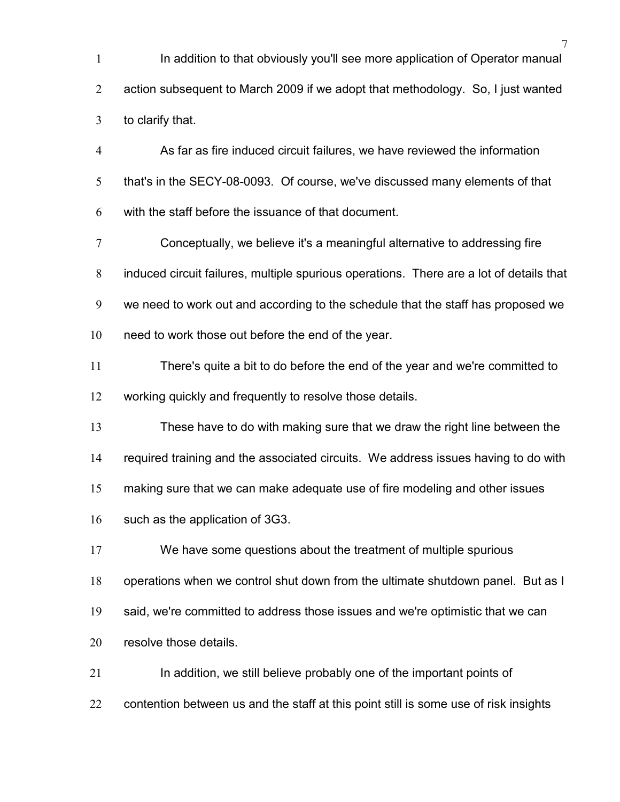In addition to that obviously you'll see more application of Operator manual action subsequent to March 2009 if we adopt that methodology. So, I just wanted to clarify that.

As far as fire induced circuit failures, we have reviewed the information that's in the SECY-08-0093. Of course, we've discussed many elements of that with the staff before the issuance of that document.

Conceptually, we believe it's a meaningful alternative to addressing fire induced circuit failures, multiple spurious operations. There are a lot of details that we need to work out and according to the schedule that the staff has proposed we need to work those out before the end of the year.

There's quite a bit to do before the end of the year and we're committed to working quickly and frequently to resolve those details.

These have to do with making sure that we draw the right line between the

required training and the associated circuits. We address issues having to do with

making sure that we can make adequate use of fire modeling and other issues

such as the application of 3G3.

We have some questions about the treatment of multiple spurious

operations when we control shut down from the ultimate shutdown panel. But as I

said, we're committed to address those issues and we're optimistic that we can

resolve those details.

21 In addition, we still believe probably one of the important points of

contention between us and the staff at this point still is some use of risk insights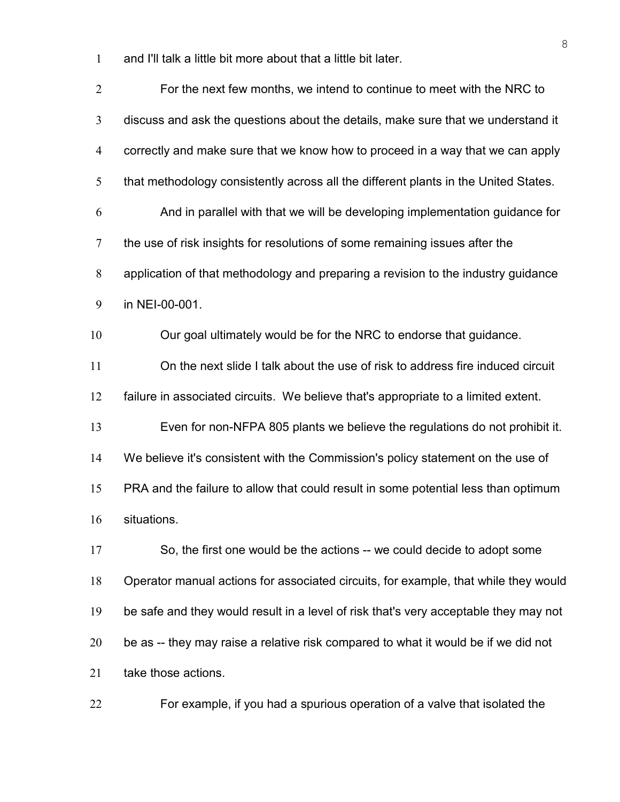and I'll talk a little bit more about that a little bit later.

| $\overline{2}$ | For the next few months, we intend to continue to meet with the NRC to               |
|----------------|--------------------------------------------------------------------------------------|
| 3              | discuss and ask the questions about the details, make sure that we understand it     |
| $\overline{4}$ | correctly and make sure that we know how to proceed in a way that we can apply       |
| 5              | that methodology consistently across all the different plants in the United States.  |
| 6              | And in parallel with that we will be developing implementation guidance for          |
| $\overline{7}$ | the use of risk insights for resolutions of some remaining issues after the          |
| 8              | application of that methodology and preparing a revision to the industry guidance    |
| 9              | in NEI-00-001.                                                                       |
| 10             | Our goal ultimately would be for the NRC to endorse that guidance.                   |
| 11             | On the next slide I talk about the use of risk to address fire induced circuit       |
| 12             | failure in associated circuits. We believe that's appropriate to a limited extent.   |
| 13             | Even for non-NFPA 805 plants we believe the regulations do not prohibit it.          |
| 14             | We believe it's consistent with the Commission's policy statement on the use of      |
| 15             | PRA and the failure to allow that could result in some potential less than optimum   |
| 16             | situations.                                                                          |
| 17             | So, the first one would be the actions -- we could decide to adopt some              |
| 18             | Operator manual actions for associated circuits, for example, that while they would  |
| 19             | be safe and they would result in a level of risk that's very acceptable they may not |
| 20             | be as -- they may raise a relative risk compared to what it would be if we did not   |
| 21             | take those actions.                                                                  |
|                |                                                                                      |

For example, if you had a spurious operation of a valve that isolated the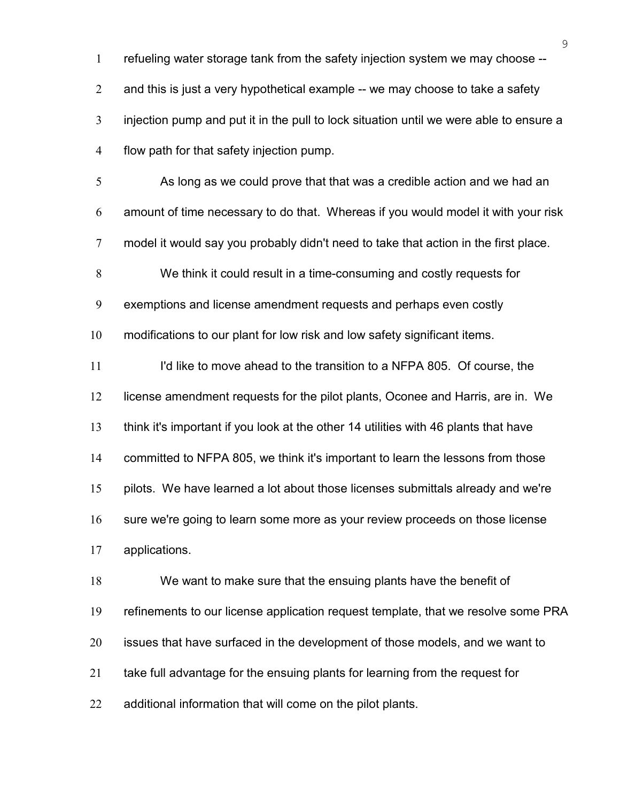refueling water storage tank from the safety injection system we may choose --

2 and this is just a very hypothetical example -- we may choose to take a safety

injection pump and put it in the pull to lock situation until we were able to ensure a

flow path for that safety injection pump.

As long as we could prove that that was a credible action and we had an amount of time necessary to do that. Whereas if you would model it with your risk model it would say you probably didn't need to take that action in the first place. We think it could result in a time-consuming and costly requests for exemptions and license amendment requests and perhaps even costly modifications to our plant for low risk and low safety significant items. 11 I'd like to move ahead to the transition to a NFPA 805. Of course, the license amendment requests for the pilot plants, Oconee and Harris, are in. We

think it's important if you look at the other 14 utilities with 46 plants that have

committed to NFPA 805, we think it's important to learn the lessons from those

pilots. We have learned a lot about those licenses submittals already and we're

sure we're going to learn some more as your review proceeds on those license

applications.

We want to make sure that the ensuing plants have the benefit of refinements to our license application request template, that we resolve some PRA issues that have surfaced in the development of those models, and we want to take full advantage for the ensuing plants for learning from the request for 22 additional information that will come on the pilot plants.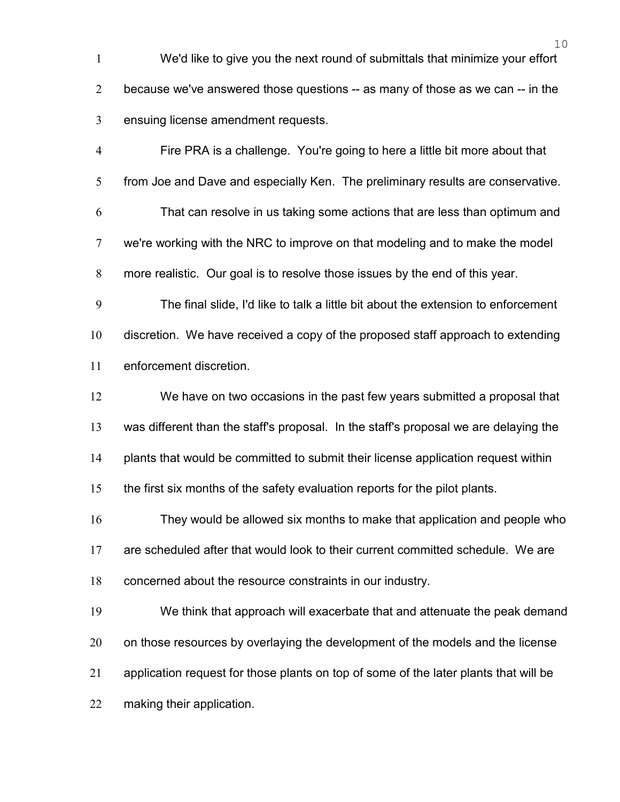We'd like to give you the next round of submittals that minimize your effort because we've answered those questions -- as many of those as we can -- in the ensuing license amendment requests.

Fire PRA is a challenge. You're going to here a little bit more about that from Joe and Dave and especially Ken. The preliminary results are conservative. That can resolve in us taking some actions that are less than optimum and we're working with the NRC to improve on that modeling and to make the model more realistic. Our goal is to resolve those issues by the end of this year.

The final slide, I'd like to talk a little bit about the extension to enforcement discretion. We have received a copy of the proposed staff approach to extending enforcement discretion.

We have on two occasions in the past few years submitted a proposal that was different than the staff's proposal. In the staff's proposal we are delaying the plants that would be committed to submit their license application request within

the first six months of the safety evaluation reports for the pilot plants.

They would be allowed six months to make that application and people who are scheduled after that would look to their current committed schedule. We are concerned about the resource constraints in our industry.

We think that approach will exacerbate that and attenuate the peak demand 20 on those resources by overlaying the development of the models and the license application request for those plants on top of some of the later plants that will be making their application.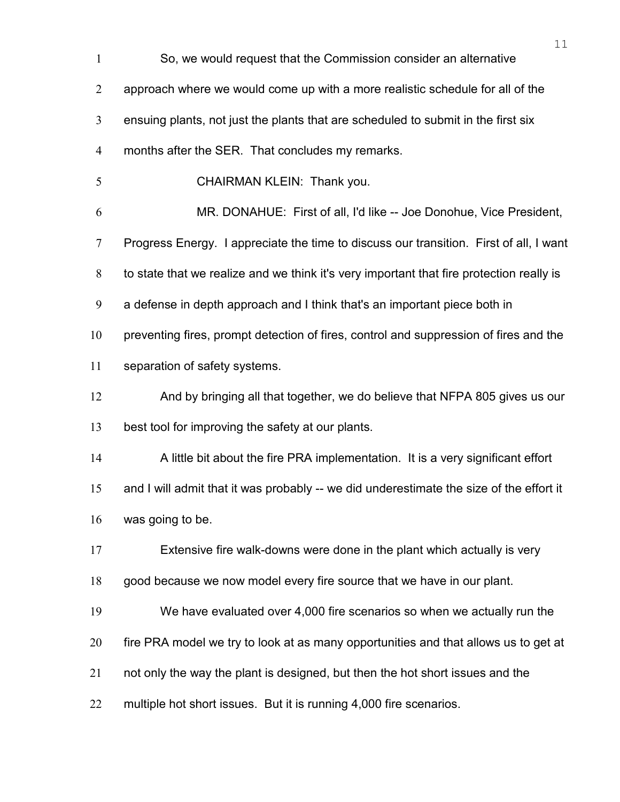| $\mathbf{1}$   | 11<br>So, we would request that the Commission consider an alternative                   |
|----------------|------------------------------------------------------------------------------------------|
| $\overline{2}$ | approach where we would come up with a more realistic schedule for all of the            |
| 3              | ensuing plants, not just the plants that are scheduled to submit in the first six        |
| $\overline{4}$ | months after the SER. That concludes my remarks.                                         |
| 5              | CHAIRMAN KLEIN: Thank you.                                                               |
| 6              | MR. DONAHUE: First of all, I'd like -- Joe Donohue, Vice President,                      |
| $\tau$         | Progress Energy. I appreciate the time to discuss our transition. First of all, I want   |
| $8\,$          | to state that we realize and we think it's very important that fire protection really is |
| 9              | a defense in depth approach and I think that's an important piece both in                |
| 10             | preventing fires, prompt detection of fires, control and suppression of fires and the    |
| 11             | separation of safety systems.                                                            |
| 12             | And by bringing all that together, we do believe that NFPA 805 gives us our              |
| 13             | best tool for improving the safety at our plants.                                        |
| 14             | A little bit about the fire PRA implementation. It is a very significant effort          |
| 15             | and I will admit that it was probably -- we did underestimate the size of the effort it  |
| 16             | was going to be.                                                                         |
| 17             | Extensive fire walk-downs were done in the plant which actually is very                  |
| 18             | good because we now model every fire source that we have in our plant.                   |
| 19             | We have evaluated over 4,000 fire scenarios so when we actually run the                  |
| 20             | fire PRA model we try to look at as many opportunities and that allows us to get at      |
| 21             | not only the way the plant is designed, but then the hot short issues and the            |
| 22             | multiple hot short issues. But it is running 4,000 fire scenarios.                       |
|                |                                                                                          |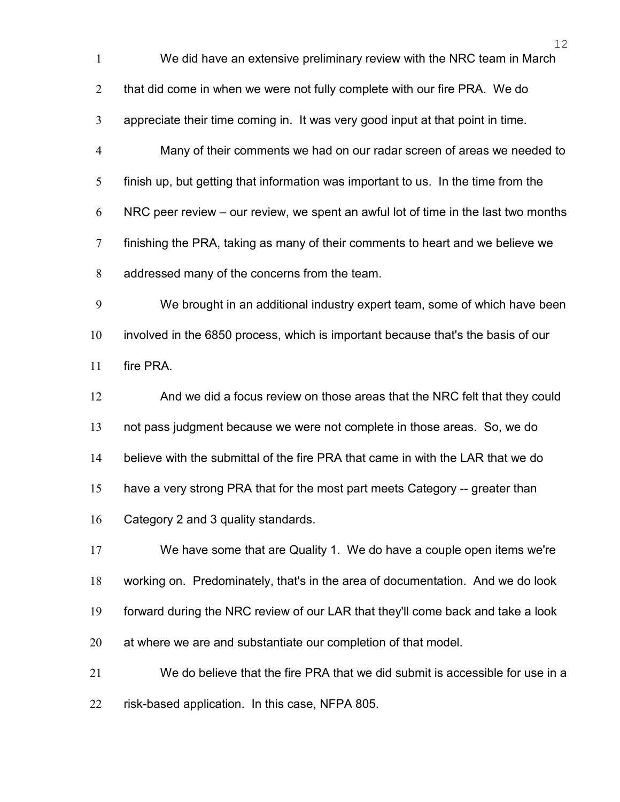| We did have an extensive preliminary review with the NRC team in March |  |  |  |  |  |
|------------------------------------------------------------------------|--|--|--|--|--|
|------------------------------------------------------------------------|--|--|--|--|--|

2 that did come in when we were not fully complete with our fire PRA. We do

appreciate their time coming in. It was very good input at that point in time.

Many of their comments we had on our radar screen of areas we needed to finish up, but getting that information was important to us. In the time from the NRC peer review – our review, we spent an awful lot of time in the last two months finishing the PRA, taking as many of their comments to heart and we believe we addressed many of the concerns from the team.

We brought in an additional industry expert team, some of which have been involved in the 6850 process, which is important because that's the basis of our fire PRA.

And we did a focus review on those areas that the NRC felt that they could not pass judgment because we were not complete in those areas. So, we do believe with the submittal of the fire PRA that came in with the LAR that we do have a very strong PRA that for the most part meets Category -- greater than Category 2 and 3 quality standards.

We have some that are Quality 1. We do have a couple open items we're working on. Predominately, that's in the area of documentation. And we do look forward during the NRC review of our LAR that they'll come back and take a look at where we are and substantiate our completion of that model.

We do believe that the fire PRA that we did submit is accessible for use in a risk-based application. In this case, NFPA 805.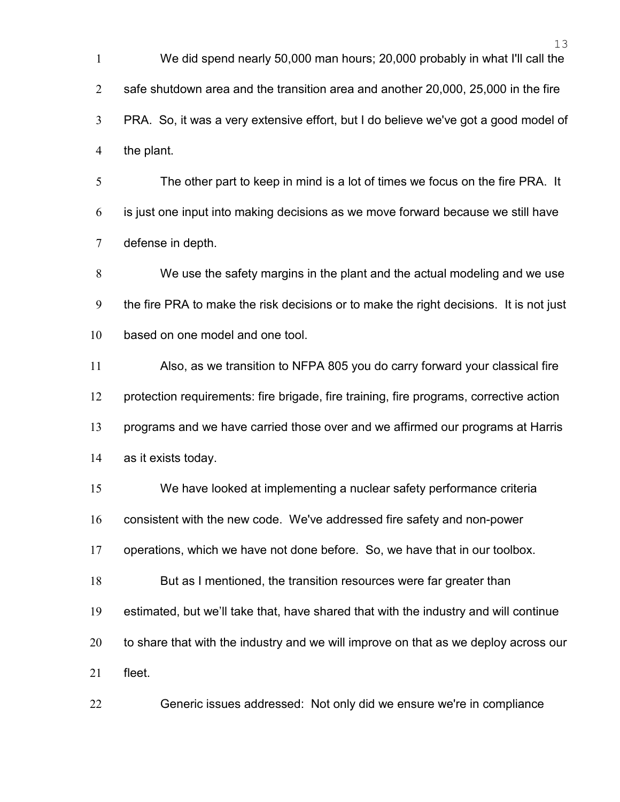We did spend nearly 50,000 man hours; 20,000 probably in what I'll call the safe shutdown area and the transition area and another 20,000, 25,000 in the fire PRA. So, it was a very extensive effort, but I do believe we've got a good model of the plant.

The other part to keep in mind is a lot of times we focus on the fire PRA. It is just one input into making decisions as we move forward because we still have defense in depth.

We use the safety margins in the plant and the actual modeling and we use the fire PRA to make the risk decisions or to make the right decisions. It is not just 10 based on one model and one tool.

Also, as we transition to NFPA 805 you do carry forward your classical fire protection requirements: fire brigade, fire training, fire programs, corrective action programs and we have carried those over and we affirmed our programs at Harris as it exists today.

We have looked at implementing a nuclear safety performance criteria

consistent with the new code. We've addressed fire safety and non-power

operations, which we have not done before. So, we have that in our toolbox.

But as I mentioned, the transition resources were far greater than

estimated, but we'll take that, have shared that with the industry and will continue

to share that with the industry and we will improve on that as we deploy across our

fleet.

Generic issues addressed: Not only did we ensure we're in compliance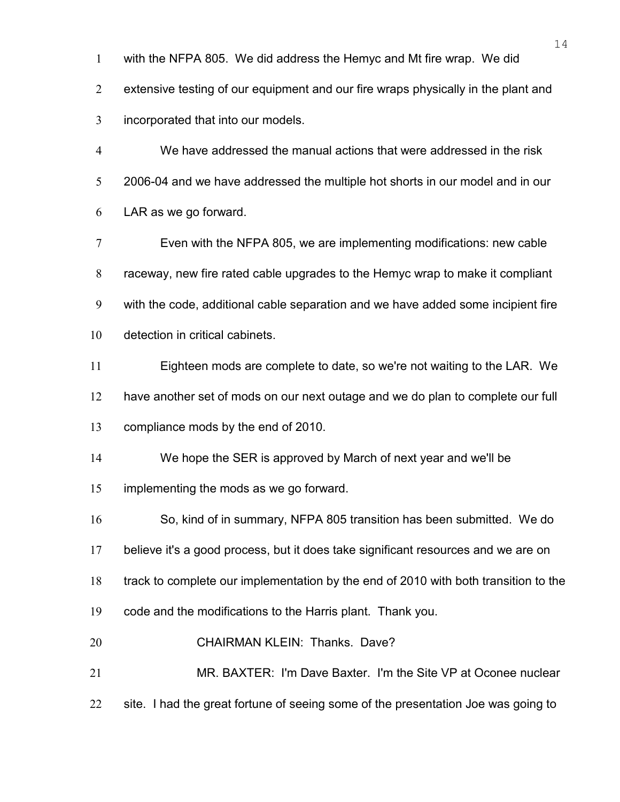with the NFPA 805. We did address the Hemyc and Mt fire wrap. We did

extensive testing of our equipment and our fire wraps physically in the plant and incorporated that into our models.

We have addressed the manual actions that were addressed in the risk 2006-04 and we have addressed the multiple hot shorts in our model and in our LAR as we go forward.

Even with the NFPA 805, we are implementing modifications: new cable raceway, new fire rated cable upgrades to the Hemyc wrap to make it compliant with the code, additional cable separation and we have added some incipient fire detection in critical cabinets.

Eighteen mods are complete to date, so we're not waiting to the LAR. We

have another set of mods on our next outage and we do plan to complete our full

compliance mods by the end of 2010.

We hope the SER is approved by March of next year and we'll be

implementing the mods as we go forward.

So, kind of in summary, NFPA 805 transition has been submitted. We do

believe it's a good process, but it does take significant resources and we are on

track to complete our implementation by the end of 2010 with both transition to the

- code and the modifications to the Harris plant. Thank you.
- CHAIRMAN KLEIN: Thanks. Dave?
- MR. BAXTER: I'm Dave Baxter. I'm the Site VP at Oconee nuclear
- 22 site. I had the great fortune of seeing some of the presentation Joe was going to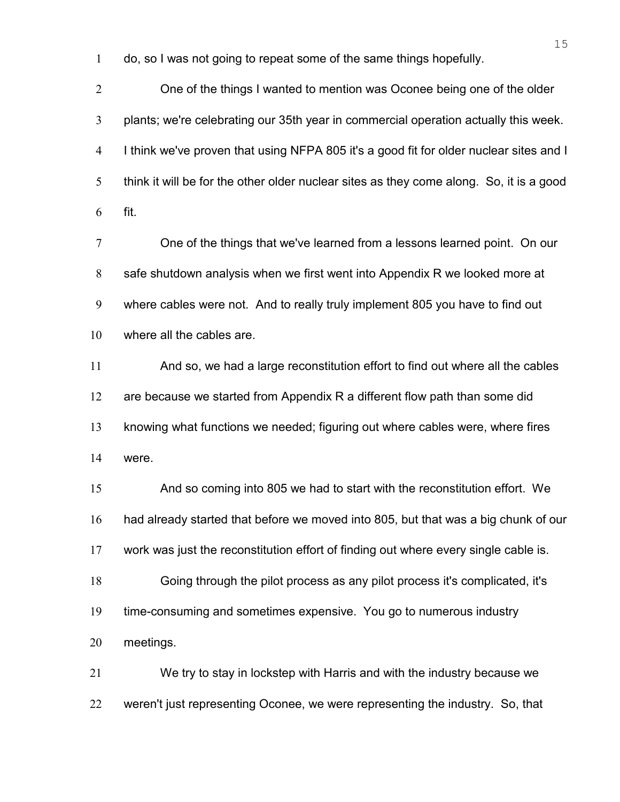do, so I was not going to repeat some of the same things hopefully.

One of the things I wanted to mention was Oconee being one of the older plants; we're celebrating our 35th year in commercial operation actually this week. I think we've proven that using NFPA 805 it's a good fit for older nuclear sites and I think it will be for the other older nuclear sites as they come along. So, it is a good fit.

One of the things that we've learned from a lessons learned point. On our safe shutdown analysis when we first went into Appendix R we looked more at where cables were not. And to really truly implement 805 you have to find out where all the cables are.

And so, we had a large reconstitution effort to find out where all the cables 12 are because we started from Appendix R a different flow path than some did knowing what functions we needed; figuring out where cables were, where fires were.

And so coming into 805 we had to start with the reconstitution effort. We had already started that before we moved into 805, but that was a big chunk of our work was just the reconstitution effort of finding out where every single cable is. Going through the pilot process as any pilot process it's complicated, it's time-consuming and sometimes expensive. You go to numerous industry meetings.

We try to stay in lockstep with Harris and with the industry because we weren't just representing Oconee, we were representing the industry. So, that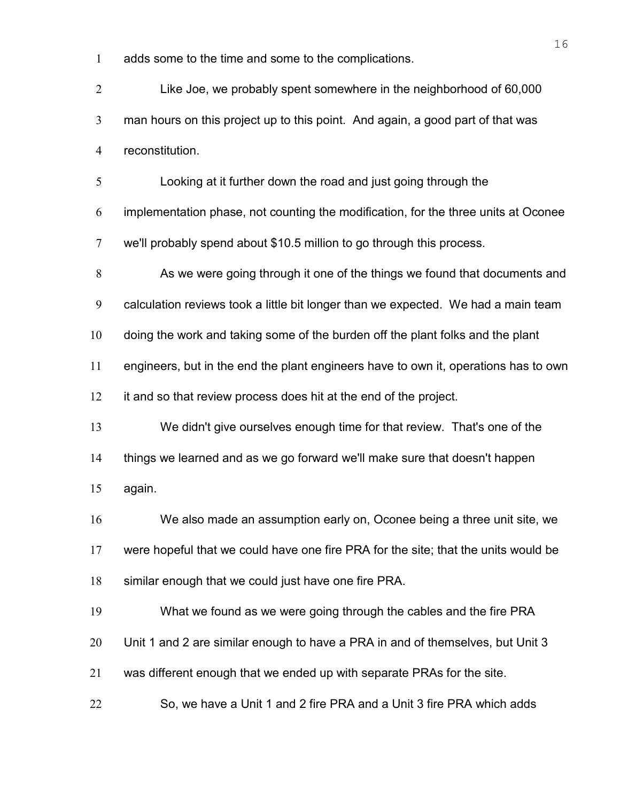adds some to the time and some to the complications.

Like Joe, we probably spent somewhere in the neighborhood of 60,000 man hours on this project up to this point. And again, a good part of that was reconstitution.

Looking at it further down the road and just going through the

implementation phase, not counting the modification, for the three units at Oconee we'll probably spend about \$10.5 million to go through this process.

As we were going through it one of the things we found that documents and

calculation reviews took a little bit longer than we expected. We had a main team

doing the work and taking some of the burden off the plant folks and the plant

engineers, but in the end the plant engineers have to own it, operations has to own

it and so that review process does hit at the end of the project.

We didn't give ourselves enough time for that review. That's one of the things we learned and as we go forward we'll make sure that doesn't happen

again.

We also made an assumption early on, Oconee being a three unit site, we were hopeful that we could have one fire PRA for the site; that the units would be similar enough that we could just have one fire PRA.

What we found as we were going through the cables and the fire PRA

Unit 1 and 2 are similar enough to have a PRA in and of themselves, but Unit 3

was different enough that we ended up with separate PRAs for the site.

So, we have a Unit 1 and 2 fire PRA and a Unit 3 fire PRA which adds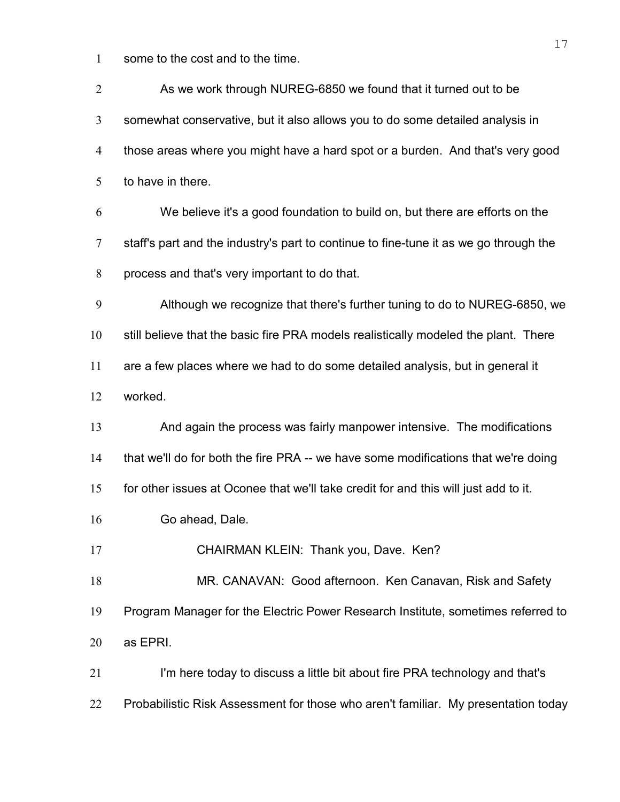some to the cost and to the time.

| $\overline{2}$ | As we work through NUREG-6850 we found that it turned out to be                       |
|----------------|---------------------------------------------------------------------------------------|
| 3              | somewhat conservative, but it also allows you to do some detailed analysis in         |
| $\overline{4}$ | those areas where you might have a hard spot or a burden. And that's very good        |
| 5              | to have in there.                                                                     |
| 6              | We believe it's a good foundation to build on, but there are efforts on the           |
| $\overline{7}$ | staff's part and the industry's part to continue to fine-tune it as we go through the |
| 8              | process and that's very important to do that.                                         |
| 9              | Although we recognize that there's further tuning to do to NUREG-6850, we             |
| 10             | still believe that the basic fire PRA models realistically modeled the plant. There   |
| 11             | are a few places where we had to do some detailed analysis, but in general it         |
| 12             | worked.                                                                               |
| 13             | And again the process was fairly manpower intensive. The modifications                |
| 14             | that we'll do for both the fire PRA -- we have some modifications that we're doing    |
| 15             | for other issues at Oconee that we'll take credit for and this will just add to it.   |
| 16             | Go ahead, Dale.                                                                       |
| 17             | CHAIRMAN KLEIN: Thank you, Dave. Ken?                                                 |
| 18             | MR. CANAVAN: Good afternoon. Ken Canavan, Risk and Safety                             |
| 19             | Program Manager for the Electric Power Research Institute, sometimes referred to      |
| 20             | as EPRI.                                                                              |
| 21             | I'm here today to discuss a little bit about fire PRA technology and that's           |
| 22             | Probabilistic Risk Assessment for those who aren't familiar. My presentation today    |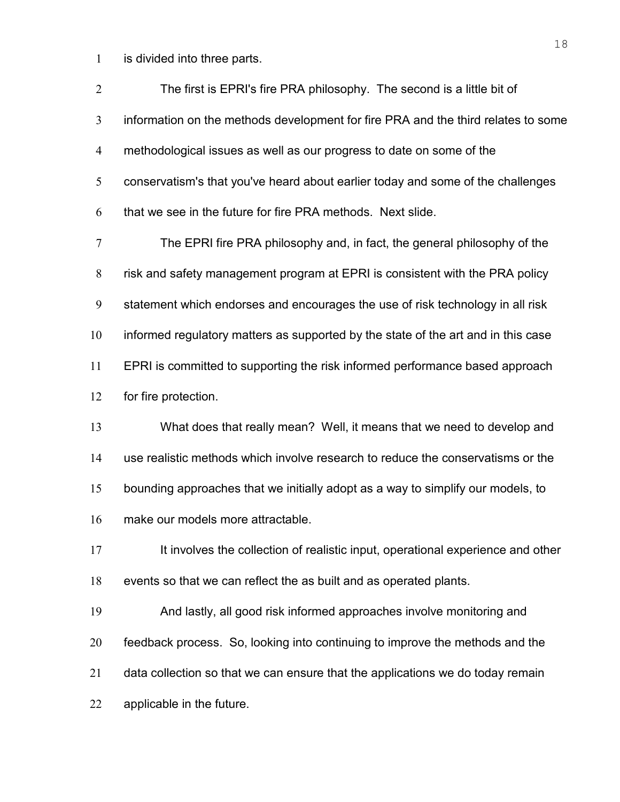is divided into three parts.

| $\overline{2}$   | The first is EPRI's fire PRA philosophy. The second is a little bit of            |
|------------------|-----------------------------------------------------------------------------------|
| 3                | information on the methods development for fire PRA and the third relates to some |
| 4                | methodological issues as well as our progress to date on some of the              |
| 5                | conservatism's that you've heard about earlier today and some of the challenges   |
| 6                | that we see in the future for fire PRA methods. Next slide.                       |
| $\boldsymbol{7}$ | The EPRI fire PRA philosophy and, in fact, the general philosophy of the          |
| 8                | risk and safety management program at EPRI is consistent with the PRA policy      |
| 9                | statement which endorses and encourages the use of risk technology in all risk    |
| 10               | informed regulatory matters as supported by the state of the art and in this case |
| 11               | EPRI is committed to supporting the risk informed performance based approach      |
| 12               | for fire protection.                                                              |
| 13               | What does that really mean? Well, it means that we need to develop and            |
| 14               | use realistic methods which involve research to reduce the conservatisms or the   |
| 15               | bounding approaches that we initially adopt as a way to simplify our models, to   |
| 16               | make our models more attractable.                                                 |
| 17               | It involves the collection of realistic input, operational experience and other   |
| 18               | events so that we can reflect the as built and as operated plants.                |
| 19               | And lastly, all good risk informed approaches involve monitoring and              |
| 20               | feedback process. So, looking into continuing to improve the methods and the      |
| 21               | data collection so that we can ensure that the applications we do today remain    |
| 22               | applicable in the future.                                                         |
|                  |                                                                                   |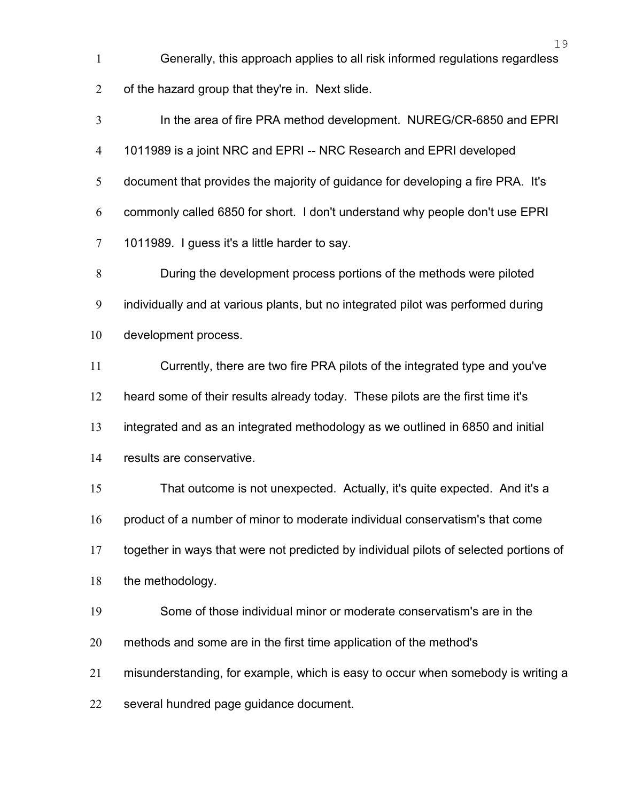Generally, this approach applies to all risk informed regulations regardless of the hazard group that they're in. Next slide.

In the area of fire PRA method development. NUREG/CR-6850 and EPRI 1011989 is a joint NRC and EPRI -- NRC Research and EPRI developed document that provides the majority of guidance for developing a fire PRA. It's commonly called 6850 for short. I don't understand why people don't use EPRI 1011989. I guess it's a little harder to say.

During the development process portions of the methods were piloted individually and at various plants, but no integrated pilot was performed during development process.

Currently, there are two fire PRA pilots of the integrated type and you've heard some of their results already today. These pilots are the first time it's integrated and as an integrated methodology as we outlined in 6850 and initial

results are conservative.

That outcome is not unexpected. Actually, it's quite expected. And it's a product of a number of minor to moderate individual conservatism's that come together in ways that were not predicted by individual pilots of selected portions of

18 the methodology.

Some of those individual minor or moderate conservatism's are in the

methods and some are in the first time application of the method's

misunderstanding, for example, which is easy to occur when somebody is writing a

several hundred page guidance document.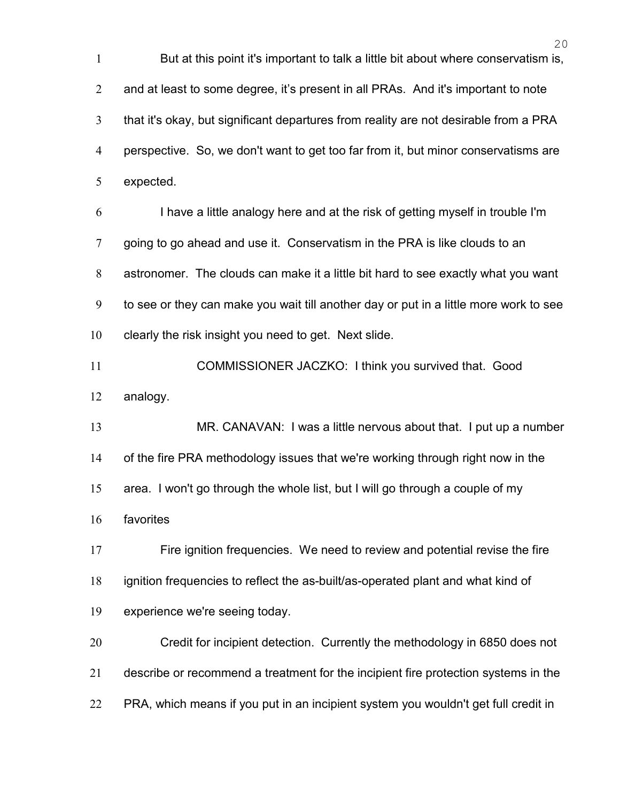But at this point it's important to talk a little bit about where conservatism is, and at least to some degree, it's present in all PRAs. And it's important to note that it's okay, but significant departures from reality are not desirable from a PRA perspective. So, we don't want to get too far from it, but minor conservatisms are expected. I have a little analogy here and at the risk of getting myself in trouble I'm 7 going to go ahead and use it. Conservatism in the PRA is like clouds to an astronomer. The clouds can make it a little bit hard to see exactly what you want to see or they can make you wait till another day or put in a little more work to see clearly the risk insight you need to get. Next slide. COMMISSIONER JACZKO: I think you survived that. Good analogy. 13 MR. CANAVAN: I was a little nervous about that. I put up a number of the fire PRA methodology issues that we're working through right now in the area. I won't go through the whole list, but I will go through a couple of my favorites Fire ignition frequencies. We need to review and potential revise the fire ignition frequencies to reflect the as-built/as-operated plant and what kind of experience we're seeing today. Credit for incipient detection. Currently the methodology in 6850 does not describe or recommend a treatment for the incipient fire protection systems in the PRA, which means if you put in an incipient system you wouldn't get full credit in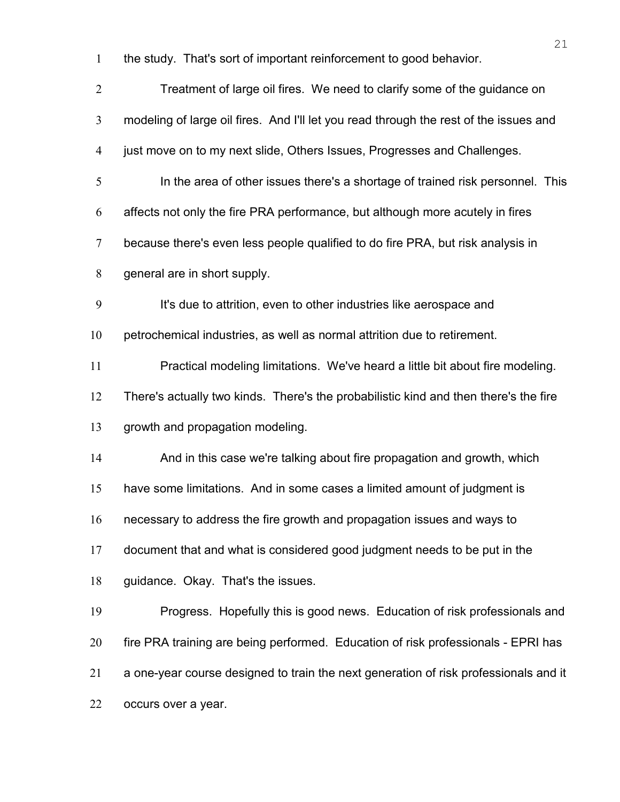the study. That's sort of important reinforcement to good behavior.

| $\overline{2}$ | Treatment of large oil fires. We need to clarify some of the guidance on              |
|----------------|---------------------------------------------------------------------------------------|
| 3              | modeling of large oil fires. And I'll let you read through the rest of the issues and |
| $\overline{4}$ | just move on to my next slide, Others Issues, Progresses and Challenges.              |
| 5              | In the area of other issues there's a shortage of trained risk personnel. This        |
| 6              | affects not only the fire PRA performance, but although more acutely in fires         |
| $\tau$         | because there's even less people qualified to do fire PRA, but risk analysis in       |
| 8              | general are in short supply.                                                          |
| 9              | It's due to attrition, even to other industries like aerospace and                    |
| 10             | petrochemical industries, as well as normal attrition due to retirement.              |
| 11             | Practical modeling limitations. We've heard a little bit about fire modeling.         |
| 12             | There's actually two kinds. There's the probabilistic kind and then there's the fire  |
| 13             | growth and propagation modeling.                                                      |
| 14             | And in this case we're talking about fire propagation and growth, which               |
| 15             | have some limitations. And in some cases a limited amount of judgment is              |
| 16             | necessary to address the fire growth and propagation issues and ways to               |
| 17             | document that and what is considered good judgment needs to be put in the             |
| 18             | guidance. Okay. That's the issues.                                                    |
| 19             | Progress. Hopefully this is good news. Education of risk professionals and            |
| 20             | fire PRA training are being performed. Education of risk professionals - EPRI has     |
| 21             | a one-year course designed to train the next generation of risk professionals and it  |
| 22             | occurs over a year.                                                                   |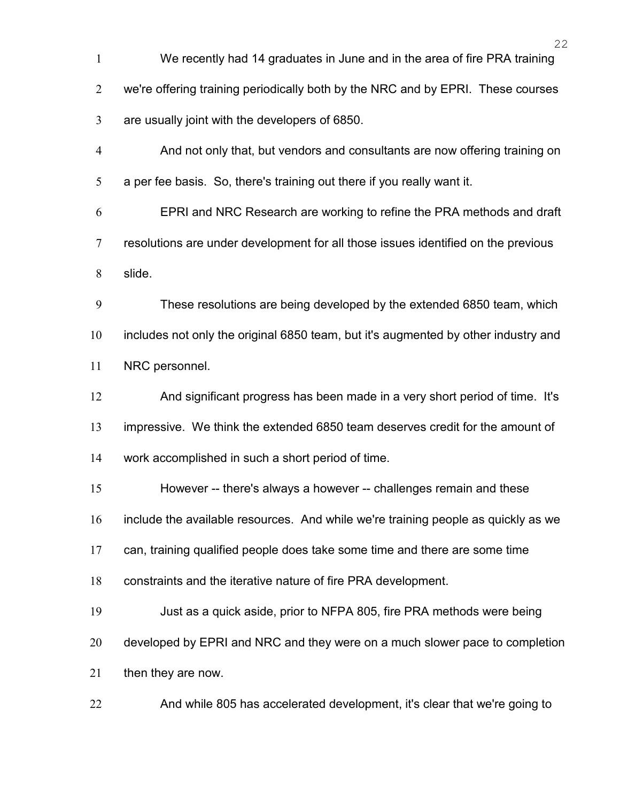We recently had 14 graduates in June and in the area of fire PRA training we're offering training periodically both by the NRC and by EPRI. These courses are usually joint with the developers of 6850. And not only that, but vendors and consultants are now offering training on a per fee basis. So, there's training out there if you really want it. EPRI and NRC Research are working to refine the PRA methods and draft resolutions are under development for all those issues identified on the previous slide. These resolutions are being developed by the extended 6850 team, which includes not only the original 6850 team, but it's augmented by other industry and NRC personnel. And significant progress has been made in a very short period of time. It's impressive. We think the extended 6850 team deserves credit for the amount of work accomplished in such a short period of time. However -- there's always a however -- challenges remain and these include the available resources. And while we're training people as quickly as we can, training qualified people does take some time and there are some time constraints and the iterative nature of fire PRA development. Just as a quick aside, prior to NFPA 805, fire PRA methods were being developed by EPRI and NRC and they were on a much slower pace to completion then they are now. And while 805 has accelerated development, it's clear that we're going to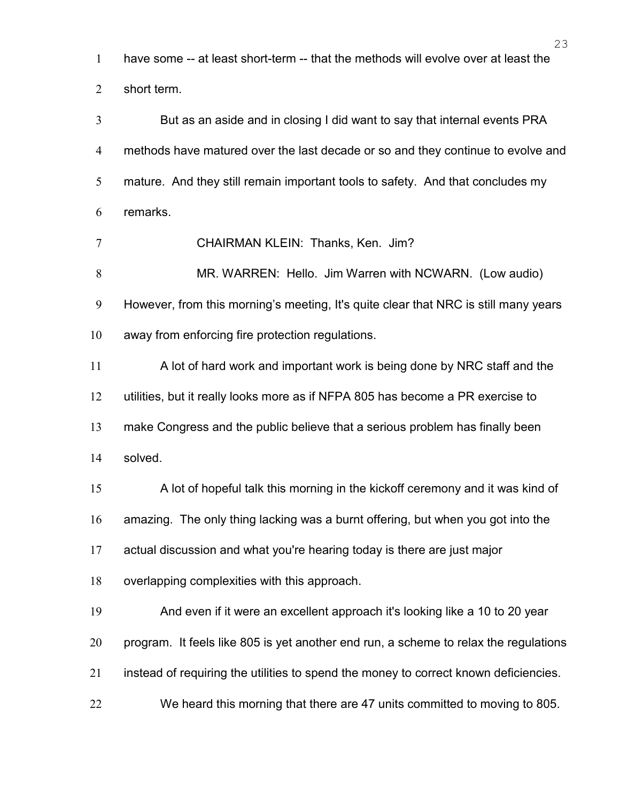have some -- at least short-term -- that the methods will evolve over at least the

short term.

But as an aside and in closing I did want to say that internal events PRA methods have matured over the last decade or so and they continue to evolve and mature. And they still remain important tools to safety. And that concludes my remarks.

CHAIRMAN KLEIN: Thanks, Ken. Jim? MR. WARREN: Hello. Jim Warren with NCWARN. (Low audio)

However, from this morning's meeting, It's quite clear that NRC is still many years

away from enforcing fire protection regulations.

A lot of hard work and important work is being done by NRC staff and the utilities, but it really looks more as if NFPA 805 has become a PR exercise to make Congress and the public believe that a serious problem has finally been solved. A lot of hopeful talk this morning in the kickoff ceremony and it was kind of

amazing. The only thing lacking was a burnt offering, but when you got into the

actual discussion and what you're hearing today is there are just major

overlapping complexities with this approach.

And even if it were an excellent approach it's looking like a 10 to 20 year program. It feels like 805 is yet another end run, a scheme to relax the regulations instead of requiring the utilities to spend the money to correct known deficiencies.

We heard this morning that there are 47 units committed to moving to 805.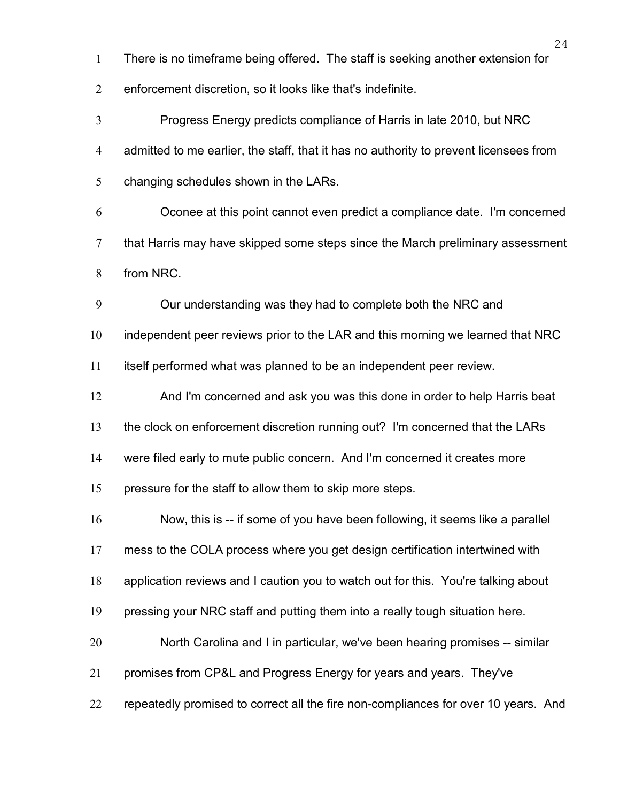There is no timeframe being offered. The staff is seeking another extension for

enforcement discretion, so it looks like that's indefinite.

Progress Energy predicts compliance of Harris in late 2010, but NRC admitted to me earlier, the staff, that it has no authority to prevent licensees from changing schedules shown in the LARs. Oconee at this point cannot even predict a compliance date. I'm concerned that Harris may have skipped some steps since the March preliminary assessment from NRC.

Our understanding was they had to complete both the NRC and

independent peer reviews prior to the LAR and this morning we learned that NRC

itself performed what was planned to be an independent peer review.

And I'm concerned and ask you was this done in order to help Harris beat

the clock on enforcement discretion running out? I'm concerned that the LARs

were filed early to mute public concern. And I'm concerned it creates more

pressure for the staff to allow them to skip more steps.

Now, this is -- if some of you have been following, it seems like a parallel

mess to the COLA process where you get design certification intertwined with

application reviews and I caution you to watch out for this. You're talking about

19 pressing your NRC staff and putting them into a really tough situation here.

North Carolina and I in particular, we've been hearing promises -- similar

promises from CP&L and Progress Energy for years and years. They've

repeatedly promised to correct all the fire non-compliances for over 10 years. And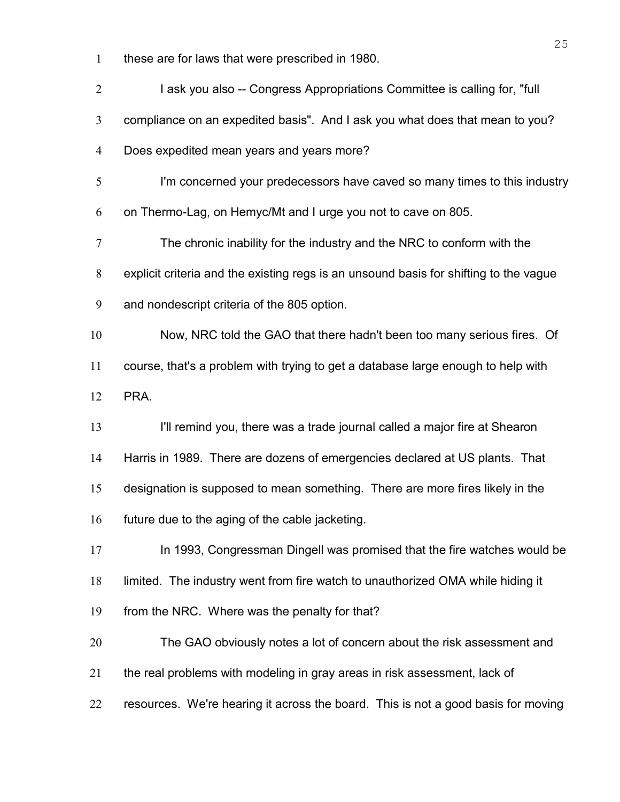these are for laws that were prescribed in 1980.

| $\overline{2}$ | I ask you also -- Congress Appropriations Committee is calling for, "full             |
|----------------|---------------------------------------------------------------------------------------|
| $\mathfrak{Z}$ | compliance on an expedited basis". And I ask you what does that mean to you?          |
| $\overline{4}$ | Does expedited mean years and years more?                                             |
| 5              | I'm concerned your predecessors have caved so many times to this industry             |
| 6              | on Thermo-Lag, on Hemyc/Mt and I urge you not to cave on 805.                         |
| $\tau$         | The chronic inability for the industry and the NRC to conform with the                |
| 8              | explicit criteria and the existing regs is an unsound basis for shifting to the vague |
| 9              | and nondescript criteria of the 805 option.                                           |
| 10             | Now, NRC told the GAO that there hadn't been too many serious fires. Of               |
| 11             | course, that's a problem with trying to get a database large enough to help with      |
| 12             | PRA.                                                                                  |
| 13             | I'll remind you, there was a trade journal called a major fire at Shearon             |
| 14             | Harris in 1989. There are dozens of emergencies declared at US plants. That           |
| 15             | designation is supposed to mean something. There are more fires likely in the         |
| 16             | future due to the aging of the cable jacketing.                                       |
| 17             | In 1993, Congressman Dingell was promised that the fire watches would be              |
| 18             | limited. The industry went from fire watch to unauthorized OMA while hiding it        |
| 19             | from the NRC. Where was the penalty for that?                                         |
| 20             | The GAO obviously notes a lot of concern about the risk assessment and                |
| 21             | the real problems with modeling in gray areas in risk assessment, lack of             |
| 22             | resources. We're hearing it across the board. This is not a good basis for moving     |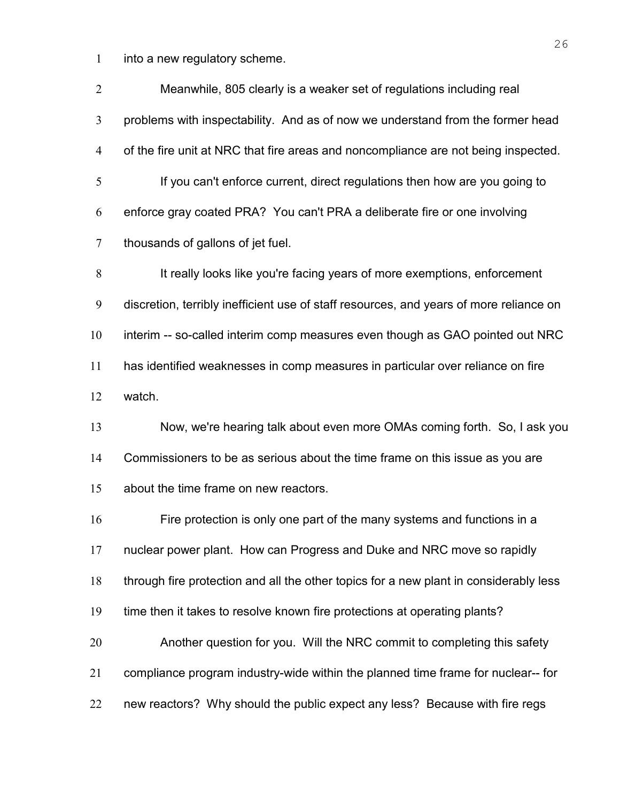into a new regulatory scheme.

| $\overline{2}$ | Meanwhile, 805 clearly is a weaker set of regulations including real                   |
|----------------|----------------------------------------------------------------------------------------|
| 3              | problems with inspectability. And as of now we understand from the former head         |
| $\overline{4}$ | of the fire unit at NRC that fire areas and noncompliance are not being inspected.     |
| 5              | If you can't enforce current, direct regulations then how are you going to             |
| 6              | enforce gray coated PRA? You can't PRA a deliberate fire or one involving              |
| $\tau$         | thousands of gallons of jet fuel.                                                      |
| 8              | It really looks like you're facing years of more exemptions, enforcement               |
| 9              | discretion, terribly inefficient use of staff resources, and years of more reliance on |
| 10             | interim -- so-called interim comp measures even though as GAO pointed out NRC          |
| 11             | has identified weaknesses in comp measures in particular over reliance on fire         |
| 12             | watch.                                                                                 |
| 13             | Now, we're hearing talk about even more OMAs coming forth. So, I ask you               |
| 14             | Commissioners to be as serious about the time frame on this issue as you are           |
| 15             | about the time frame on new reactors.                                                  |
| 16             | Fire protection is only one part of the many systems and functions in a                |
| 17             | nuclear power plant. How can Progress and Duke and NRC move so rapidly                 |
| 18             | through fire protection and all the other topics for a new plant in considerably less  |
| 19             | time then it takes to resolve known fire protections at operating plants?              |
| 20             | Another question for you. Will the NRC commit to completing this safety                |
| 21             | compliance program industry-wide within the planned time frame for nuclear-- for       |
| 22             | new reactors? Why should the public expect any less? Because with fire regs            |
|                |                                                                                        |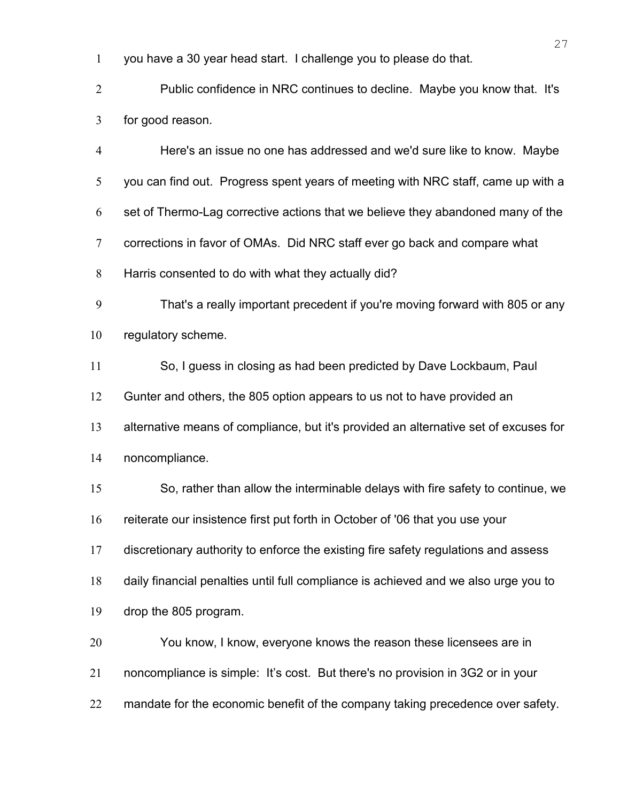you have a 30 year head start. I challenge you to please do that.

Public confidence in NRC continues to decline. Maybe you know that. It's for good reason.

Here's an issue no one has addressed and we'd sure like to know. Maybe you can find out. Progress spent years of meeting with NRC staff, came up with a set of Thermo-Lag corrective actions that we believe they abandoned many of the corrections in favor of OMAs. Did NRC staff ever go back and compare what Harris consented to do with what they actually did?

That's a really important precedent if you're moving forward with 805 or any regulatory scheme.

So, I guess in closing as had been predicted by Dave Lockbaum, Paul

Gunter and others, the 805 option appears to us not to have provided an

alternative means of compliance, but it's provided an alternative set of excuses for

noncompliance.

So, rather than allow the interminable delays with fire safety to continue, we

reiterate our insistence first put forth in October of '06 that you use your

discretionary authority to enforce the existing fire safety regulations and assess

daily financial penalties until full compliance is achieved and we also urge you to

drop the 805 program.

You know, I know, everyone knows the reason these licensees are in noncompliance is simple: It's cost. But there's no provision in 3G2 or in your 22 mandate for the economic benefit of the company taking precedence over safety.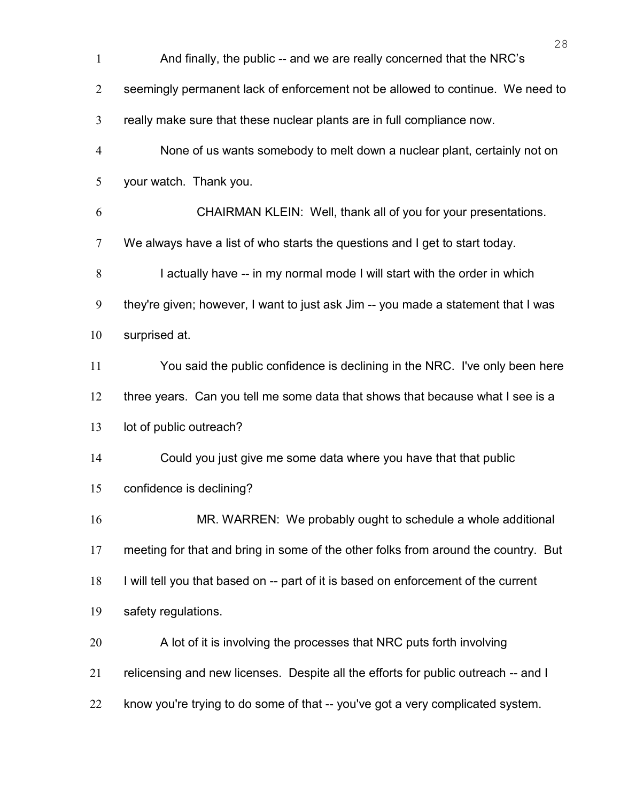|                | 28                                                                                 |
|----------------|------------------------------------------------------------------------------------|
| $\mathbf{1}$   | And finally, the public -- and we are really concerned that the NRC's              |
| $\overline{2}$ | seemingly permanent lack of enforcement not be allowed to continue. We need to     |
| 3              | really make sure that these nuclear plants are in full compliance now.             |
| $\overline{4}$ | None of us wants somebody to melt down a nuclear plant, certainly not on           |
| 5              | your watch. Thank you.                                                             |
| 6              | CHAIRMAN KLEIN: Well, thank all of you for your presentations.                     |
| $\tau$         | We always have a list of who starts the questions and I get to start today.        |
| 8              | I actually have -- in my normal mode I will start with the order in which          |
| 9              | they're given; however, I want to just ask Jim -- you made a statement that I was  |
| 10             | surprised at.                                                                      |
| 11             | You said the public confidence is declining in the NRC. I've only been here        |
| 12             | three years. Can you tell me some data that shows that because what I see is a     |
| 13             | lot of public outreach?                                                            |
| 14             | Could you just give me some data where you have that that public                   |
| 15             | confidence is declining?                                                           |
| 16             | MR. WARREN: We probably ought to schedule a whole additional                       |
| 17             | meeting for that and bring in some of the other folks from around the country. But |
| 18             | I will tell you that based on -- part of it is based on enforcement of the current |
| 19             | safety regulations.                                                                |
| 20             | A lot of it is involving the processes that NRC puts forth involving               |
| 21             | relicensing and new licenses. Despite all the efforts for public outreach -- and I |
| 22             | know you're trying to do some of that -- you've got a very complicated system.     |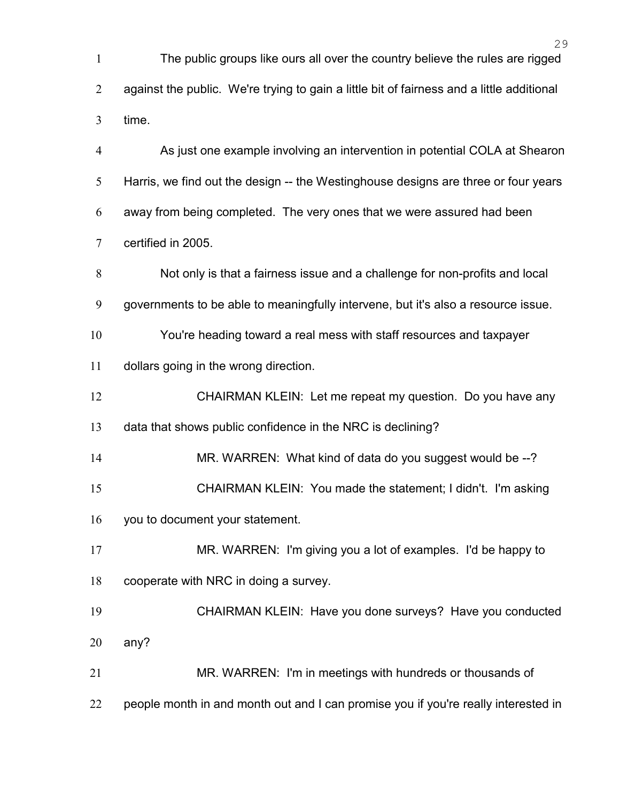| $\mathbf{1}$   | The public groups like ours all over the country believe the rules are rigged             |
|----------------|-------------------------------------------------------------------------------------------|
| $\overline{2}$ | against the public. We're trying to gain a little bit of fairness and a little additional |
| 3              | time.                                                                                     |
| $\overline{4}$ | As just one example involving an intervention in potential COLA at Shearon                |
| 5              | Harris, we find out the design -- the Westinghouse designs are three or four years        |
| 6              | away from being completed. The very ones that we were assured had been                    |
| $\overline{7}$ | certified in 2005.                                                                        |
| 8              | Not only is that a fairness issue and a challenge for non-profits and local               |
| 9              | governments to be able to meaningfully intervene, but it's also a resource issue.         |
| 10             | You're heading toward a real mess with staff resources and taxpayer                       |
| 11             | dollars going in the wrong direction.                                                     |
| 12             | CHAIRMAN KLEIN: Let me repeat my question. Do you have any                                |
| 13             | data that shows public confidence in the NRC is declining?                                |
| 14             | MR. WARREN: What kind of data do you suggest would be --?                                 |
| 15             | CHAIRMAN KLEIN: You made the statement; I didn't. I'm asking                              |
| 16             | you to document your statement.                                                           |
| 17             | MR. WARREN: I'm giving you a lot of examples. I'd be happy to                             |
| 18             | cooperate with NRC in doing a survey.                                                     |
| 19             | CHAIRMAN KLEIN: Have you done surveys? Have you conducted                                 |
| 20             | any?                                                                                      |
| 21             | MR. WARREN: I'm in meetings with hundreds or thousands of                                 |
| 22             | people month in and month out and I can promise you if you're really interested in        |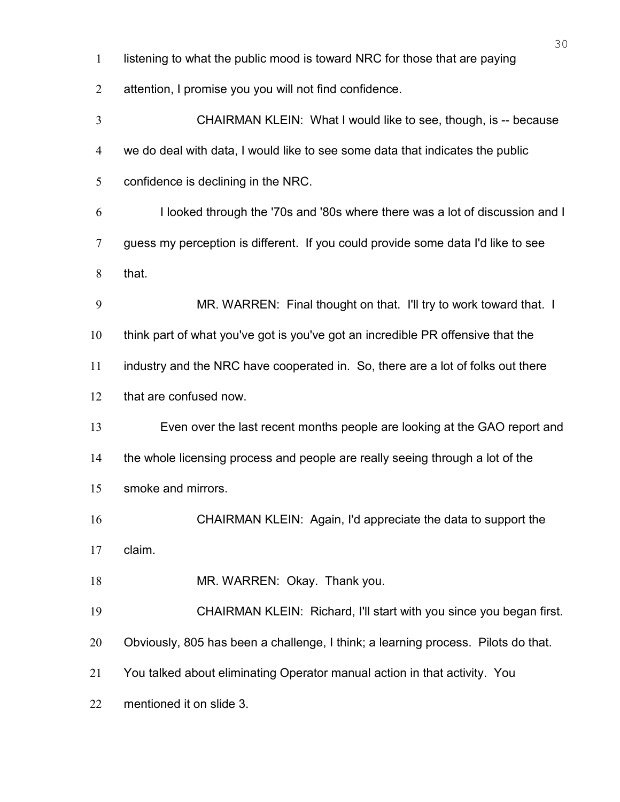| listening to what the public mood is toward NRC for those that are paying |
|---------------------------------------------------------------------------|
| attention, I promise you you will not find confidence.                    |

| $\mathfrak{Z}$ | CHAIRMAN KLEIN: What I would like to see, though, is -- because                   |
|----------------|-----------------------------------------------------------------------------------|
| $\overline{4}$ | we do deal with data, I would like to see some data that indicates the public     |
| 5              | confidence is declining in the NRC.                                               |
| 6              | I looked through the '70s and '80s where there was a lot of discussion and I      |
| $\overline{7}$ | guess my perception is different. If you could provide some data I'd like to see  |
| 8              | that.                                                                             |
| 9              | MR. WARREN: Final thought on that. I'll try to work toward that. I                |
| 10             | think part of what you've got is you've got an incredible PR offensive that the   |
| 11             | industry and the NRC have cooperated in. So, there are a lot of folks out there   |
| 12             | that are confused now.                                                            |
| 13             | Even over the last recent months people are looking at the GAO report and         |
| 14             | the whole licensing process and people are really seeing through a lot of the     |
| 15             | smoke and mirrors.                                                                |
| 16             | CHAIRMAN KLEIN: Again, I'd appreciate the data to support the                     |
| 17             | claim.                                                                            |
| 18             | MR. WARREN: Okay. Thank you.                                                      |
| 19             | CHAIRMAN KLEIN: Richard, I'll start with you since you began first.               |
| 20             | Obviously, 805 has been a challenge, I think; a learning process. Pilots do that. |
| 21             | You talked about eliminating Operator manual action in that activity. You         |
| 22             | mentioned it on slide 3.                                                          |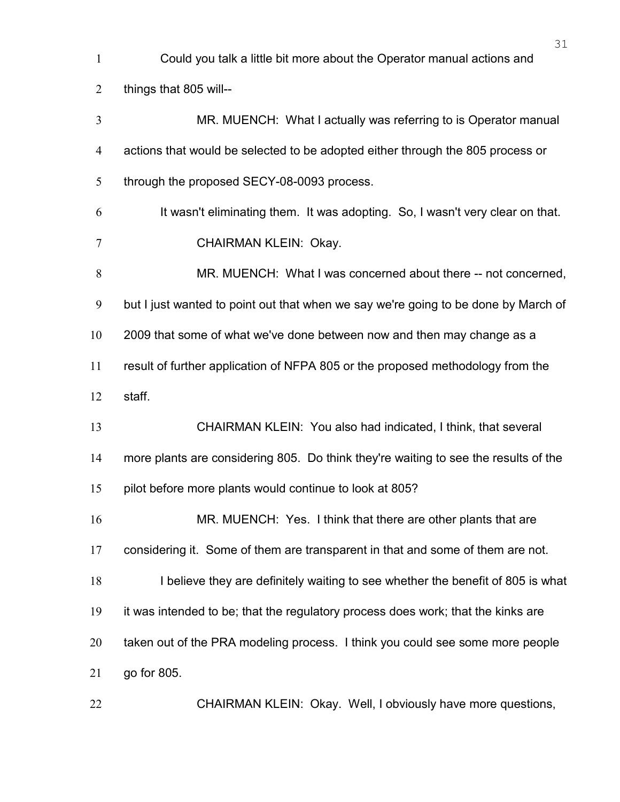| $\mathbf{1}$   | Could you talk a little bit more about the Operator manual actions and              |
|----------------|-------------------------------------------------------------------------------------|
| $\overline{2}$ | things that 805 will--                                                              |
| 3              | MR. MUENCH: What I actually was referring to is Operator manual                     |
| $\overline{4}$ | actions that would be selected to be adopted either through the 805 process or      |
| 5              | through the proposed SECY-08-0093 process.                                          |
| 6              | It wasn't eliminating them. It was adopting. So, I wasn't very clear on that.       |
| 7              | CHAIRMAN KLEIN: Okay.                                                               |
| 8              | MR. MUENCH: What I was concerned about there -- not concerned,                      |
| 9              | but I just wanted to point out that when we say we're going to be done by March of  |
| 10             | 2009 that some of what we've done between now and then may change as a              |
| 11             | result of further application of NFPA 805 or the proposed methodology from the      |
| 12             | staff.                                                                              |
| 13             | CHAIRMAN KLEIN: You also had indicated, I think, that several                       |
| 14             | more plants are considering 805. Do think they're waiting to see the results of the |
| 15             | pilot before more plants would continue to look at 805?                             |
| 16             | MR. MUENCH: Yes. I think that there are other plants that are                       |
| 17             | considering it. Some of them are transparent in that and some of them are not.      |
| 18             | I believe they are definitely waiting to see whether the benefit of 805 is what     |
| 19             | it was intended to be; that the regulatory process does work; that the kinks are    |
| 20             | taken out of the PRA modeling process. I think you could see some more people       |
| 21             | go for 805.                                                                         |
| 22             | CHAIRMAN KLEIN: Okay. Well, I obviously have more questions,                        |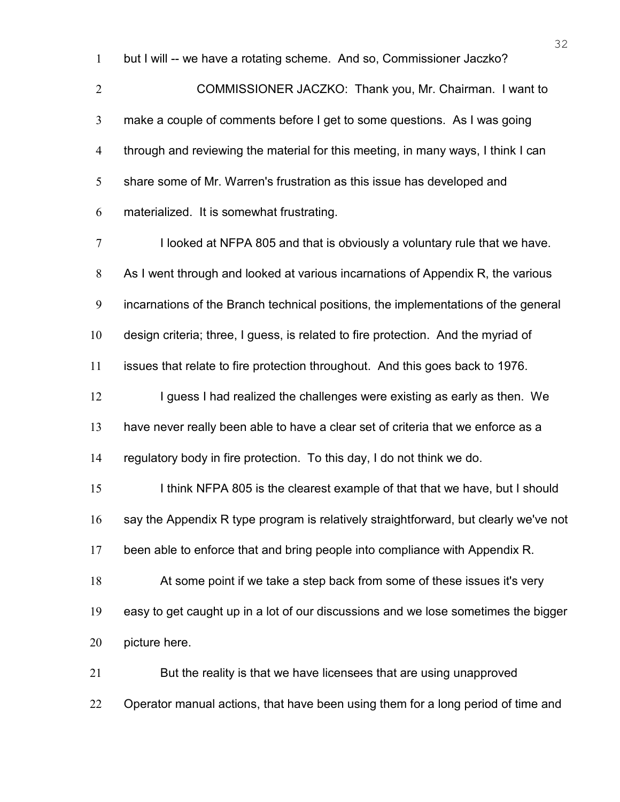but I will -- we have a rotating scheme. And so, Commissioner Jaczko?

COMMISSIONER JACZKO: Thank you, Mr. Chairman. I want to make a couple of comments before I get to some questions. As I was going through and reviewing the material for this meeting, in many ways, I think I can share some of Mr. Warren's frustration as this issue has developed and materialized. It is somewhat frustrating.

I looked at NFPA 805 and that is obviously a voluntary rule that we have. As I went through and looked at various incarnations of Appendix R, the various incarnations of the Branch technical positions, the implementations of the general design criteria; three, I guess, is related to fire protection. And the myriad of issues that relate to fire protection throughout. And this goes back to 1976. 12 I guess I had realized the challenges were existing as early as then. We have never really been able to have a clear set of criteria that we enforce as a regulatory body in fire protection. To this day, I do not think we do. 15 I think NFPA 805 is the clearest example of that that we have, but I should say the Appendix R type program is relatively straightforward, but clearly we've not been able to enforce that and bring people into compliance with Appendix R. At some point if we take a step back from some of these issues it's very easy to get caught up in a lot of our discussions and we lose sometimes the bigger picture here. But the reality is that we have licensees that are using unapproved

22 Operator manual actions, that have been using them for a long period of time and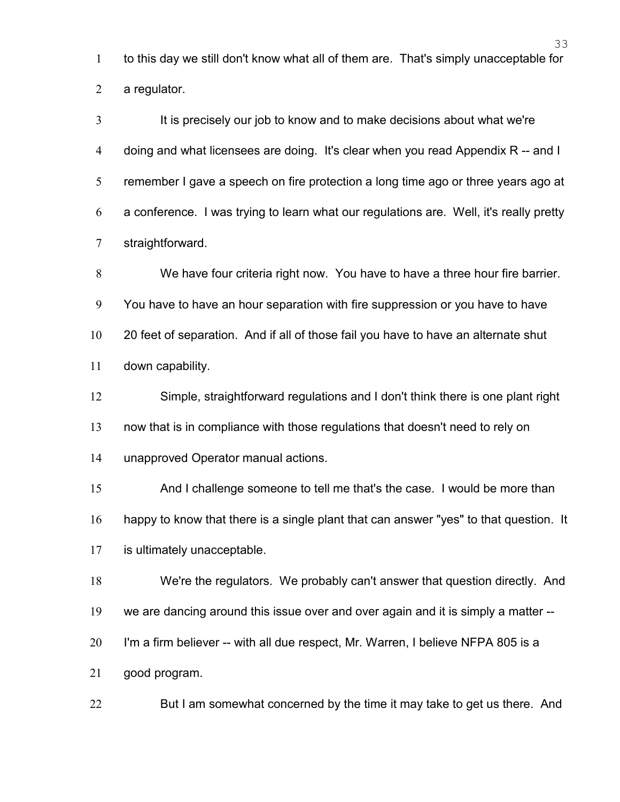to this day we still don't know what all of them are. That's simply unacceptable for a regulator.

It is precisely our job to know and to make decisions about what we're doing and what licensees are doing. It's clear when you read Appendix R -- and I remember I gave a speech on fire protection a long time ago or three years ago at a conference. I was trying to learn what our regulations are. Well, it's really pretty straightforward.

We have four criteria right now. You have to have a three hour fire barrier. You have to have an hour separation with fire suppression or you have to have 20 feet of separation. And if all of those fail you have to have an alternate shut down capability.

Simple, straightforward regulations and I don't think there is one plant right

now that is in compliance with those regulations that doesn't need to rely on

unapproved Operator manual actions.

15 And I challenge someone to tell me that's the case. I would be more than

happy to know that there is a single plant that can answer "yes" to that question. It

is ultimately unacceptable.

We're the regulators. We probably can't answer that question directly. And

we are dancing around this issue over and over again and it is simply a matter --

I'm a firm believer -- with all due respect, Mr. Warren, I believe NFPA 805 is a

good program.

But I am somewhat concerned by the time it may take to get us there. And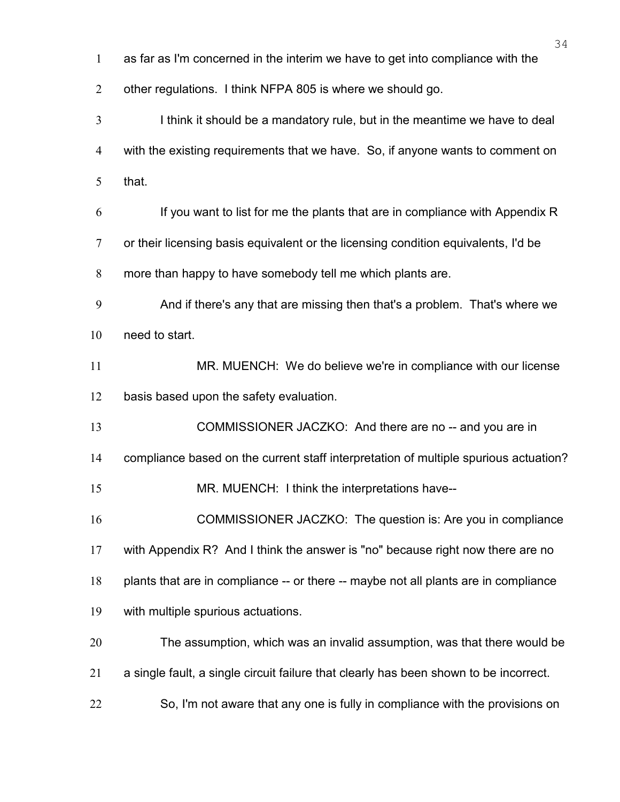|                | 34                                                                                    |
|----------------|---------------------------------------------------------------------------------------|
| $\mathbf{1}$   | as far as I'm concerned in the interim we have to get into compliance with the        |
| $\overline{2}$ | other regulations. I think NFPA 805 is where we should go.                            |
| $\overline{3}$ | I think it should be a mandatory rule, but in the meantime we have to deal            |
| $\overline{4}$ | with the existing requirements that we have. So, if anyone wants to comment on        |
| 5              | that.                                                                                 |
| 6              | If you want to list for me the plants that are in compliance with Appendix R          |
| 7              | or their licensing basis equivalent or the licensing condition equivalents, I'd be    |
| 8              | more than happy to have somebody tell me which plants are.                            |
| 9              | And if there's any that are missing then that's a problem. That's where we            |
| 10             | need to start.                                                                        |
| 11             | MR. MUENCH: We do believe we're in compliance with our license                        |
| 12             | basis based upon the safety evaluation.                                               |
| 13             | COMMISSIONER JACZKO: And there are no -- and you are in                               |
| 14             | compliance based on the current staff interpretation of multiple spurious actuation?  |
| 15             | MR. MUENCH: I think the interpretations have--                                        |
| 16             | COMMISSIONER JACZKO: The question is: Are you in compliance                           |
| 17             | with Appendix R? And I think the answer is "no" because right now there are no        |
| 18             | plants that are in compliance -- or there -- maybe not all plants are in compliance   |
| 19             | with multiple spurious actuations.                                                    |
| 20             | The assumption, which was an invalid assumption, was that there would be              |
| 21             | a single fault, a single circuit failure that clearly has been shown to be incorrect. |
| 22             | So, I'm not aware that any one is fully in compliance with the provisions on          |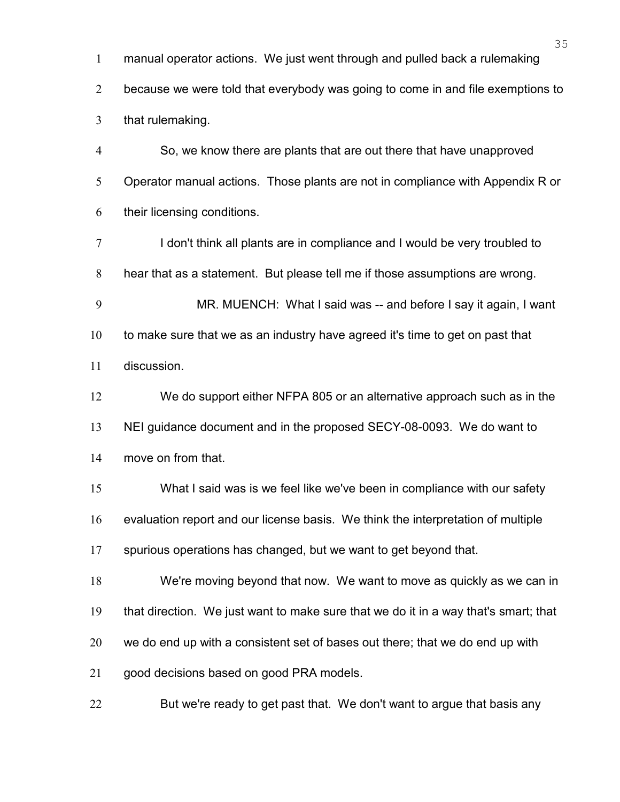manual operator actions. We just went through and pulled back a rulemaking

2 because we were told that everybody was going to come in and file exemptions to that rulemaking.

So, we know there are plants that are out there that have unapproved 5 Operator manual actions. Those plants are not in compliance with Appendix R or their licensing conditions.

I don't think all plants are in compliance and I would be very troubled to hear that as a statement. But please tell me if those assumptions are wrong.

MR. MUENCH: What I said was -- and before I say it again, I want to make sure that we as an industry have agreed it's time to get on past that discussion.

We do support either NFPA 805 or an alternative approach such as in the NEI guidance document and in the proposed SECY-08-0093. We do want to

move on from that.

What I said was is we feel like we've been in compliance with our safety

evaluation report and our license basis. We think the interpretation of multiple

spurious operations has changed, but we want to get beyond that.

We're moving beyond that now. We want to move as quickly as we can in

that direction. We just want to make sure that we do it in a way that's smart; that

we do end up with a consistent set of bases out there; that we do end up with

21 good decisions based on good PRA models.

22 But we're ready to get past that. We don't want to argue that basis any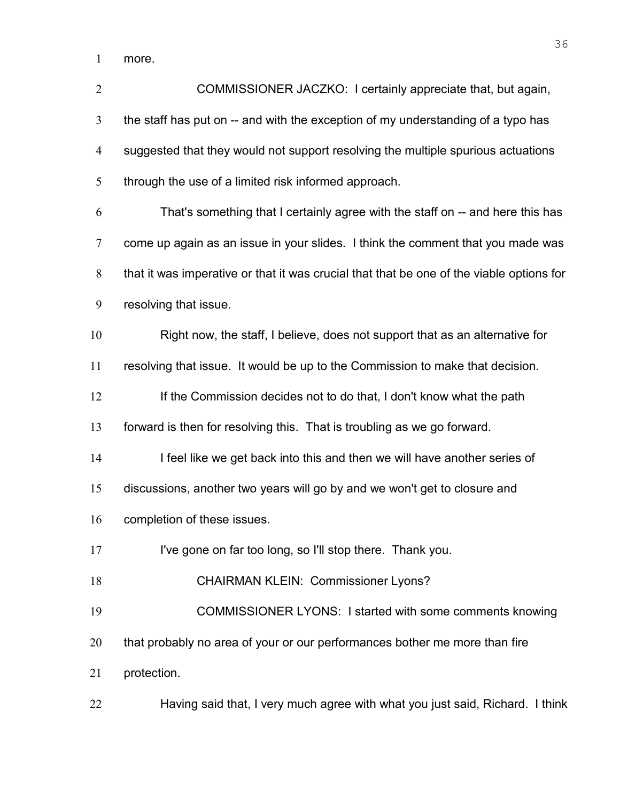more.

| $\overline{2}$ | COMMISSIONER JACZKO: I certainly appreciate that, but again,                             |
|----------------|------------------------------------------------------------------------------------------|
| $\mathfrak{Z}$ | the staff has put on -- and with the exception of my understanding of a typo has         |
| $\overline{4}$ | suggested that they would not support resolving the multiple spurious actuations         |
| 5              | through the use of a limited risk informed approach.                                     |
| 6              | That's something that I certainly agree with the staff on -- and here this has           |
| $\overline{7}$ | come up again as an issue in your slides. I think the comment that you made was          |
| 8              | that it was imperative or that it was crucial that that be one of the viable options for |
| 9              | resolving that issue.                                                                    |
| 10             | Right now, the staff, I believe, does not support that as an alternative for             |
| 11             | resolving that issue. It would be up to the Commission to make that decision.            |
| 12             | If the Commission decides not to do that, I don't know what the path                     |
| 13             | forward is then for resolving this. That is troubling as we go forward.                  |
| 14             | I feel like we get back into this and then we will have another series of                |
| 15             | discussions, another two years will go by and we won't get to closure and                |
| 16             | completion of these issues.                                                              |
| 17             | I've gone on far too long, so I'll stop there. Thank you.                                |
| 18             | <b>CHAIRMAN KLEIN: Commissioner Lyons?</b>                                               |
| 19             | COMMISSIONER LYONS: I started with some comments knowing                                 |
| 20             | that probably no area of your or our performances bother me more than fire               |
| 21             | protection.                                                                              |
| 22             | Having said that, I very much agree with what you just said, Richard. I think            |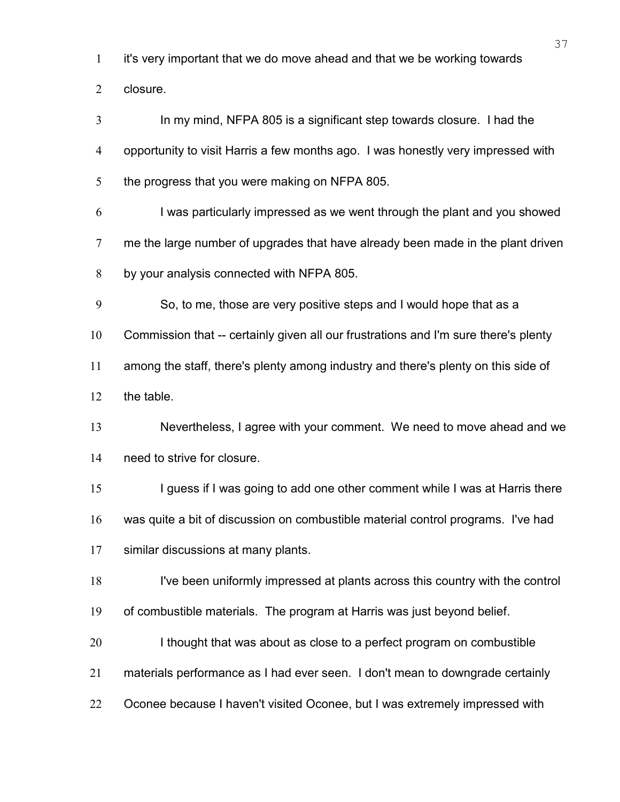it's very important that we do move ahead and that we be working towards

closure.

In my mind, NFPA 805 is a significant step towards closure. I had the opportunity to visit Harris a few months ago. I was honestly very impressed with the progress that you were making on NFPA 805.

I was particularly impressed as we went through the plant and you showed me the large number of upgrades that have already been made in the plant driven by your analysis connected with NFPA 805.

So, to me, those are very positive steps and I would hope that as a

Commission that -- certainly given all our frustrations and I'm sure there's plenty

among the staff, there's plenty among industry and there's plenty on this side of

the table.

Nevertheless, I agree with your comment. We need to move ahead and we need to strive for closure.

15 I guess if I was going to add one other comment while I was at Harris there was quite a bit of discussion on combustible material control programs. I've had similar discussions at many plants.

I've been uniformly impressed at plants across this country with the control

of combustible materials. The program at Harris was just beyond belief.

20 I thought that was about as close to a perfect program on combustible

materials performance as I had ever seen. I don't mean to downgrade certainly

22 Oconee because I haven't visited Oconee, but I was extremely impressed with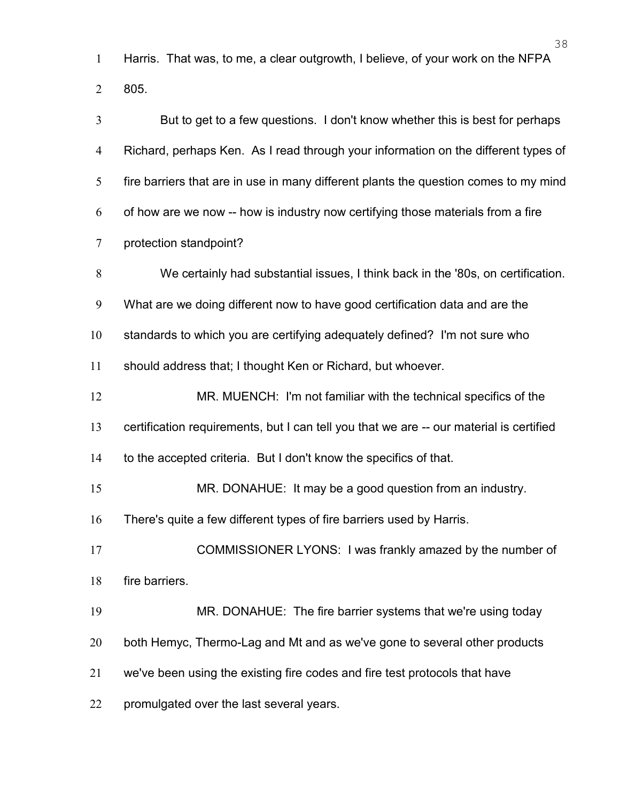Harris. That was, to me, a clear outgrowth, I believe, of your work on the NFPA 805.

| 3              | But to get to a few questions. I don't know whether this is best for perhaps            |
|----------------|-----------------------------------------------------------------------------------------|
| $\overline{4}$ | Richard, perhaps Ken. As I read through your information on the different types of      |
| 5              | fire barriers that are in use in many different plants the question comes to my mind    |
| 6              | of how are we now -- how is industry now certifying those materials from a fire         |
| 7              | protection standpoint?                                                                  |
| 8              | We certainly had substantial issues, I think back in the '80s, on certification.        |
| 9              | What are we doing different now to have good certification data and are the             |
| 10             | standards to which you are certifying adequately defined? I'm not sure who              |
| 11             | should address that; I thought Ken or Richard, but whoever.                             |
| 12             | MR. MUENCH: I'm not familiar with the technical specifics of the                        |
| 13             | certification requirements, but I can tell you that we are -- our material is certified |
| 14             | to the accepted criteria. But I don't know the specifics of that.                       |
| 15             | MR. DONAHUE: It may be a good question from an industry.                                |
| 16             | There's quite a few different types of fire barriers used by Harris.                    |
| 17             | COMMISSIONER LYONS: I was frankly amazed by the number of                               |
| 18             | fire barriers.                                                                          |
| 19             | MR. DONAHUE: The fire barrier systems that we're using today                            |
| 20             | both Hemyc, Thermo-Lag and Mt and as we've gone to several other products               |
| 21             | we've been using the existing fire codes and fire test protocols that have              |
| 22             | promulgated over the last several years.                                                |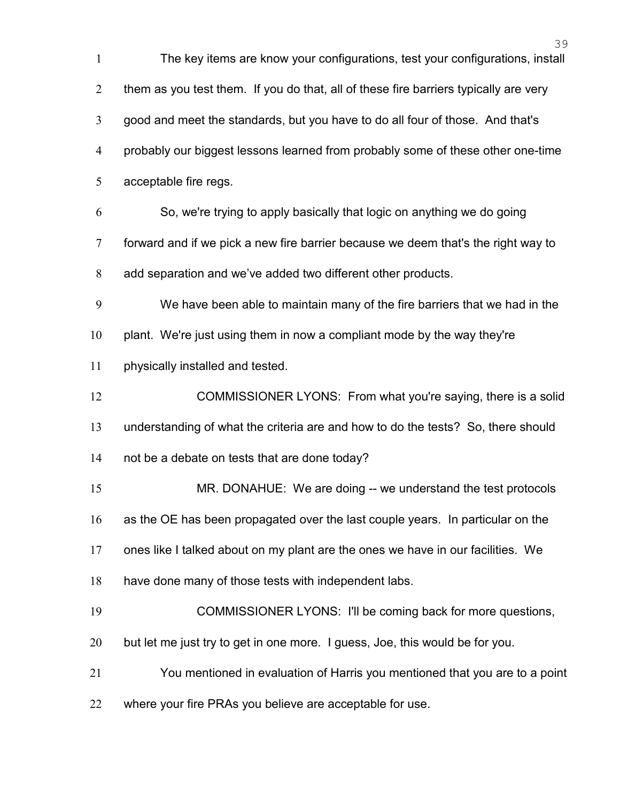|                | 39                                                                                   |
|----------------|--------------------------------------------------------------------------------------|
| $\mathbf{1}$   | The key items are know your configurations, test your configurations, install        |
| $\overline{2}$ | them as you test them. If you do that, all of these fire barriers typically are very |
| $\mathfrak{Z}$ | good and meet the standards, but you have to do all four of those. And that's        |
| $\overline{4}$ | probably our biggest lessons learned from probably some of these other one-time      |
| 5              | acceptable fire regs.                                                                |
| 6              | So, we're trying to apply basically that logic on anything we do going               |
| $\tau$         | forward and if we pick a new fire barrier because we deem that's the right way to    |
| 8              | add separation and we've added two different other products.                         |
| 9              | We have been able to maintain many of the fire barriers that we had in the           |
| 10             | plant. We're just using them in now a compliant mode by the way they're              |
| 11             | physically installed and tested.                                                     |
| 12             | COMMISSIONER LYONS: From what you're saying, there is a solid                        |
| 13             | understanding of what the criteria are and how to do the tests? So, there should     |
| 14             | not be a debate on tests that are done today?                                        |
| 15             | MR. DONAHUE: We are doing -- we understand the test protocols                        |
| 16             | as the OE has been propagated over the last couple years. In particular on the       |
| 17             | ones like I talked about on my plant are the ones we have in our facilities. We      |
| 18             | have done many of those tests with independent labs.                                 |
| 19             | COMMISSIONER LYONS: I'll be coming back for more questions,                          |
| 20             | but let me just try to get in one more. I guess, Joe, this would be for you.         |
| 21             | You mentioned in evaluation of Harris you mentioned that you are to a point          |
| 22             | where your fire PRAs you believe are acceptable for use.                             |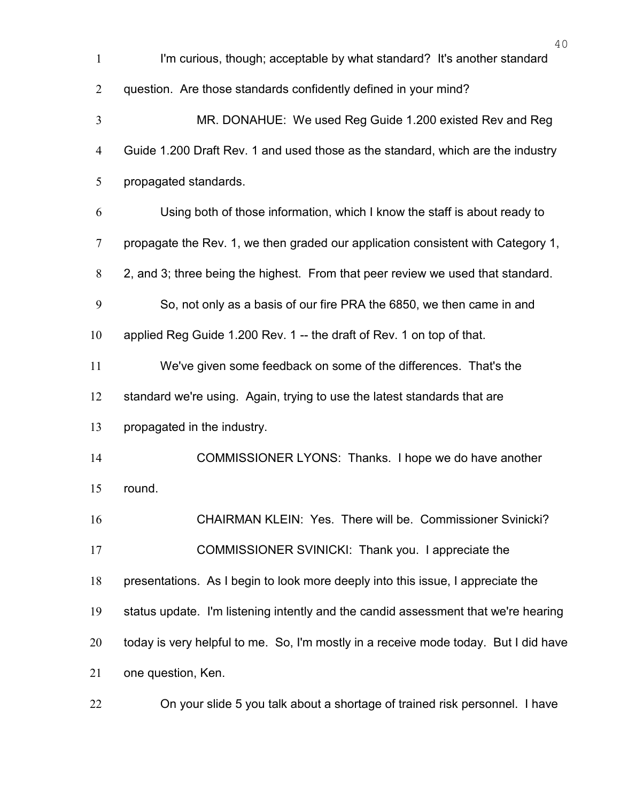| $\mathbf{1}$   | 40<br>I'm curious, though; acceptable by what standard? It's another standard       |
|----------------|-------------------------------------------------------------------------------------|
| $\overline{2}$ | question. Are those standards confidently defined in your mind?                     |
| 3              | MR. DONAHUE: We used Reg Guide 1.200 existed Rev and Reg                            |
| $\overline{4}$ | Guide 1.200 Draft Rev. 1 and used those as the standard, which are the industry     |
| 5              | propagated standards.                                                               |
| 6              | Using both of those information, which I know the staff is about ready to           |
| $\overline{7}$ | propagate the Rev. 1, we then graded our application consistent with Category 1,    |
| 8              | 2, and 3; three being the highest. From that peer review we used that standard.     |
| 9              | So, not only as a basis of our fire PRA the 6850, we then came in and               |
| 10             | applied Reg Guide 1.200 Rev. 1 -- the draft of Rev. 1 on top of that.               |
| 11             | We've given some feedback on some of the differences. That's the                    |
| 12             | standard we're using. Again, trying to use the latest standards that are            |
| 13             | propagated in the industry.                                                         |
| 14             | COMMISSIONER LYONS: Thanks. I hope we do have another                               |
| 15             | round.                                                                              |
| 16             | CHAIRMAN KLEIN: Yes. There will be. Commissioner Svinicki?                          |
| 17             | COMMISSIONER SVINICKI: Thank you. I appreciate the                                  |
| 18             | presentations. As I begin to look more deeply into this issue, I appreciate the     |
| 19             | status update. I'm listening intently and the candid assessment that we're hearing  |
| 20             | today is very helpful to me. So, I'm mostly in a receive mode today. But I did have |
| 21             | one question, Ken.                                                                  |
| 22             | On your slide 5 you talk about a shortage of trained risk personnel. I have         |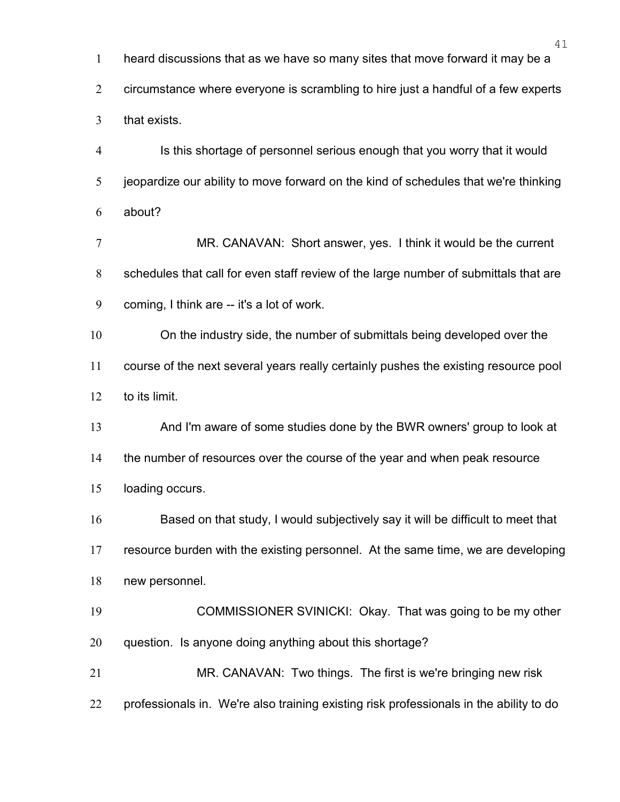heard discussions that as we have so many sites that move forward it may be a

circumstance where everyone is scrambling to hire just a handful of a few experts

that exists.

Is this shortage of personnel serious enough that you worry that it would jeopardize our ability to move forward on the kind of schedules that we're thinking about?

MR. CANAVAN: Short answer, yes. I think it would be the current schedules that call for even staff review of the large number of submittals that are coming, I think are -- it's a lot of work.

On the industry side, the number of submittals being developed over the course of the next several years really certainly pushes the existing resource pool to its limit.

And I'm aware of some studies done by the BWR owners' group to look at the number of resources over the course of the year and when peak resource loading occurs.

Based on that study, I would subjectively say it will be difficult to meet that resource burden with the existing personnel. At the same time, we are developing new personnel.

COMMISSIONER SVINICKI: Okay. That was going to be my other question. Is anyone doing anything about this shortage?

MR. CANAVAN: Two things. The first is we're bringing new risk professionals in. We're also training existing risk professionals in the ability to do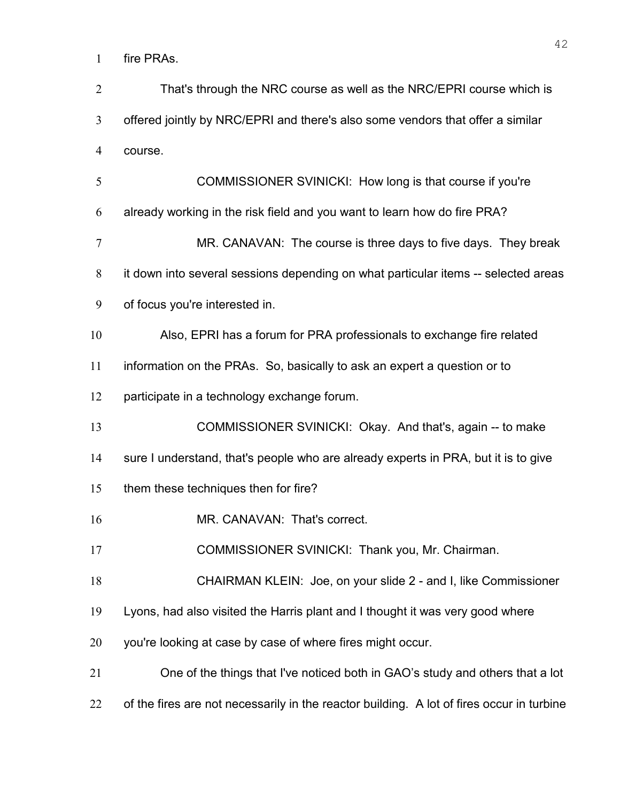fire PRAs.

| $\overline{2}$ | That's through the NRC course as well as the NRC/EPRI course which is                     |
|----------------|-------------------------------------------------------------------------------------------|
| $\mathfrak{Z}$ | offered jointly by NRC/EPRI and there's also some vendors that offer a similar            |
| 4              | course.                                                                                   |
| 5              | COMMISSIONER SVINICKI: How long is that course if you're                                  |
| 6              | already working in the risk field and you want to learn how do fire PRA?                  |
| $\tau$         | MR. CANAVAN: The course is three days to five days. They break                            |
| 8              | it down into several sessions depending on what particular items -- selected areas        |
| 9              | of focus you're interested in.                                                            |
| 10             | Also, EPRI has a forum for PRA professionals to exchange fire related                     |
| 11             | information on the PRAs. So, basically to ask an expert a question or to                  |
| 12             | participate in a technology exchange forum.                                               |
| 13             | COMMISSIONER SVINICKI: Okay. And that's, again -- to make                                 |
| 14             | sure I understand, that's people who are already experts in PRA, but it is to give        |
| 15             | them these techniques then for fire?                                                      |
| 16             | MR. CANAVAN: That's correct.                                                              |
| 17             | COMMISSIONER SVINICKI: Thank you, Mr. Chairman.                                           |
| 18             | CHAIRMAN KLEIN: Joe, on your slide 2 - and I, like Commissioner                           |
| 19             | Lyons, had also visited the Harris plant and I thought it was very good where             |
| 20             | you're looking at case by case of where fires might occur.                                |
| 21             | One of the things that I've noticed both in GAO's study and others that a lot             |
| 22             | of the fires are not necessarily in the reactor building. A lot of fires occur in turbine |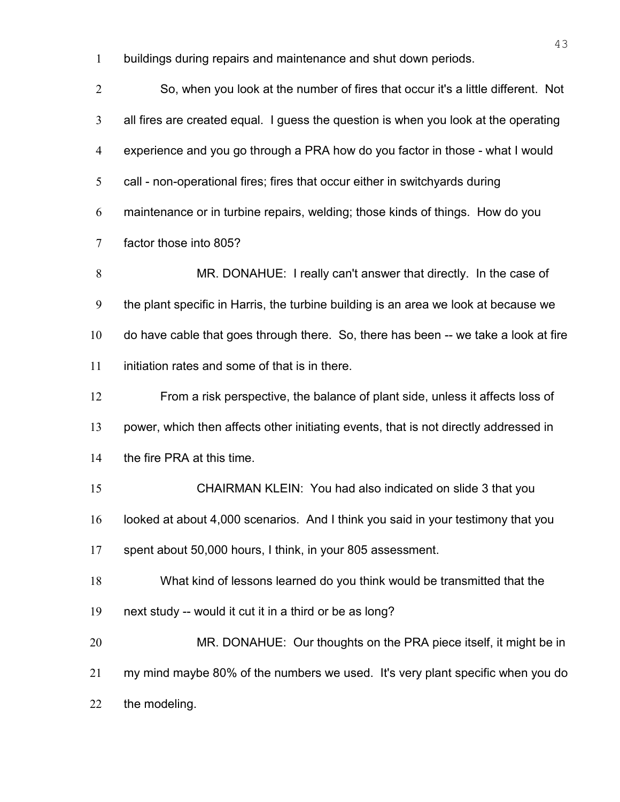buildings during repairs and maintenance and shut down periods.

So, when you look at the number of fires that occur it's a little different. Not all fires are created equal. I guess the question is when you look at the operating experience and you go through a PRA how do you factor in those - what I would call - non-operational fires; fires that occur either in switchyards during maintenance or in turbine repairs, welding; those kinds of things. How do you factor those into 805? MR. DONAHUE: I really can't answer that directly. In the case of the plant specific in Harris, the turbine building is an area we look at because we do have cable that goes through there. So, there has been -- we take a look at fire initiation rates and some of that is in there. From a risk perspective, the balance of plant side, unless it affects loss of power, which then affects other initiating events, that is not directly addressed in the fire PRA at this time. CHAIRMAN KLEIN: You had also indicated on slide 3 that you looked at about 4,000 scenarios. And I think you said in your testimony that you spent about 50,000 hours, I think, in your 805 assessment. What kind of lessons learned do you think would be transmitted that the next study -- would it cut it in a third or be as long? 20 MR. DONAHUE: Our thoughts on the PRA piece itself, it might be in my mind maybe 80% of the numbers we used. It's very plant specific when you do the modeling.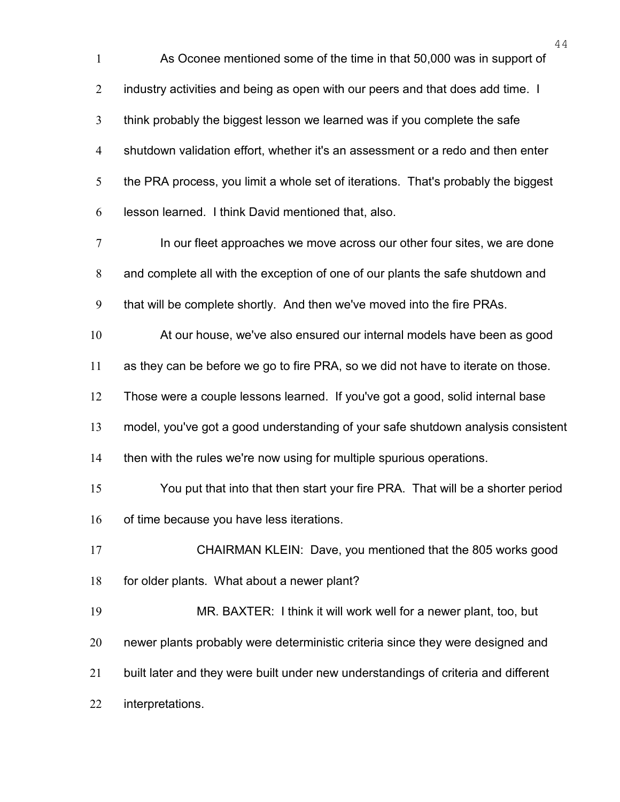As Oconee mentioned some of the time in that 50,000 was in support of 2 industry activities and being as open with our peers and that does add time. I think probably the biggest lesson we learned was if you complete the safe shutdown validation effort, whether it's an assessment or a redo and then enter the PRA process, you limit a whole set of iterations. That's probably the biggest lesson learned. I think David mentioned that, also. 7 In our fleet approaches we move across our other four sites, we are done and complete all with the exception of one of our plants the safe shutdown and that will be complete shortly. And then we've moved into the fire PRAs. At our house, we've also ensured our internal models have been as good as they can be before we go to fire PRA, so we did not have to iterate on those. Those were a couple lessons learned. If you've got a good, solid internal base model, you've got a good understanding of your safe shutdown analysis consistent then with the rules we're now using for multiple spurious operations. You put that into that then start your fire PRA. That will be a shorter period 16 of time because you have less iterations. CHAIRMAN KLEIN: Dave, you mentioned that the 805 works good for older plants. What about a newer plant? MR. BAXTER: I think it will work well for a newer plant, too, but newer plants probably were deterministic criteria since they were designed and built later and they were built under new understandings of criteria and different interpretations.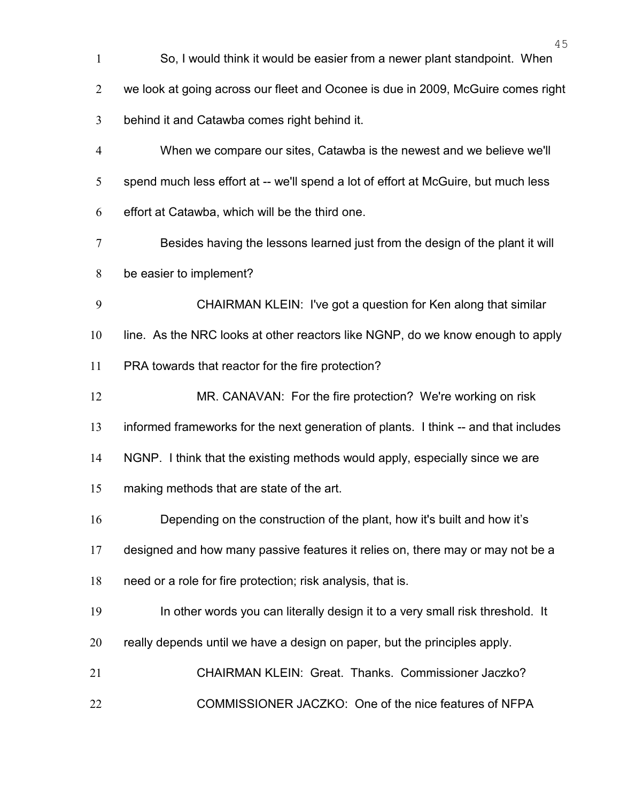| $\mathbf{1}$   | So, I would think it would be easier from a newer plant standpoint. When            |
|----------------|-------------------------------------------------------------------------------------|
| $\overline{2}$ | we look at going across our fleet and Oconee is due in 2009, McGuire comes right    |
| 3              | behind it and Catawba comes right behind it.                                        |
| $\overline{4}$ | When we compare our sites, Catawba is the newest and we believe we'll               |
| 5              | spend much less effort at -- we'll spend a lot of effort at McGuire, but much less  |
| 6              | effort at Catawba, which will be the third one.                                     |
| $\tau$         | Besides having the lessons learned just from the design of the plant it will        |
| 8              | be easier to implement?                                                             |
| 9              | CHAIRMAN KLEIN: I've got a question for Ken along that similar                      |
| 10             | line. As the NRC looks at other reactors like NGNP, do we know enough to apply      |
| 11             | PRA towards that reactor for the fire protection?                                   |
| 12             | MR. CANAVAN: For the fire protection? We're working on risk                         |
| 13             | informed frameworks for the next generation of plants. I think -- and that includes |
| 14             | NGNP. I think that the existing methods would apply, especially since we are        |
| 15             | making methods that are state of the art.                                           |
| 16             | Depending on the construction of the plant, how it's built and how it's             |
| 17             | designed and how many passive features it relies on, there may or may not be a      |
| 18             | need or a role for fire protection; risk analysis, that is.                         |
| 19             | In other words you can literally design it to a very small risk threshold. It       |
| 20             | really depends until we have a design on paper, but the principles apply.           |
| 21             | CHAIRMAN KLEIN: Great. Thanks. Commissioner Jaczko?                                 |
| 22             | COMMISSIONER JACZKO: One of the nice features of NFPA                               |
|                |                                                                                     |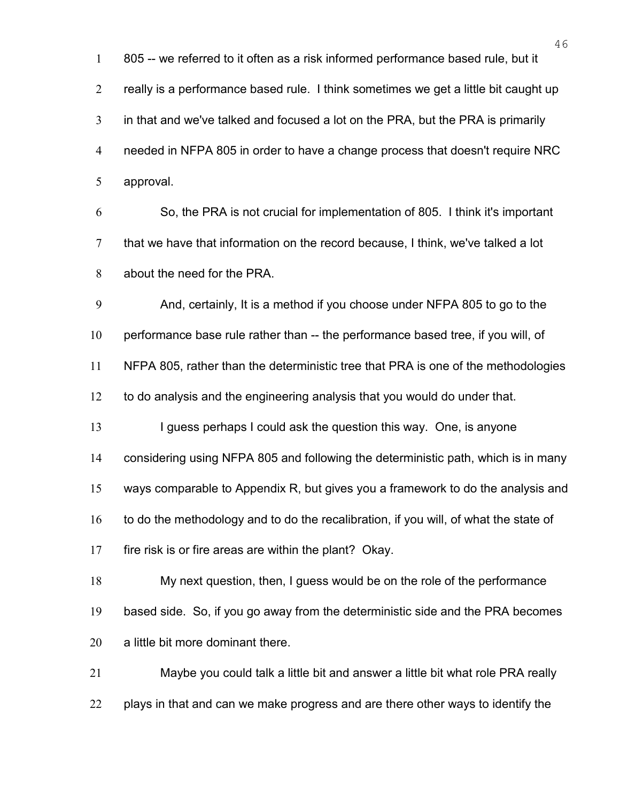805 -- we referred to it often as a risk informed performance based rule, but it really is a performance based rule. I think sometimes we get a little bit caught up in that and we've talked and focused a lot on the PRA, but the PRA is primarily needed in NFPA 805 in order to have a change process that doesn't require NRC approval.

So, the PRA is not crucial for implementation of 805. I think it's important that we have that information on the record because, I think, we've talked a lot about the need for the PRA.

And, certainly, It is a method if you choose under NFPA 805 to go to the

performance base rule rather than -- the performance based tree, if you will, of

NFPA 805, rather than the deterministic tree that PRA is one of the methodologies

to do analysis and the engineering analysis that you would do under that.

13 I guess perhaps I could ask the question this way. One, is anyone

considering using NFPA 805 and following the deterministic path, which is in many

ways comparable to Appendix R, but gives you a framework to do the analysis and

16 to do the methodology and to do the recalibration, if you will, of what the state of

fire risk is or fire areas are within the plant? Okay.

My next question, then, I guess would be on the role of the performance based side. So, if you go away from the deterministic side and the PRA becomes a little bit more dominant there.

Maybe you could talk a little bit and answer a little bit what role PRA really plays in that and can we make progress and are there other ways to identify the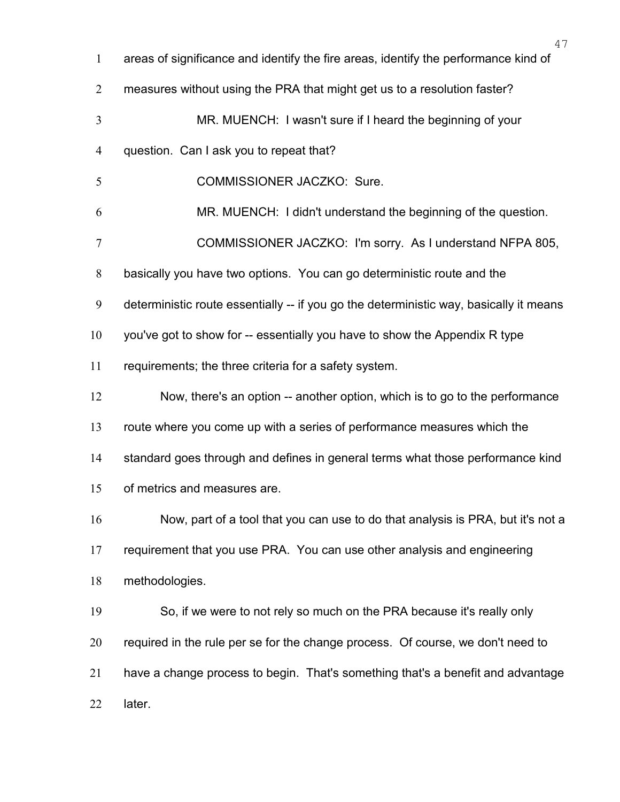| $\mathbf{1}$   | 47<br>areas of significance and identify the fire areas, identify the performance kind of |
|----------------|-------------------------------------------------------------------------------------------|
| $\overline{2}$ | measures without using the PRA that might get us to a resolution faster?                  |
| 3              | MR. MUENCH: I wasn't sure if I heard the beginning of your                                |
| 4              | question. Can I ask you to repeat that?                                                   |
| 5              | COMMISSIONER JACZKO: Sure.                                                                |
| 6              | MR. MUENCH: I didn't understand the beginning of the question.                            |
| 7              | COMMISSIONER JACZKO: I'm sorry. As I understand NFPA 805,                                 |
| $8\,$          | basically you have two options. You can go deterministic route and the                    |
| 9              | deterministic route essentially -- if you go the deterministic way, basically it means    |
| 10             | you've got to show for -- essentially you have to show the Appendix R type                |
| 11             | requirements; the three criteria for a safety system.                                     |
| 12             | Now, there's an option -- another option, which is to go to the performance               |
| 13             | route where you come up with a series of performance measures which the                   |
| 14             | standard goes through and defines in general terms what those performance kind            |
| 15             | of metrics and measures are                                                               |
| 16             | Now, part of a tool that you can use to do that analysis is PRA, but it's not a           |
| 17             | requirement that you use PRA. You can use other analysis and engineering                  |
| 18             | methodologies.                                                                            |
| 19             | So, if we were to not rely so much on the PRA because it's really only                    |
| 20             | required in the rule per se for the change process. Of course, we don't need to           |
| 21             | have a change process to begin. That's something that's a benefit and advantage           |
| 22             | later.                                                                                    |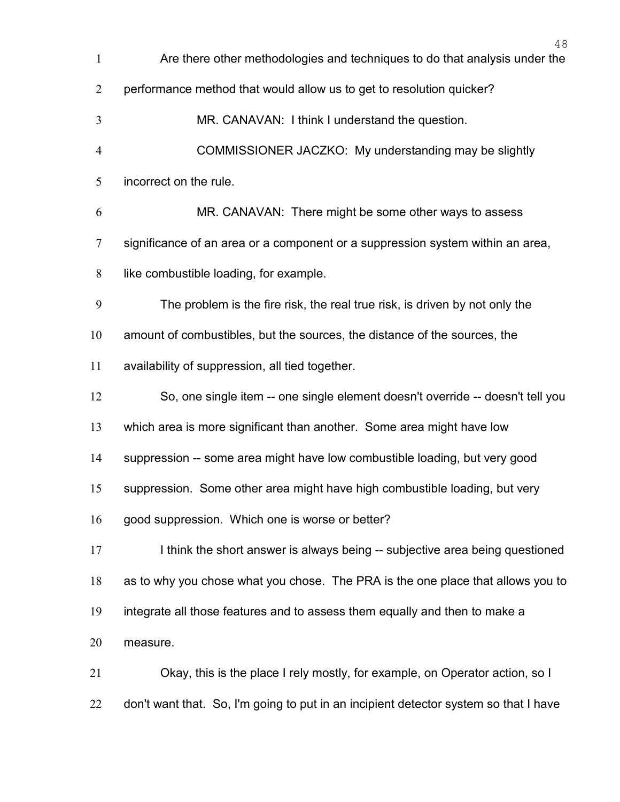Are there other methodologies and techniques to do that analysis under the performance method that would allow us to get to resolution quicker? MR. CANAVAN: I think I understand the question. COMMISSIONER JACZKO: My understanding may be slightly incorrect on the rule. MR. CANAVAN: There might be some other ways to assess significance of an area or a component or a suppression system within an area, like combustible loading, for example. The problem is the fire risk, the real true risk, is driven by not only the amount of combustibles, but the sources, the distance of the sources, the availability of suppression, all tied together. So, one single item -- one single element doesn't override -- doesn't tell you which area is more significant than another. Some area might have low suppression -- some area might have low combustible loading, but very good suppression. Some other area might have high combustible loading, but very good suppression. Which one is worse or better? 17 I think the short answer is always being -- subjective area being questioned as to why you chose what you chose. The PRA is the one place that allows you to integrate all those features and to assess them equally and then to make a measure. Okay, this is the place I rely mostly, for example, on Operator action, so I 22 don't want that. So, I'm going to put in an incipient detector system so that I have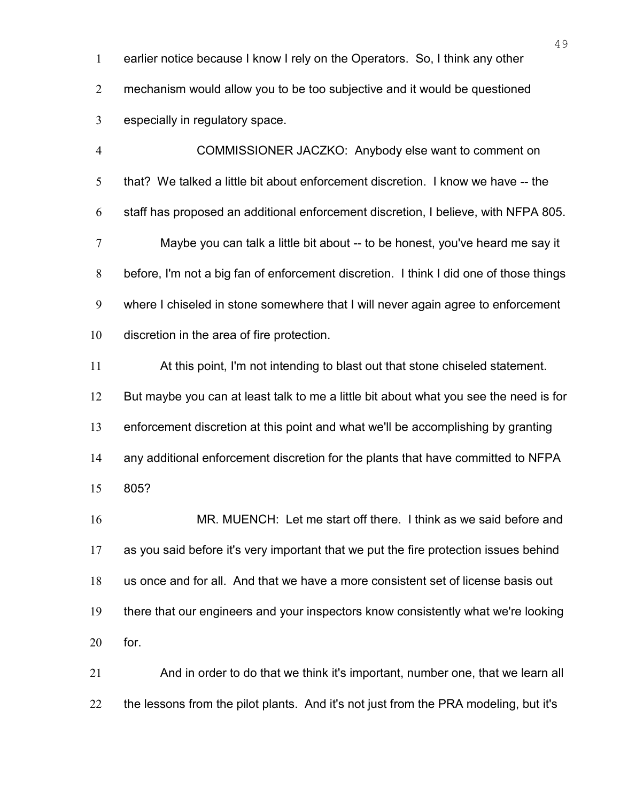earlier notice because I know I rely on the Operators. So, I think any other mechanism would allow you to be too subjective and it would be questioned especially in regulatory space.

COMMISSIONER JACZKO: Anybody else want to comment on that? We talked a little bit about enforcement discretion. I know we have -- the staff has proposed an additional enforcement discretion, I believe, with NFPA 805. Maybe you can talk a little bit about -- to be honest, you've heard me say it before, I'm not a big fan of enforcement discretion. I think I did one of those things where I chiseled in stone somewhere that I will never again agree to enforcement discretion in the area of fire protection. At this point, I'm not intending to blast out that stone chiseled statement. But maybe you can at least talk to me a little bit about what you see the need is for enforcement discretion at this point and what we'll be accomplishing by granting any additional enforcement discretion for the plants that have committed to NFPA 805? MR. MUENCH: Let me start off there. I think as we said before and as you said before it's very important that we put the fire protection issues behind us once and for all. And that we have a more consistent set of license basis out there that our engineers and your inspectors know consistently what we're looking

for.

And in order to do that we think it's important, number one, that we learn all 22 the lessons from the pilot plants. And it's not just from the PRA modeling, but it's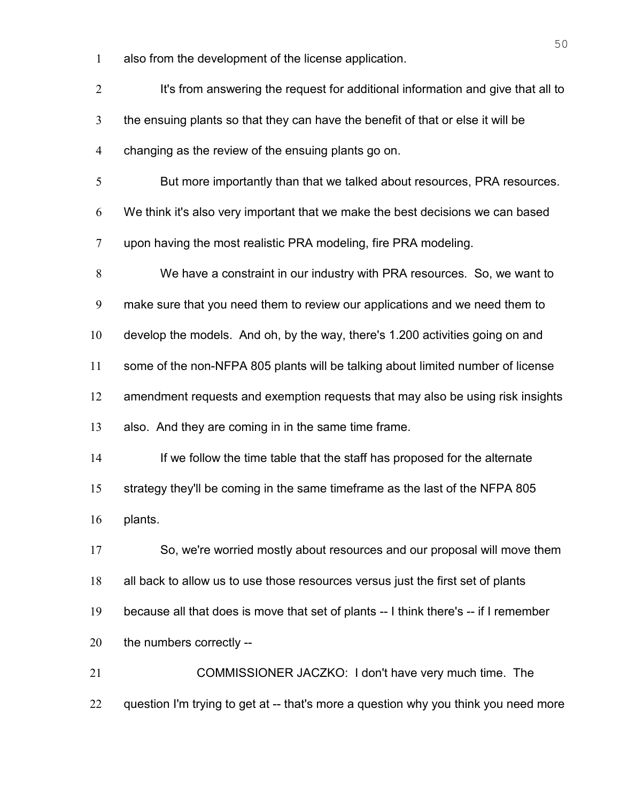also from the development of the license application.

| $\overline{2}$ | It's from answering the request for additional information and give that all to      |
|----------------|--------------------------------------------------------------------------------------|
| 3              | the ensuing plants so that they can have the benefit of that or else it will be      |
| 4              | changing as the review of the ensuing plants go on.                                  |
| 5              | But more importantly than that we talked about resources, PRA resources.             |
| 6              | We think it's also very important that we make the best decisions we can based       |
| 7              | upon having the most realistic PRA modeling, fire PRA modeling.                      |
| 8              | We have a constraint in our industry with PRA resources. So, we want to              |
| 9              | make sure that you need them to review our applications and we need them to          |
| 10             | develop the models. And oh, by the way, there's 1.200 activities going on and        |
| 11             | some of the non-NFPA 805 plants will be talking about limited number of license      |
| 12             | amendment requests and exemption requests that may also be using risk insights       |
| 13             | also. And they are coming in in the same time frame.                                 |
| 14             | If we follow the time table that the staff has proposed for the alternate            |
| 15             | strategy they'll be coming in the same timeframe as the last of the NFPA 805         |
| 16             | plants.                                                                              |
| 17             | So, we're worried mostly about resources and our proposal will move them             |
| 18             | all back to allow us to use those resources versus just the first set of plants      |
| 19             | because all that does is move that set of plants -- I think there's -- if I remember |
| 20             | the numbers correctly --                                                             |
| 21             | COMMISSIONER JACZKO: I don't have very much time. The                                |
| 22             | question I'm trying to get at -- that's more a question why you think you need more  |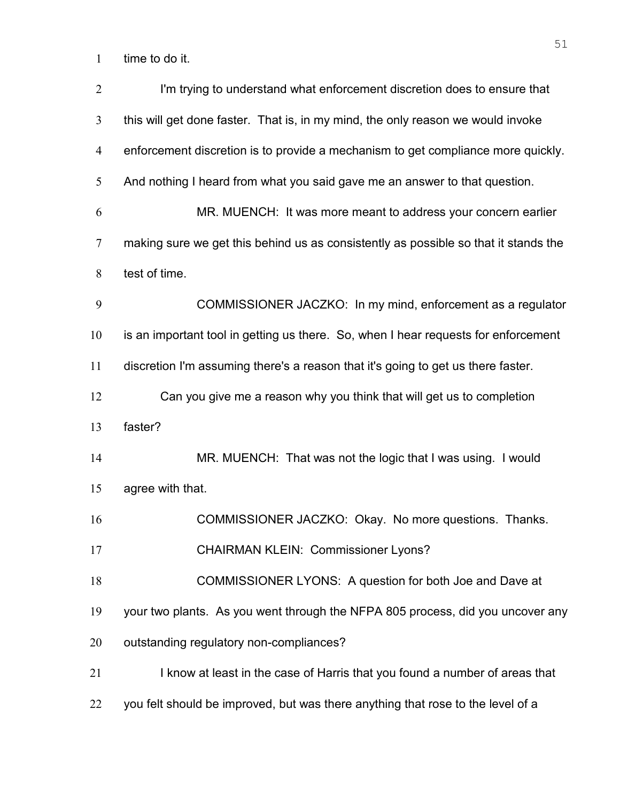time to do it.

| $\overline{2}$ | I'm trying to understand what enforcement discretion does to ensure that            |
|----------------|-------------------------------------------------------------------------------------|
| 3              | this will get done faster. That is, in my mind, the only reason we would invoke     |
| 4              | enforcement discretion is to provide a mechanism to get compliance more quickly.    |
| 5              | And nothing I heard from what you said gave me an answer to that question.          |
| 6              | MR. MUENCH: It was more meant to address your concern earlier                       |
| $\overline{7}$ | making sure we get this behind us as consistently as possible so that it stands the |
| 8              | test of time.                                                                       |
| 9              | COMMISSIONER JACZKO: In my mind, enforcement as a regulator                         |
| 10             | is an important tool in getting us there. So, when I hear requests for enforcement  |
| 11             | discretion I'm assuming there's a reason that it's going to get us there faster.    |
| 12             | Can you give me a reason why you think that will get us to completion               |
| 13             | faster?                                                                             |
| 14             | MR. MUENCH: That was not the logic that I was using. I would                        |
| 15             | agree with that.                                                                    |
| 16             | COMMISSIONER JACZKO: Okay. No more questions. Thanks.                               |
| 17             | <b>CHAIRMAN KLEIN: Commissioner Lyons?</b>                                          |
| 18             | COMMISSIONER LYONS: A question for both Joe and Dave at                             |
| 19             | your two plants. As you went through the NFPA 805 process, did you uncover any      |
| 20             | outstanding regulatory non-compliances?                                             |
| 21             | I know at least in the case of Harris that you found a number of areas that         |
| 22             | you felt should be improved, but was there anything that rose to the level of a     |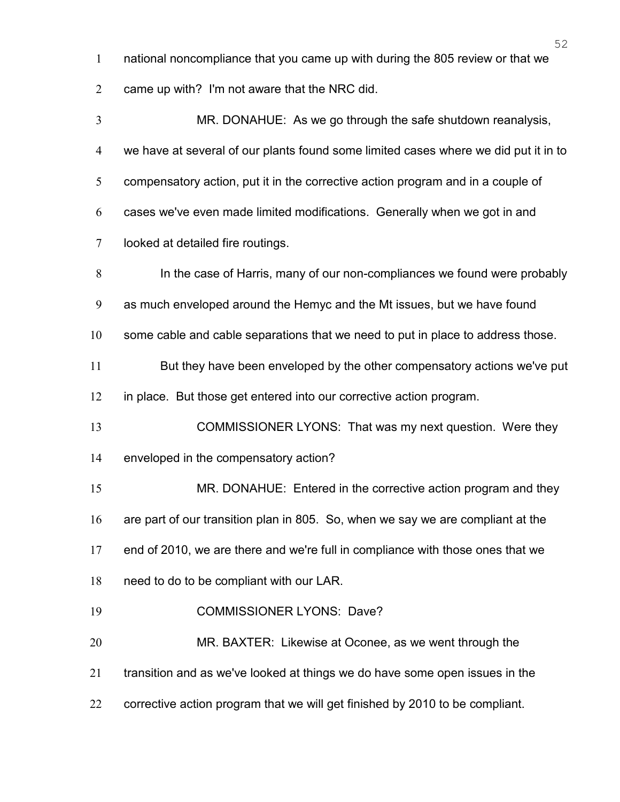- national noncompliance that you came up with during the 805 review or that we
- came up with? I'm not aware that the NRC did.

MR. DONAHUE: As we go through the safe shutdown reanalysis, we have at several of our plants found some limited cases where we did put it in to 5 compensatory action, put it in the corrective action program and in a couple of cases we've even made limited modifications. Generally when we got in and looked at detailed fire routings. In the case of Harris, many of our non-compliances we found were probably as much enveloped around the Hemyc and the Mt issues, but we have found some cable and cable separations that we need to put in place to address those. 11 But they have been enveloped by the other compensatory actions we've put in place. But those get entered into our corrective action program. COMMISSIONER LYONS: That was my next question. Were they enveloped in the compensatory action? MR. DONAHUE: Entered in the corrective action program and they are part of our transition plan in 805. So, when we say we are compliant at the end of 2010, we are there and we're full in compliance with those ones that we need to do to be compliant with our LAR. COMMISSIONER LYONS: Dave? MR. BAXTER: Likewise at Oconee, as we went through the transition and as we've looked at things we do have some open issues in the corrective action program that we will get finished by 2010 to be compliant.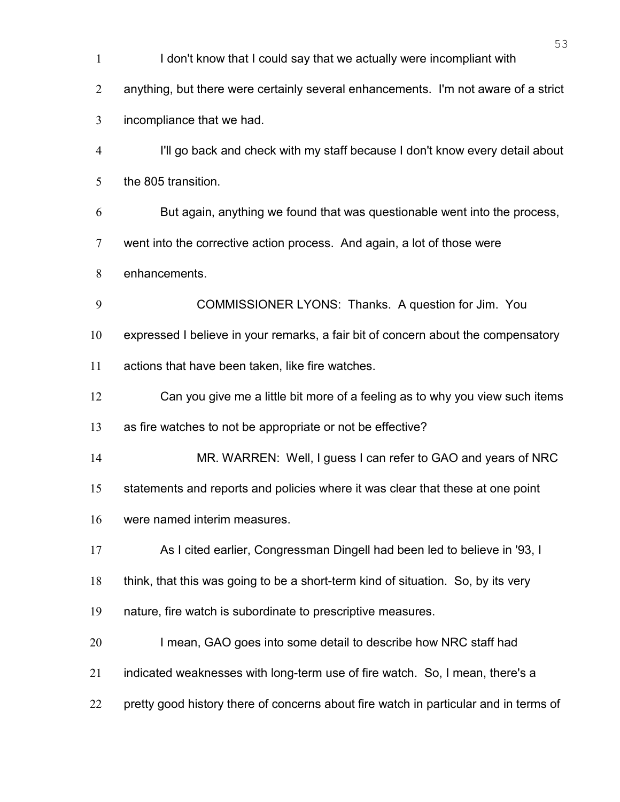I don't know that I could say that we actually were incompliant with anything, but there were certainly several enhancements. I'm not aware of a strict incompliance that we had. I'll go back and check with my staff because I don't know every detail about the 805 transition. But again, anything we found that was questionable went into the process, went into the corrective action process. And again, a lot of those were enhancements. COMMISSIONER LYONS: Thanks. A question for Jim. You expressed I believe in your remarks, a fair bit of concern about the compensatory actions that have been taken, like fire watches. Can you give me a little bit more of a feeling as to why you view such items as fire watches to not be appropriate or not be effective? MR. WARREN: Well, I guess I can refer to GAO and years of NRC statements and reports and policies where it was clear that these at one point were named interim measures. As I cited earlier, Congressman Dingell had been led to believe in '93, I think, that this was going to be a short-term kind of situation. So, by its very nature, fire watch is subordinate to prescriptive measures. I mean, GAO goes into some detail to describe how NRC staff had indicated weaknesses with long-term use of fire watch. So, I mean, there's a 22 pretty good history there of concerns about fire watch in particular and in terms of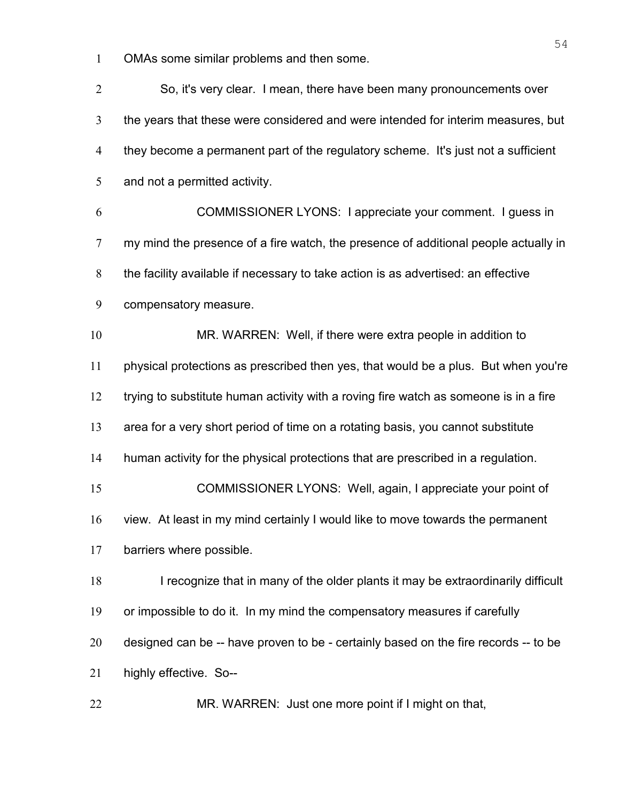OMAs some similar problems and then some.

So, it's very clear. I mean, there have been many pronouncements over the years that these were considered and were intended for interim measures, but they become a permanent part of the regulatory scheme. It's just not a sufficient 5 and not a permitted activity. COMMISSIONER LYONS: I appreciate your comment. I guess in my mind the presence of a fire watch, the presence of additional people actually in the facility available if necessary to take action is as advertised: an effective compensatory measure. MR. WARREN: Well, if there were extra people in addition to physical protections as prescribed then yes, that would be a plus. But when you're trying to substitute human activity with a roving fire watch as someone is in a fire area for a very short period of time on a rotating basis, you cannot substitute human activity for the physical protections that are prescribed in a regulation. COMMISSIONER LYONS: Well, again, I appreciate your point of view. At least in my mind certainly I would like to move towards the permanent barriers where possible. 18 I recognize that in many of the older plants it may be extraordinarily difficult or impossible to do it. In my mind the compensatory measures if carefully designed can be -- have proven to be - certainly based on the fire records -- to be highly effective. So-- MR. WARREN: Just one more point if I might on that,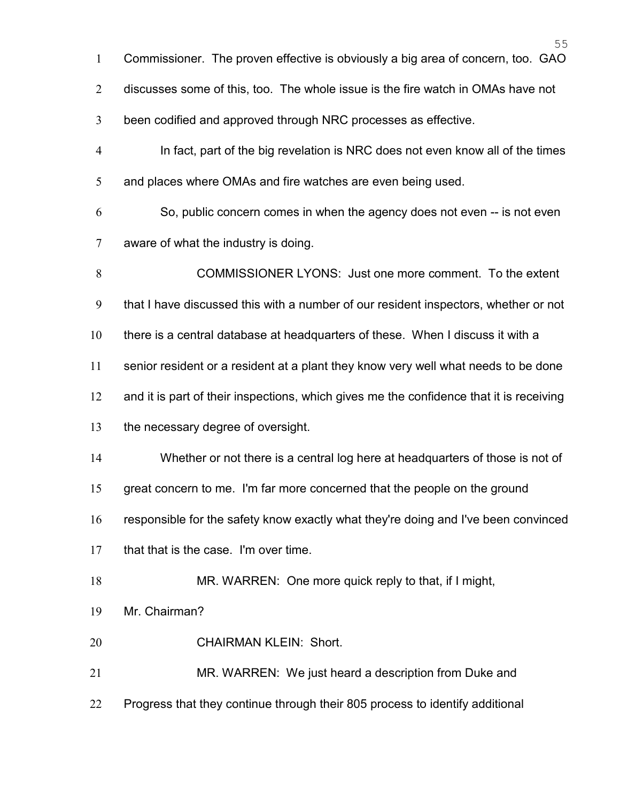| $\mathbf{1}$   | Commissioner. The proven effective is obviously a big area of concern, too. GAO         |
|----------------|-----------------------------------------------------------------------------------------|
| $\overline{2}$ | discusses some of this, too. The whole issue is the fire watch in OMAs have not         |
| 3              | been codified and approved through NRC processes as effective.                          |
| $\overline{4}$ | In fact, part of the big revelation is NRC does not even know all of the times          |
| 5              | and places where OMAs and fire watches are even being used.                             |
| 6              | So, public concern comes in when the agency does not even -- is not even                |
| 7              | aware of what the industry is doing.                                                    |
| 8              | COMMISSIONER LYONS: Just one more comment. To the extent                                |
| 9              | that I have discussed this with a number of our resident inspectors, whether or not     |
| 10             | there is a central database at headquarters of these. When I discuss it with a          |
| 11             | senior resident or a resident at a plant they know very well what needs to be done      |
| 12             | and it is part of their inspections, which gives me the confidence that it is receiving |
| 13             | the necessary degree of oversight.                                                      |
| 14             | Whether or not there is a central log here at headquarters of those is not of           |
| 15             | great concern to me. I'm far more concerned that the people on the ground               |
| 16             | responsible for the safety know exactly what they're doing and I've been convinced      |
| 17             | that that is the case. I'm over time.                                                   |
| 18             | MR. WARREN: One more quick reply to that, if I might,                                   |
| 19             | Mr. Chairman?                                                                           |
| 20             | <b>CHAIRMAN KLEIN: Short.</b>                                                           |
| 21             | MR. WARREN: We just heard a description from Duke and                                   |
| 22             | Progress that they continue through their 805 process to identify additional            |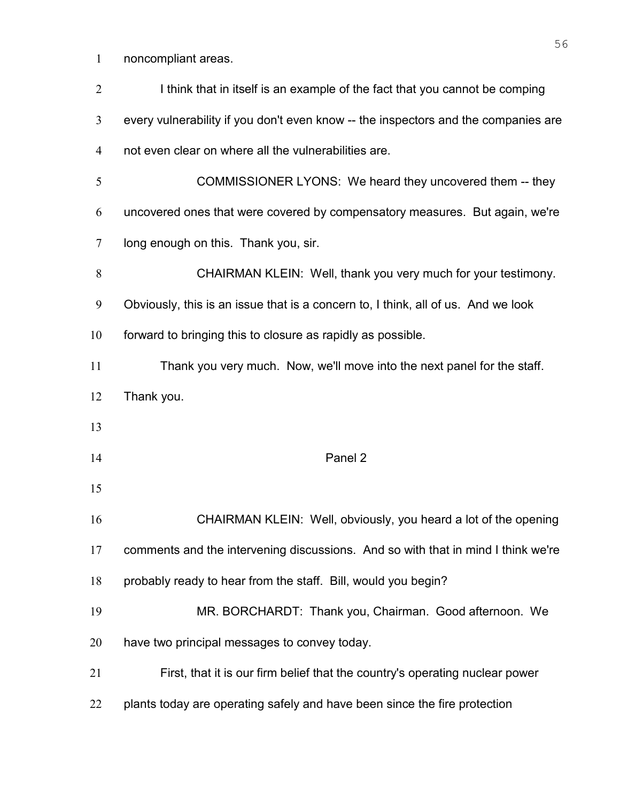noncompliant areas.

| $\overline{2}$ | I think that in itself is an example of the fact that you cannot be comping        |
|----------------|------------------------------------------------------------------------------------|
| 3              | every vulnerability if you don't even know -- the inspectors and the companies are |
| $\overline{4}$ | not even clear on where all the vulnerabilities are.                               |
| 5              | COMMISSIONER LYONS: We heard they uncovered them -- they                           |
| 6              | uncovered ones that were covered by compensatory measures. But again, we're        |
| 7              | long enough on this. Thank you, sir.                                               |
| 8              | CHAIRMAN KLEIN: Well, thank you very much for your testimony.                      |
| 9              | Obviously, this is an issue that is a concern to, I think, all of us. And we look  |
| 10             | forward to bringing this to closure as rapidly as possible.                        |
| 11             | Thank you very much. Now, we'll move into the next panel for the staff.            |
| 12             | Thank you.                                                                         |
| 13             |                                                                                    |
| 14             | Panel 2                                                                            |
| 15             |                                                                                    |
| 16             | CHAIRMAN KLEIN: Well, obviously, you heard a lot of the opening                    |
| 17             | comments and the intervening discussions. And so with that in mind I think we're   |
| 18             | probably ready to hear from the staff. Bill, would you begin?                      |
| 19             | MR. BORCHARDT: Thank you, Chairman. Good afternoon. We                             |
| 20             | have two principal messages to convey today.                                       |
| 21             | First, that it is our firm belief that the country's operating nuclear power       |
| 22             | plants today are operating safely and have been since the fire protection          |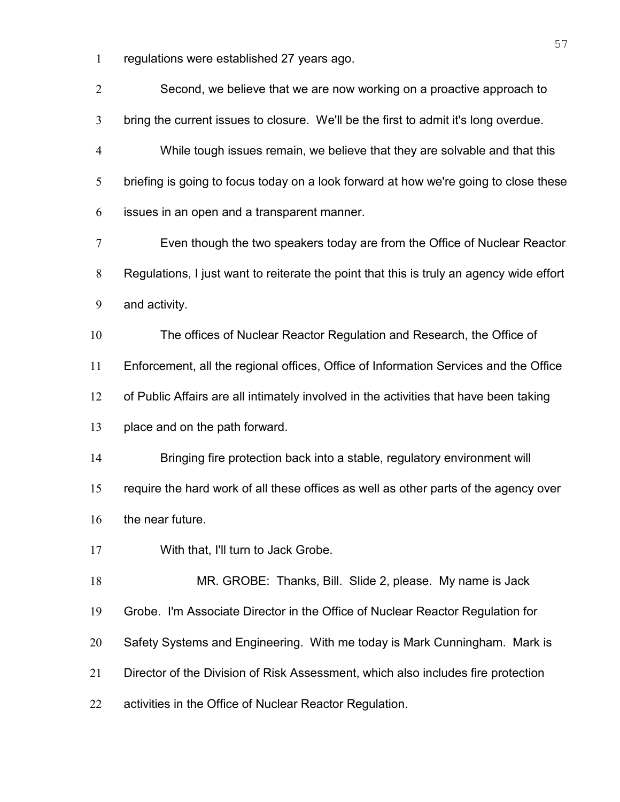regulations were established 27 years ago.

| $\sqrt{2}$     | Second, we believe that we are now working on a proactive approach to                    |
|----------------|------------------------------------------------------------------------------------------|
| 3              | bring the current issues to closure. We'll be the first to admit it's long overdue.      |
| $\overline{4}$ | While tough issues remain, we believe that they are solvable and that this               |
| 5              | briefing is going to focus today on a look forward at how we're going to close these     |
| 6              | issues in an open and a transparent manner.                                              |
| 7              | Even though the two speakers today are from the Office of Nuclear Reactor                |
| 8              | Regulations, I just want to reiterate the point that this is truly an agency wide effort |
| 9              | and activity.                                                                            |
| 10             | The offices of Nuclear Reactor Regulation and Research, the Office of                    |
| 11             | Enforcement, all the regional offices, Office of Information Services and the Office     |
| 12             | of Public Affairs are all intimately involved in the activities that have been taking    |
| 13             | place and on the path forward.                                                           |
| 14             | Bringing fire protection back into a stable, regulatory environment will                 |
| 15             | require the hard work of all these offices as well as other parts of the agency over     |
| 16             | the near future.                                                                         |
| 17             | With that, I'll turn to Jack Grobe.                                                      |
| 18             | MR. GROBE: Thanks, Bill. Slide 2, please. My name is Jack                                |
| 19             | Grobe. I'm Associate Director in the Office of Nuclear Reactor Regulation for            |
| 20             | Safety Systems and Engineering. With me today is Mark Cunningham. Mark is                |
| 21             | Director of the Division of Risk Assessment, which also includes fire protection         |
| 22             | activities in the Office of Nuclear Reactor Regulation.                                  |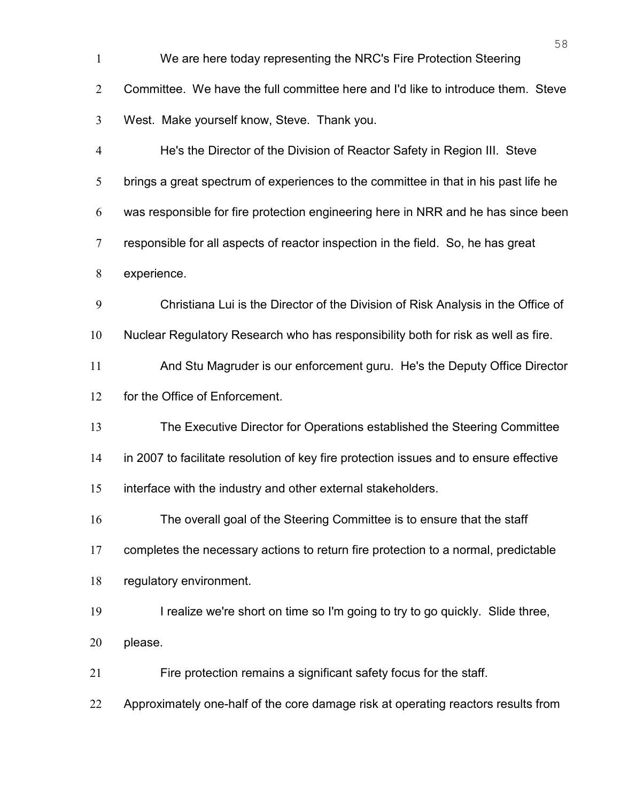| $\mathbf{1}$   | We are here today representing the NRC's Fire Protection Steering                      |
|----------------|----------------------------------------------------------------------------------------|
| $\overline{2}$ | Committee. We have the full committee here and I'd like to introduce them. Steve       |
| 3              | West. Make yourself know, Steve. Thank you.                                            |
| $\overline{4}$ | He's the Director of the Division of Reactor Safety in Region III. Steve               |
| 5              | brings a great spectrum of experiences to the committee in that in his past life he    |
| 6              | was responsible for fire protection engineering here in NRR and he has since been      |
| $\overline{7}$ | responsible for all aspects of reactor inspection in the field. So, he has great       |
| 8              | experience.                                                                            |
| 9              | Christiana Lui is the Director of the Division of Risk Analysis in the Office of       |
| 10             | Nuclear Regulatory Research who has responsibility both for risk as well as fire.      |
| 11             | And Stu Magruder is our enforcement guru. He's the Deputy Office Director              |
| 12             | for the Office of Enforcement.                                                         |
| 13             | The Executive Director for Operations established the Steering Committee               |
| 14             | in 2007 to facilitate resolution of key fire protection issues and to ensure effective |
| 15             | interface with the industry and other external stakeholders.                           |
| 16             | The overall goal of the Steering Committee is to ensure that the staff                 |
| 17             | completes the necessary actions to return fire protection to a normal, predictable     |
| 18             | regulatory environment.                                                                |
| 19             | I realize we're short on time so I'm going to try to go quickly. Slide three,          |
| 20             | please.                                                                                |
| 21             | Fire protection remains a significant safety focus for the staff.                      |
| 22             | Approximately one-half of the core damage risk at operating reactors results from      |
|                |                                                                                        |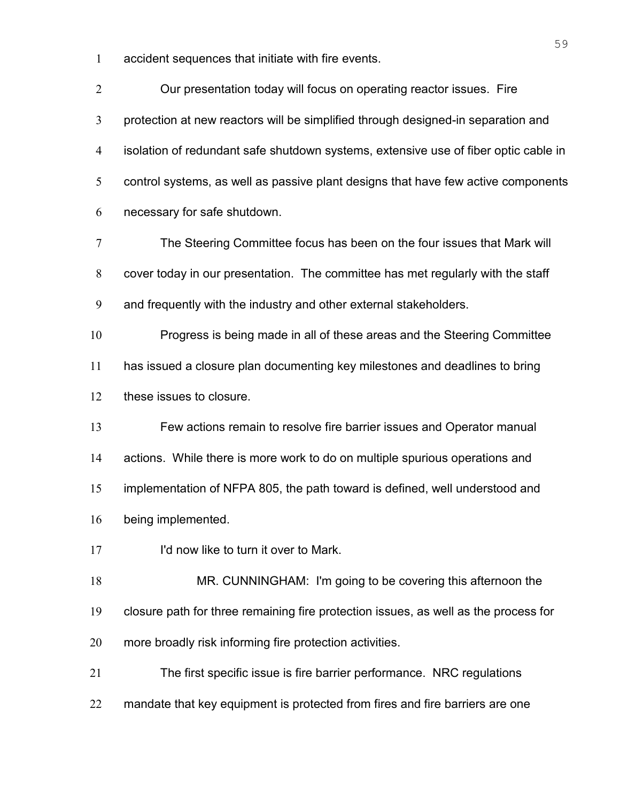accident sequences that initiate with fire events.

| $\overline{2}$ | Our presentation today will focus on operating reactor issues. Fire                 |
|----------------|-------------------------------------------------------------------------------------|
| 3              | protection at new reactors will be simplified through designed-in separation and    |
| 4              | isolation of redundant safe shutdown systems, extensive use of fiber optic cable in |
| 5              | control systems, as well as passive plant designs that have few active components   |
| 6              | necessary for safe shutdown.                                                        |
| 7              | The Steering Committee focus has been on the four issues that Mark will             |
| 8              | cover today in our presentation. The committee has met regularly with the staff     |
| 9              | and frequently with the industry and other external stakeholders.                   |
| 10             | Progress is being made in all of these areas and the Steering Committee             |
| 11             | has issued a closure plan documenting key milestones and deadlines to bring         |
| 12             | these issues to closure.                                                            |
| 13             | Few actions remain to resolve fire barrier issues and Operator manual               |
| 14             | actions. While there is more work to do on multiple spurious operations and         |
| 15             | implementation of NFPA 805, the path toward is defined, well understood and         |
| 16             | being implemented.                                                                  |
| 17             | I'd now like to turn it over to Mark.                                               |
| 18             | MR. CUNNINGHAM: I'm going to be covering this afternoon the                         |
| 19             | closure path for three remaining fire protection issues, as well as the process for |
| 20             | more broadly risk informing fire protection activities.                             |
| 21             | The first specific issue is fire barrier performance. NRC regulations               |
| 22             | mandate that key equipment is protected from fires and fire barriers are one        |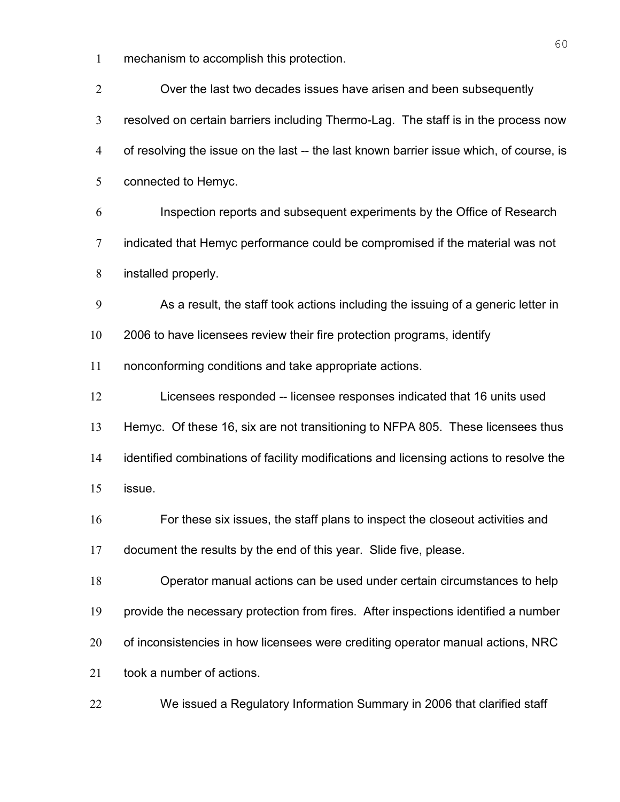mechanism to accomplish this protection.

| $\overline{2}$ | Over the last two decades issues have arisen and been subsequently                      |
|----------------|-----------------------------------------------------------------------------------------|
| 3              | resolved on certain barriers including Thermo-Lag. The staff is in the process now      |
| $\overline{4}$ | of resolving the issue on the last -- the last known barrier issue which, of course, is |
| 5              | connected to Hemyc.                                                                     |
| 6              | Inspection reports and subsequent experiments by the Office of Research                 |
| $\overline{7}$ | indicated that Hemyc performance could be compromised if the material was not           |
| 8              | installed properly.                                                                     |
| 9              | As a result, the staff took actions including the issuing of a generic letter in        |
| 10             | 2006 to have licensees review their fire protection programs, identify                  |
| 11             | nonconforming conditions and take appropriate actions.                                  |
| 12             | Licensees responded -- licensee responses indicated that 16 units used                  |
| 13             | Hemyc. Of these 16, six are not transitioning to NFPA 805. These licensees thus         |
| 14             | identified combinations of facility modifications and licensing actions to resolve the  |
| 15             | issue.                                                                                  |
| 16             | For these six issues, the staff plans to inspect the closeout activities and            |
| 17             | document the results by the end of this year. Slide five, please.                       |
| 18             | Operator manual actions can be used under certain circumstances to help                 |
| 19             | provide the necessary protection from fires. After inspections identified a number      |
| 20             | of inconsistencies in how licensees were crediting operator manual actions, NRC         |
| 21             | took a number of actions.                                                               |
| 22             | We issued a Regulatory Information Summary in 2006 that clarified staff                 |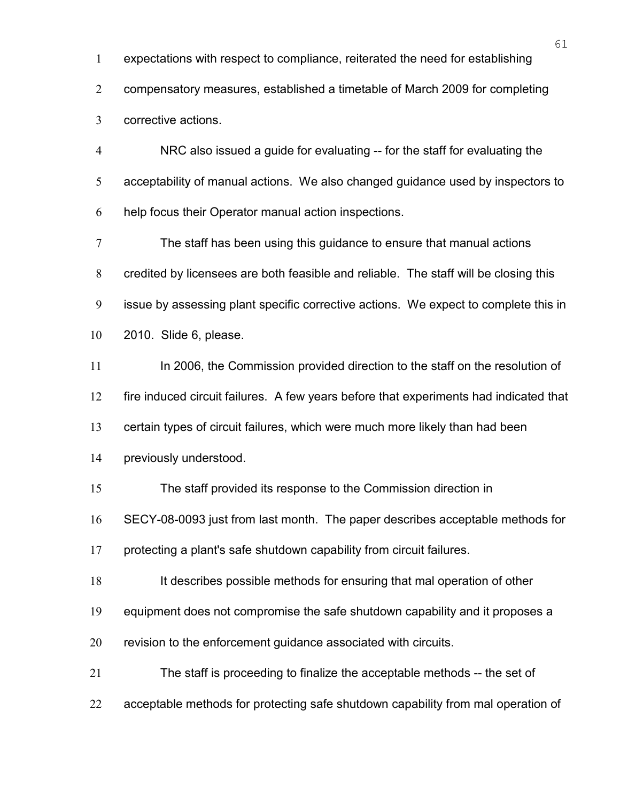expectations with respect to compliance, reiterated the need for establishing

compensatory measures, established a timetable of March 2009 for completing

corrective actions.

NRC also issued a guide for evaluating -- for the staff for evaluating the acceptability of manual actions. We also changed guidance used by inspectors to help focus their Operator manual action inspections.

The staff has been using this guidance to ensure that manual actions credited by licensees are both feasible and reliable. The staff will be closing this issue by assessing plant specific corrective actions. We expect to complete this in 2010. Slide 6, please.

In 2006, the Commission provided direction to the staff on the resolution of

fire induced circuit failures. A few years before that experiments had indicated that

certain types of circuit failures, which were much more likely than had been

previously understood.

The staff provided its response to the Commission direction in

SECY-08-0093 just from last month. The paper describes acceptable methods for

protecting a plant's safe shutdown capability from circuit failures.

It describes possible methods for ensuring that mal operation of other

equipment does not compromise the safe shutdown capability and it proposes a

revision to the enforcement guidance associated with circuits.

The staff is proceeding to finalize the acceptable methods -- the set of

acceptable methods for protecting safe shutdown capability from mal operation of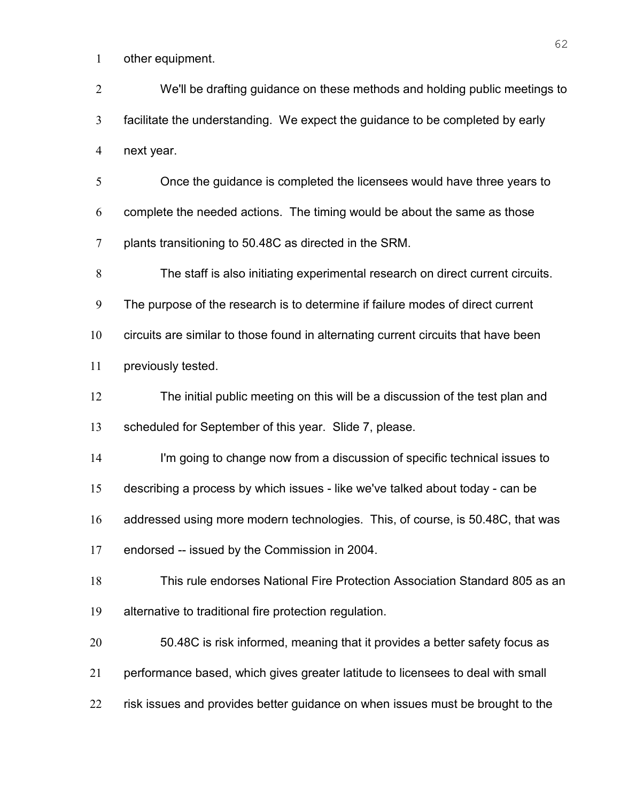other equipment.

We'll be drafting guidance on these methods and holding public meetings to facilitate the understanding. We expect the guidance to be completed by early next year.

Once the guidance is completed the licensees would have three years to complete the needed actions. The timing would be about the same as those plants transitioning to 50.48C as directed in the SRM.

The staff is also initiating experimental research on direct current circuits.

The purpose of the research is to determine if failure modes of direct current

circuits are similar to those found in alternating current circuits that have been

11 previously tested.

The initial public meeting on this will be a discussion of the test plan and

scheduled for September of this year. Slide 7, please.

I'm going to change now from a discussion of specific technical issues to

describing a process by which issues - like we've talked about today - can be

addressed using more modern technologies. This, of course, is 50.48C, that was

endorsed -- issued by the Commission in 2004.

This rule endorses National Fire Protection Association Standard 805 as an alternative to traditional fire protection regulation.

50.48C is risk informed, meaning that it provides a better safety focus as performance based, which gives greater latitude to licensees to deal with small

risk issues and provides better guidance on when issues must be brought to the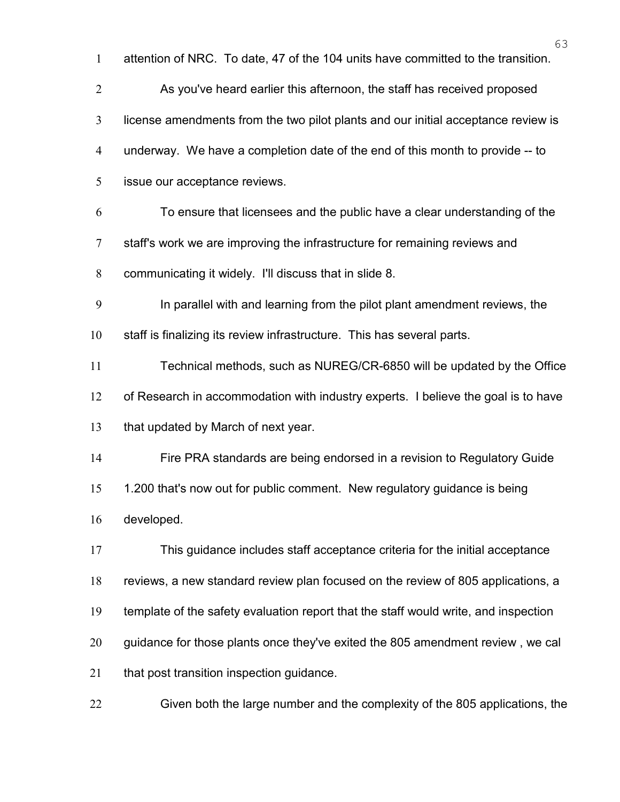|                  | 63                                                                                  |
|------------------|-------------------------------------------------------------------------------------|
| 1                | attention of NRC. To date, 47 of the 104 units have committed to the transition.    |
| $\overline{2}$   | As you've heard earlier this afternoon, the staff has received proposed             |
| $\mathfrak{Z}$   | license amendments from the two pilot plants and our initial acceptance review is   |
| $\overline{4}$   | underway. We have a completion date of the end of this month to provide -- to       |
| 5                | issue our acceptance reviews.                                                       |
| 6                | To ensure that licensees and the public have a clear understanding of the           |
| $\overline{7}$   | staff's work we are improving the infrastructure for remaining reviews and          |
| $8\,$            | communicating it widely. I'll discuss that in slide 8.                              |
| $\boldsymbol{9}$ | In parallel with and learning from the pilot plant amendment reviews, the           |
| 10               | staff is finalizing its review infrastructure. This has several parts.              |
| 11               | Technical methods, such as NUREG/CR-6850 will be updated by the Office              |
| 12               | of Research in accommodation with industry experts. I believe the goal is to have   |
| 13               | that updated by March of next year.                                                 |
| 14               | Fire PRA standards are being endorsed in a revision to Regulatory Guide             |
| 15               | 1.200 that's now out for public comment. New regulatory guidance is being           |
| 16               | developed.                                                                          |
| 17               | This guidance includes staff acceptance criteria for the initial acceptance         |
| 18               | reviews, a new standard review plan focused on the review of 805 applications, a    |
| 19               | template of the safety evaluation report that the staff would write, and inspection |
| 20               | guidance for those plants once they've exited the 805 amendment review, we cal      |
| 21               | that post transition inspection guidance.                                           |
| 22               | Given both the large number and the complexity of the 805 applications, the         |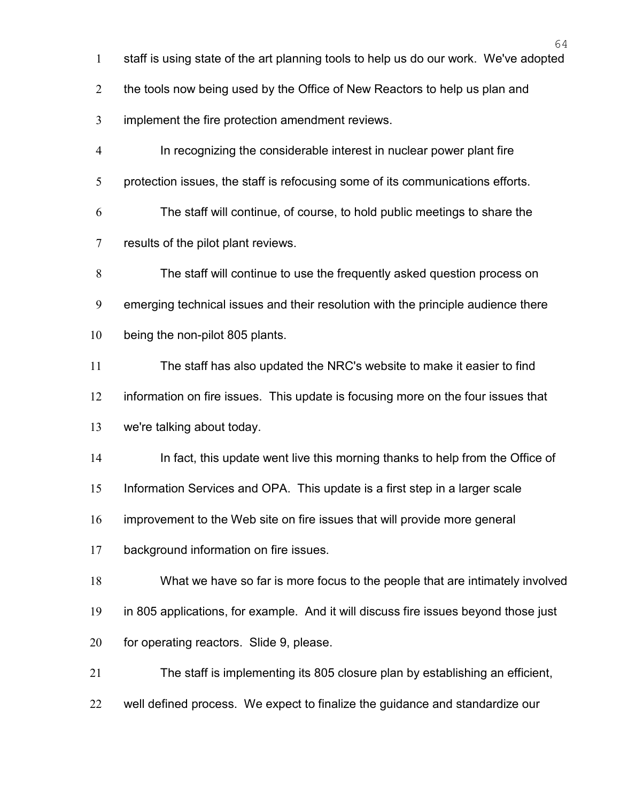- staff is using state of the art planning tools to help us do our work. We've adopted
- 2 the tools now being used by the Office of New Reactors to help us plan and
- implement the fire protection amendment reviews.
- In recognizing the considerable interest in nuclear power plant fire
- 5 protection issues, the staff is refocusing some of its communications efforts.
- The staff will continue, of course, to hold public meetings to share the results of the pilot plant reviews.
- The staff will continue to use the frequently asked question process on emerging technical issues and their resolution with the principle audience there being the non-pilot 805 plants.
- The staff has also updated the NRC's website to make it easier to find
- information on fire issues. This update is focusing more on the four issues that
- we're talking about today.
- In fact, this update went live this morning thanks to help from the Office of
- Information Services and OPA. This update is a first step in a larger scale
- improvement to the Web site on fire issues that will provide more general
- background information on fire issues.
- What we have so far is more focus to the people that are intimately involved
- in 805 applications, for example. And it will discuss fire issues beyond those just
- 20 for operating reactors. Slide 9, please.
- The staff is implementing its 805 closure plan by establishing an efficient,
- well defined process. We expect to finalize the guidance and standardize our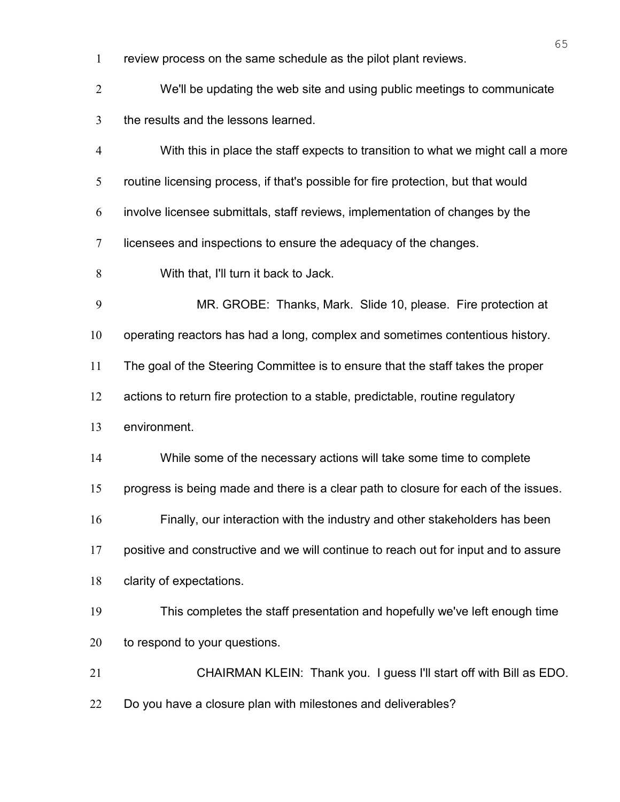- review process on the same schedule as the pilot plant reviews.
- We'll be updating the web site and using public meetings to communicate the results and the lessons learned. With this in place the staff expects to transition to what we might call a more routine licensing process, if that's possible for fire protection, but that would involve licensee submittals, staff reviews, implementation of changes by the licensees and inspections to ensure the adequacy of the changes. With that, I'll turn it back to Jack. MR. GROBE: Thanks, Mark. Slide 10, please. Fire protection at operating reactors has had a long, complex and sometimes contentious history. The goal of the Steering Committee is to ensure that the staff takes the proper actions to return fire protection to a stable, predictable, routine regulatory environment. While some of the necessary actions will take some time to complete progress is being made and there is a clear path to closure for each of the issues. Finally, our interaction with the industry and other stakeholders has been positive and constructive and we will continue to reach out for input and to assure clarity of expectations. This completes the staff presentation and hopefully we've left enough time 20 to respond to your questions. CHAIRMAN KLEIN: Thank you. I guess I'll start off with Bill as EDO. 22 Do you have a closure plan with milestones and deliverables?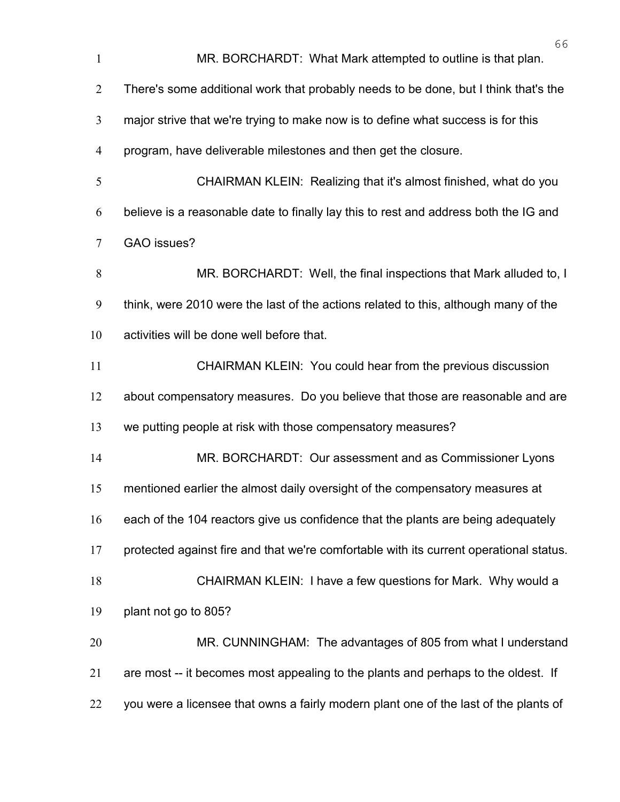| $\mathbf{1}$   | 66<br>MR. BORCHARDT: What Mark attempted to outline is that plan.                      |
|----------------|----------------------------------------------------------------------------------------|
| $\overline{2}$ | There's some additional work that probably needs to be done, but I think that's the    |
| 3              | major strive that we're trying to make now is to define what success is for this       |
| $\overline{4}$ | program, have deliverable milestones and then get the closure.                         |
| 5              | CHAIRMAN KLEIN: Realizing that it's almost finished, what do you                       |
| 6              | believe is a reasonable date to finally lay this to rest and address both the IG and   |
| $\tau$         | GAO issues?                                                                            |
| 8              | MR. BORCHARDT: Well, the final inspections that Mark alluded to, I                     |
| 9              | think, were 2010 were the last of the actions related to this, although many of the    |
| 10             | activities will be done well before that.                                              |
| 11             | CHAIRMAN KLEIN: You could hear from the previous discussion                            |
| 12             | about compensatory measures. Do you believe that those are reasonable and are          |
| 13             | we putting people at risk with those compensatory measures?                            |
| 14             | MR. BORCHARDT: Our assessment and as Commissioner Lyons                                |
| 15             | mentioned earlier the almost daily oversight of the compensatory measures at           |
| 16             | each of the 104 reactors give us confidence that the plants are being adequately       |
| 17             | protected against fire and that we're comfortable with its current operational status. |
| 18             | CHAIRMAN KLEIN: I have a few questions for Mark. Why would a                           |
| 19             | plant not go to 805?                                                                   |
| 20             | MR. CUNNINGHAM: The advantages of 805 from what I understand                           |
| 21             | are most -- it becomes most appealing to the plants and perhaps to the oldest. If      |
| 22             | you were a licensee that owns a fairly modern plant one of the last of the plants of   |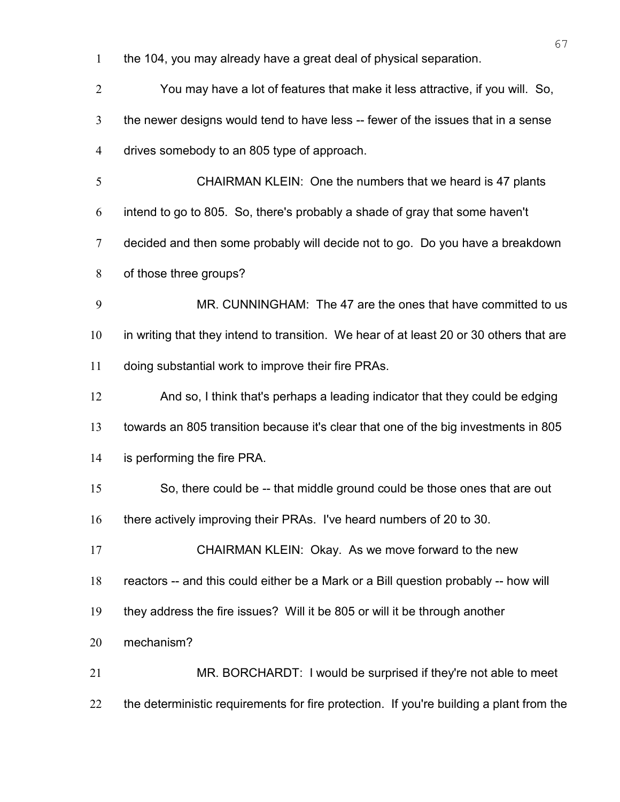the 104, you may already have a great deal of physical separation.

| $\overline{2}$ | You may have a lot of features that make it less attractive, if you will. So,           |
|----------------|-----------------------------------------------------------------------------------------|
| $\mathfrak{Z}$ | the newer designs would tend to have less -- fewer of the issues that in a sense        |
| $\overline{4}$ | drives somebody to an 805 type of approach.                                             |
| 5              | CHAIRMAN KLEIN: One the numbers that we heard is 47 plants                              |
| 6              | intend to go to 805. So, there's probably a shade of gray that some haven't             |
| $\tau$         | decided and then some probably will decide not to go. Do you have a breakdown           |
| 8              | of those three groups?                                                                  |
| 9              | MR. CUNNINGHAM: The 47 are the ones that have committed to us                           |
| 10             | in writing that they intend to transition. We hear of at least 20 or 30 others that are |
| 11             | doing substantial work to improve their fire PRAs.                                      |
| 12             | And so, I think that's perhaps a leading indicator that they could be edging            |
| 13             | towards an 805 transition because it's clear that one of the big investments in 805     |
| 14             | is performing the fire PRA.                                                             |
| 15             | So, there could be -- that middle ground could be those ones that are out               |
| 16             | there actively improving their PRAs. I've heard numbers of 20 to 30.                    |
| 17             | CHAIRMAN KLEIN: Okay. As we move forward to the new                                     |
| 18             | reactors -- and this could either be a Mark or a Bill question probably -- how will     |
| 19             | they address the fire issues? Will it be 805 or will it be through another              |
| 20             | mechanism?                                                                              |
| 21             | MR. BORCHARDT: I would be surprised if they're not able to meet                         |
| 22             | the deterministic requirements for fire protection. If you're building a plant from the |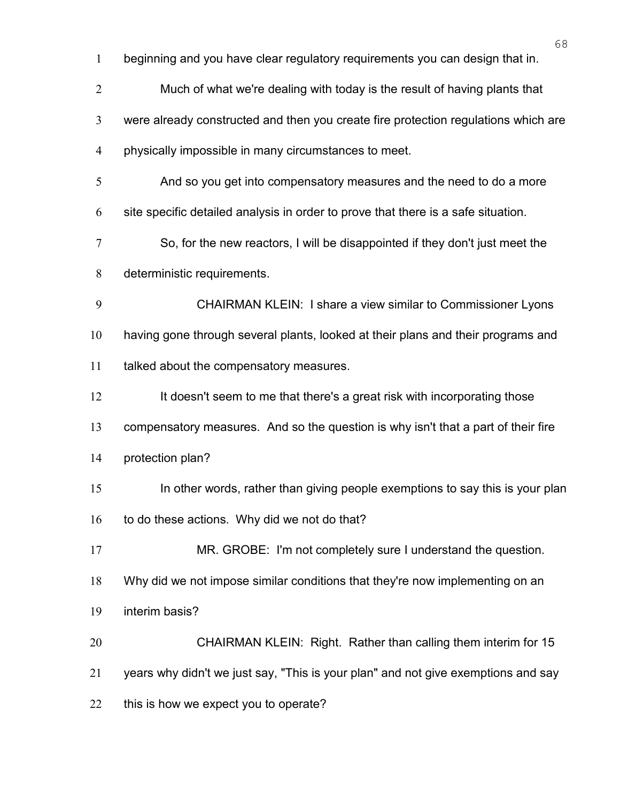|                | 68                                                                                 |
|----------------|------------------------------------------------------------------------------------|
| $\mathbf{1}$   | beginning and you have clear regulatory requirements you can design that in.       |
| $\overline{2}$ | Much of what we're dealing with today is the result of having plants that          |
| 3              | were already constructed and then you create fire protection regulations which are |
| $\overline{4}$ | physically impossible in many circumstances to meet.                               |
| 5              | And so you get into compensatory measures and the need to do a more                |
| 6              | site specific detailed analysis in order to prove that there is a safe situation.  |
| 7              | So, for the new reactors, I will be disappointed if they don't just meet the       |
| 8              | deterministic requirements.                                                        |
| 9              | CHAIRMAN KLEIN: I share a view similar to Commissioner Lyons                       |
| 10             | having gone through several plants, looked at their plans and their programs and   |
| 11             | talked about the compensatory measures.                                            |
| 12             | It doesn't seem to me that there's a great risk with incorporating those           |
| 13             | compensatory measures. And so the question is why isn't that a part of their fire  |
| 14             | protection plan?                                                                   |
| 15             | In other words, rather than giving people exemptions to say this is your plan      |
| 16             | to do these actions. Why did we not do that?                                       |
| 17             | MR. GROBE: I'm not completely sure I understand the question.                      |
| 18             | Why did we not impose similar conditions that they're now implementing on an       |
| 19             | interim basis?                                                                     |
| 20             | CHAIRMAN KLEIN: Right. Rather than calling them interim for 15                     |
| 21             | years why didn't we just say, "This is your plan" and not give exemptions and say  |
| 22             | this is how we expect you to operate?                                              |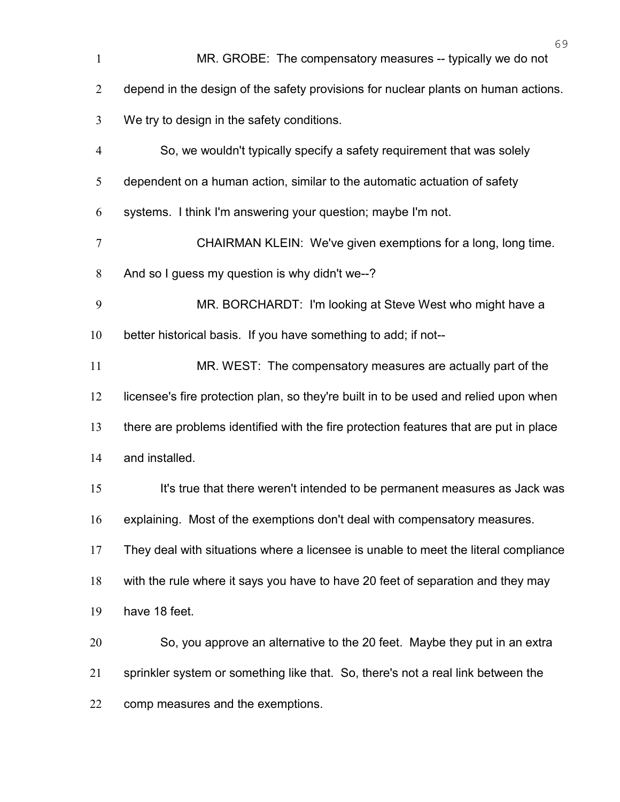| $\mathbf{1}$     | MR. GROBE: The compensatory measures -- typically we do not                           |
|------------------|---------------------------------------------------------------------------------------|
| $\overline{2}$   | depend in the design of the safety provisions for nuclear plants on human actions.    |
| 3                | We try to design in the safety conditions.                                            |
| $\overline{4}$   | So, we wouldn't typically specify a safety requirement that was solely                |
| 5                | dependent on a human action, similar to the automatic actuation of safety             |
| 6                | systems. I think I'm answering your question; maybe I'm not.                          |
| $\boldsymbol{7}$ | CHAIRMAN KLEIN: We've given exemptions for a long, long time.                         |
| $8\,$            | And so I guess my question is why didn't we--?                                        |
| 9                | MR. BORCHARDT: I'm looking at Steve West who might have a                             |
| 10               | better historical basis. If you have something to add; if not--                       |
| 11               | MR. WEST: The compensatory measures are actually part of the                          |
| 12               | licensee's fire protection plan, so they're built in to be used and relied upon when  |
| 13               | there are problems identified with the fire protection features that are put in place |
| 14               | and installed.                                                                        |
| 15               | It's true that there weren't intended to be permanent measures as Jack was            |
| 16               | explaining. Most of the exemptions don't deal with compensatory measures.             |
| 17               | They deal with situations where a licensee is unable to meet the literal compliance   |
| 18               | with the rule where it says you have to have 20 feet of separation and they may       |
| 19               | have 18 feet.                                                                         |
| 20               | So, you approve an alternative to the 20 feet. Maybe they put in an extra             |
| 21               | sprinkler system or something like that. So, there's not a real link between the      |
| 22               | comp measures and the exemptions.                                                     |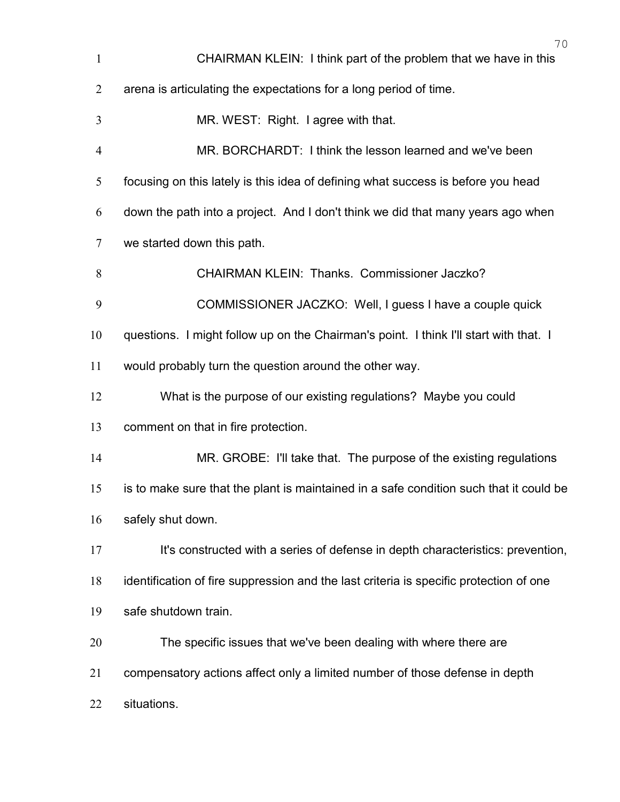| $\mathbf{1}$   | 70<br>CHAIRMAN KLEIN: I think part of the problem that we have in this                 |
|----------------|----------------------------------------------------------------------------------------|
| $\overline{2}$ | arena is articulating the expectations for a long period of time.                      |
| 3              | MR. WEST: Right. I agree with that.                                                    |
| $\overline{4}$ | MR. BORCHARDT: I think the lesson learned and we've been                               |
| 5              | focusing on this lately is this idea of defining what success is before you head       |
| 6              | down the path into a project. And I don't think we did that many years ago when        |
| 7              | we started down this path.                                                             |
| 8              | <b>CHAIRMAN KLEIN: Thanks. Commissioner Jaczko?</b>                                    |
| 9              | COMMISSIONER JACZKO: Well, I guess I have a couple quick                               |
| 10             | questions. I might follow up on the Chairman's point. I think I'll start with that. I  |
| 11             | would probably turn the question around the other way.                                 |
| 12             | What is the purpose of our existing regulations? Maybe you could                       |
| 13             | comment on that in fire protection.                                                    |
| 14             | MR. GROBE: I'll take that. The purpose of the existing regulations                     |
| 15             | is to make sure that the plant is maintained in a safe condition such that it could be |
| 16             | safely shut down.                                                                      |
| 17             | It's constructed with a series of defense in depth characteristics: prevention,        |
| 18             | identification of fire suppression and the last criteria is specific protection of one |
| 19             | safe shutdown train.                                                                   |
| 20             | The specific issues that we've been dealing with where there are                       |
| 21             | compensatory actions affect only a limited number of those defense in depth            |
| 22             | situations.                                                                            |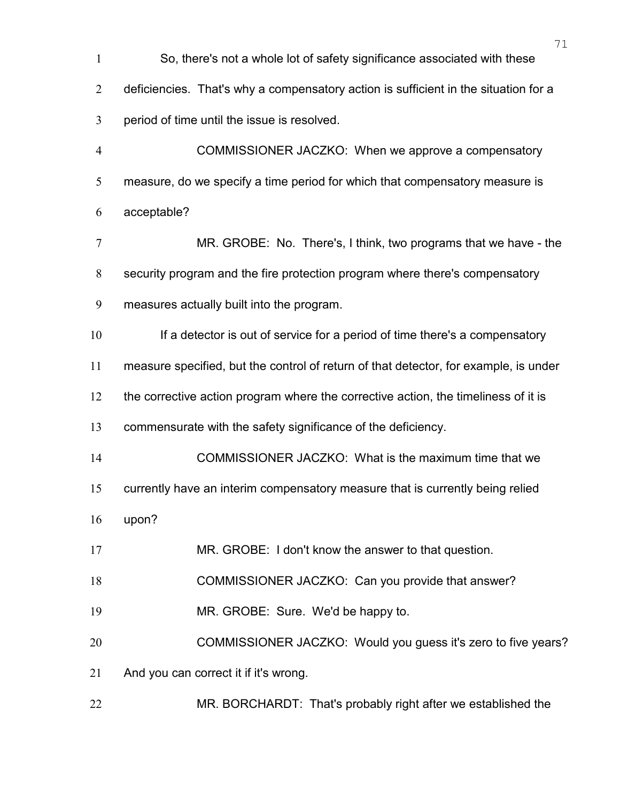| 1              | So, there's not a whole lot of safety significance associated with these             |
|----------------|--------------------------------------------------------------------------------------|
| $\overline{2}$ | deficiencies. That's why a compensatory action is sufficient in the situation for a  |
| 3              | period of time until the issue is resolved.                                          |
| $\overline{4}$ | COMMISSIONER JACZKO: When we approve a compensatory                                  |
| 5              | measure, do we specify a time period for which that compensatory measure is          |
| 6              | acceptable?                                                                          |
| $\tau$         | MR. GROBE: No. There's, I think, two programs that we have - the                     |
| $8\,$          | security program and the fire protection program where there's compensatory          |
| 9              | measures actually built into the program.                                            |
| 10             | If a detector is out of service for a period of time there's a compensatory          |
| 11             | measure specified, but the control of return of that detector, for example, is under |
| 12             | the corrective action program where the corrective action, the timeliness of it is   |
| 13             | commensurate with the safety significance of the deficiency.                         |
| 14             | COMMISSIONER JACZKO: What is the maximum time that we                                |
| 15             | currently have an interim compensatory measure that is currently being relied        |
| 16             | upon?                                                                                |
| 17             | MR. GROBE: I don't know the answer to that question.                                 |
| 18             | COMMISSIONER JACZKO: Can you provide that answer?                                    |
| 19             | MR. GROBE: Sure. We'd be happy to.                                                   |
| 20             | COMMISSIONER JACZKO: Would you guess it's zero to five years?                        |
| 21             | And you can correct it if it's wrong.                                                |
| 22             | MR. BORCHARDT: That's probably right after we established the                        |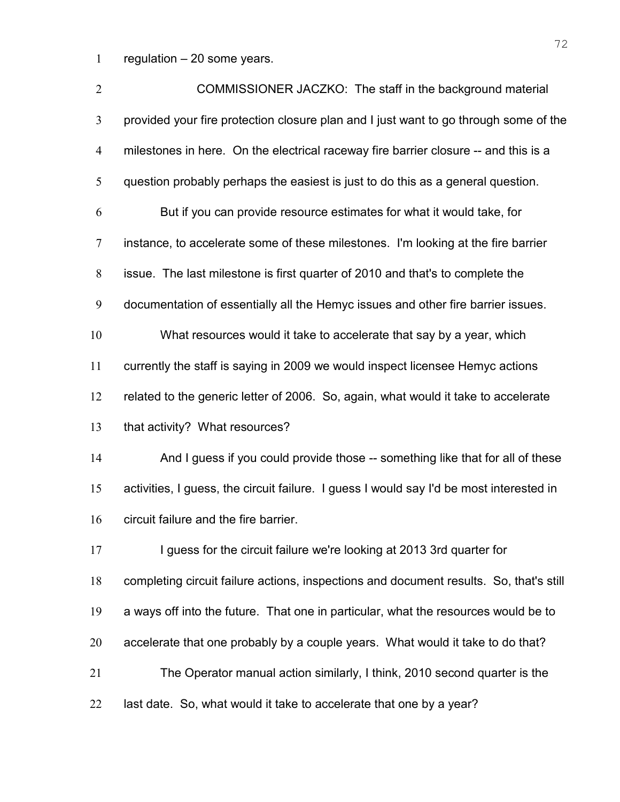regulation – 20 some years.

| $\overline{2}$   | COMMISSIONER JACZKO: The staff in the background material                               |
|------------------|-----------------------------------------------------------------------------------------|
| 3                | provided your fire protection closure plan and I just want to go through some of the    |
| $\overline{4}$   | milestones in here. On the electrical raceway fire barrier closure -- and this is a     |
| 5                | question probably perhaps the easiest is just to do this as a general question.         |
| 6                | But if you can provide resource estimates for what it would take, for                   |
| $\boldsymbol{7}$ | instance, to accelerate some of these milestones. I'm looking at the fire barrier       |
| $8\,$            | issue. The last milestone is first quarter of 2010 and that's to complete the           |
| 9                | documentation of essentially all the Hemyc issues and other fire barrier issues.        |
| 10               | What resources would it take to accelerate that say by a year, which                    |
| 11               | currently the staff is saying in 2009 we would inspect licensee Hemyc actions           |
| 12               | related to the generic letter of 2006. So, again, what would it take to accelerate      |
| 13               | that activity? What resources?                                                          |
| 14               | And I guess if you could provide those -- something like that for all of these          |
| 15               | activities, I guess, the circuit failure. I guess I would say I'd be most interested in |
| 16               | circuit failure and the fire barrier.                                                   |
| 17               | I guess for the circuit failure we're looking at 2013 3rd quarter for                   |
| 18               | completing circuit failure actions, inspections and document results. So, that's still  |
| 19               | a ways off into the future. That one in particular, what the resources would be to      |
| 20               | accelerate that one probably by a couple years. What would it take to do that?          |
| 21               | The Operator manual action similarly, I think, 2010 second quarter is the               |
| 22               | last date. So, what would it take to accelerate that one by a year?                     |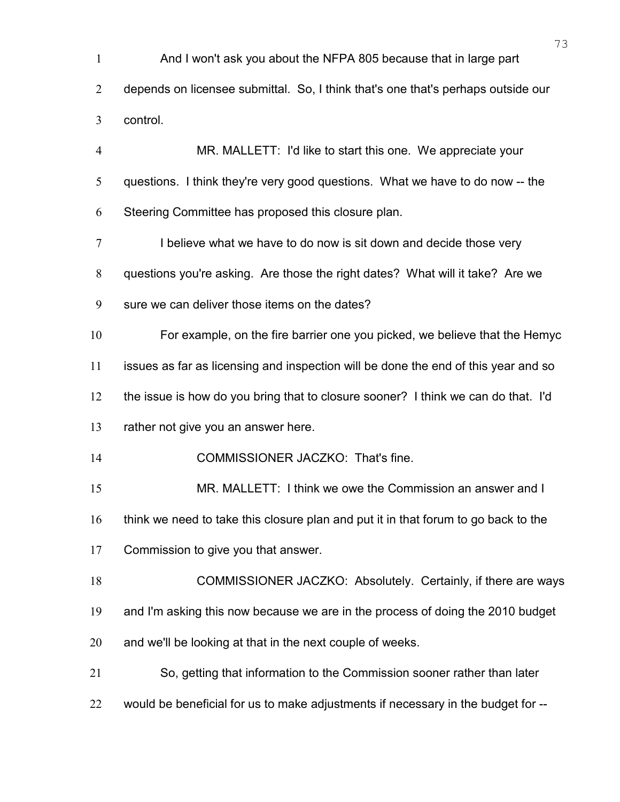| $\mathbf{1}$   | And I won't ask you about the NFPA 805 because that in large part                  |
|----------------|------------------------------------------------------------------------------------|
| $\overline{2}$ | depends on licensee submittal. So, I think that's one that's perhaps outside our   |
| 3              | control.                                                                           |
| $\overline{4}$ | MR. MALLETT: I'd like to start this one. We appreciate your                        |
| 5              | questions. I think they're very good questions. What we have to do now -- the      |
| 6              | Steering Committee has proposed this closure plan.                                 |
| 7              | I believe what we have to do now is sit down and decide those very                 |
| 8              | questions you're asking. Are those the right dates? What will it take? Are we      |
| 9              | sure we can deliver those items on the dates?                                      |
| 10             | For example, on the fire barrier one you picked, we believe that the Hemyc         |
| 11             | issues as far as licensing and inspection will be done the end of this year and so |
| 12             | the issue is how do you bring that to closure sooner? I think we can do that. I'd  |
| 13             | rather not give you an answer here.                                                |
| 14             | COMMISSIONER JACZKO: That's fine.                                                  |
| 15             | MR. MALLETT: I think we owe the Commission an answer and I                         |
| 16             | think we need to take this closure plan and put it in that forum to go back to the |
| 17             | Commission to give you that answer.                                                |
| 18             | COMMISSIONER JACZKO: Absolutely. Certainly, if there are ways                      |
| 19             | and I'm asking this now because we are in the process of doing the 2010 budget     |
| 20             | and we'll be looking at that in the next couple of weeks.                          |
| 21             | So, getting that information to the Commission sooner rather than later            |
| 22             | would be beneficial for us to make adjustments if necessary in the budget for --   |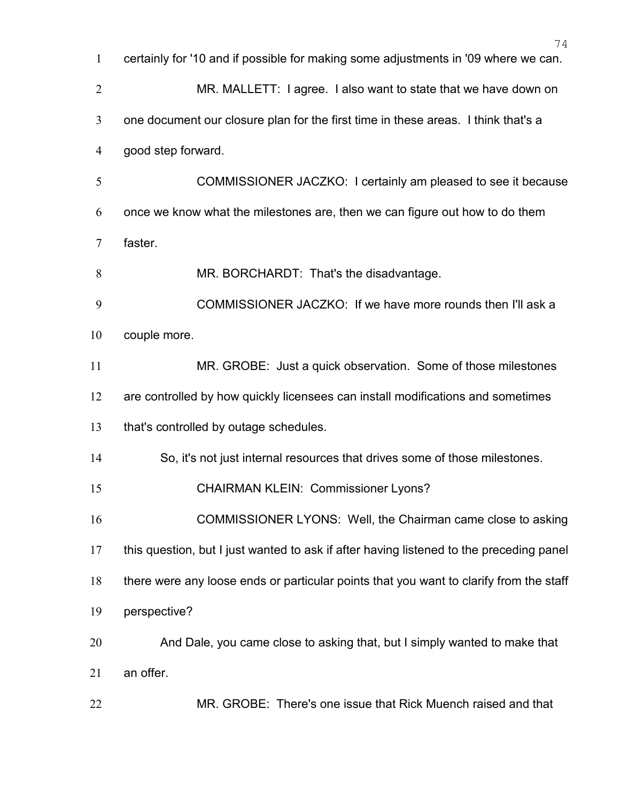|                | 74                                                                                      |
|----------------|-----------------------------------------------------------------------------------------|
| $\mathbf{1}$   | certainly for '10 and if possible for making some adjustments in '09 where we can.      |
| $\overline{2}$ | MR. MALLETT: I agree. I also want to state that we have down on                         |
| $\overline{3}$ | one document our closure plan for the first time in these areas. I think that's a       |
| $\overline{4}$ | good step forward.                                                                      |
| 5              | COMMISSIONER JACZKO: I certainly am pleased to see it because                           |
| 6              | once we know what the milestones are, then we can figure out how to do them             |
| $\overline{7}$ | faster.                                                                                 |
| 8              | MR. BORCHARDT: That's the disadvantage.                                                 |
| 9              | COMMISSIONER JACZKO: If we have more rounds then I'll ask a                             |
| 10             | couple more.                                                                            |
| 11             | MR. GROBE: Just a quick observation. Some of those milestones                           |
| 12             | are controlled by how quickly licensees can install modifications and sometimes         |
| 13             | that's controlled by outage schedules.                                                  |
| 14             | So, it's not just internal resources that drives some of those milestones.              |
| 15             | <b>CHAIRMAN KLEIN: Commissioner Lyons?</b>                                              |
| 16             | COMMISSIONER LYONS: Well, the Chairman came close to asking                             |
| 17             | this question, but I just wanted to ask if after having listened to the preceding panel |
| 18             | there were any loose ends or particular points that you want to clarify from the staff  |
| 19             | perspective?                                                                            |
| 20             | And Dale, you came close to asking that, but I simply wanted to make that               |
| 21             | an offer.                                                                               |
| 22             | MR. GROBE: There's one issue that Rick Muench raised and that                           |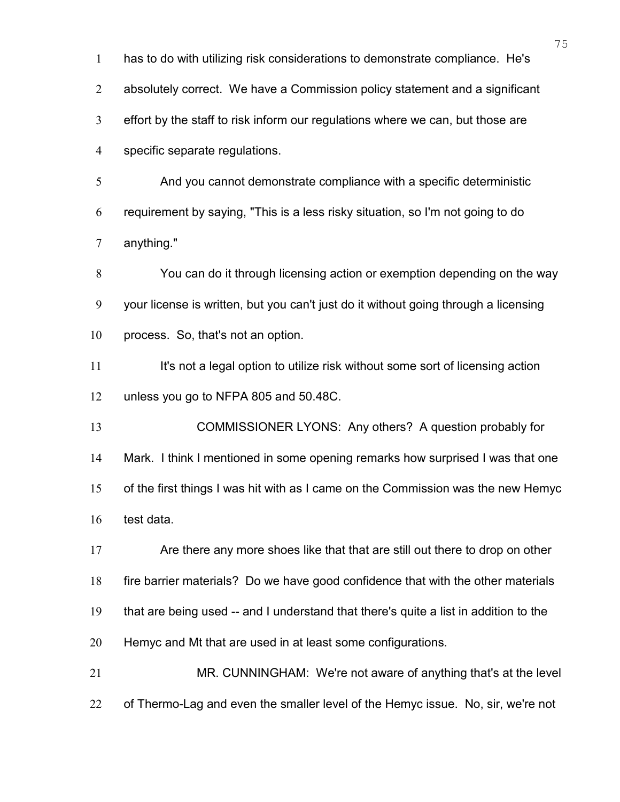has to do with utilizing risk considerations to demonstrate compliance. He's absolutely correct. We have a Commission policy statement and a significant effort by the staff to risk inform our regulations where we can, but those are specific separate regulations. And you cannot demonstrate compliance with a specific deterministic requirement by saying, "This is a less risky situation, so I'm not going to do anything." You can do it through licensing action or exemption depending on the way your license is written, but you can't just do it without going through a licensing process. So, that's not an option. 11 It's not a legal option to utilize risk without some sort of licensing action unless you go to NFPA 805 and 50.48C. COMMISSIONER LYONS: Any others? A question probably for Mark. I think I mentioned in some opening remarks how surprised I was that one of the first things I was hit with as I came on the Commission was the new Hemyc test data. Are there any more shoes like that that are still out there to drop on other fire barrier materials? Do we have good confidence that with the other materials that are being used -- and I understand that there's quite a list in addition to the Hemyc and Mt that are used in at least some configurations. MR. CUNNINGHAM: We're not aware of anything that's at the level 22 of Thermo-Lag and even the smaller level of the Hemyc issue. No, sir, we're not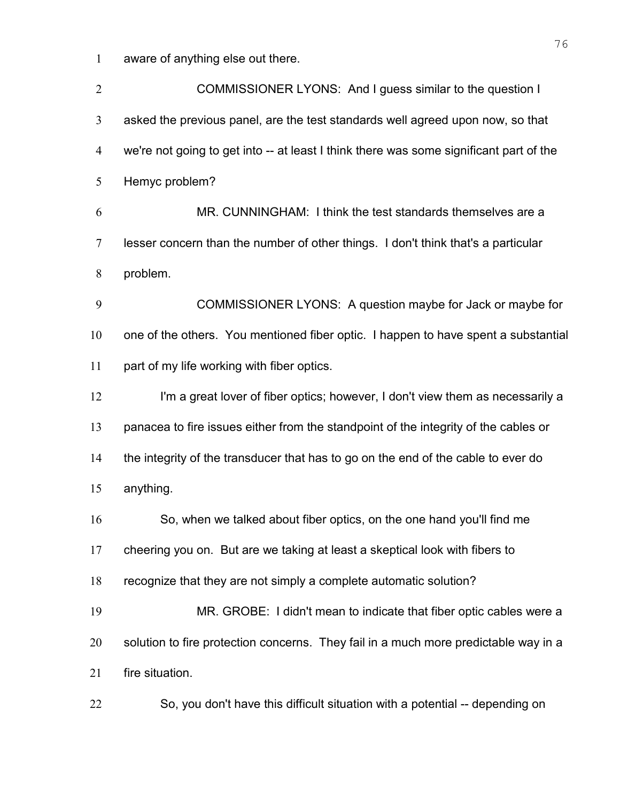aware of anything else out there.

| $\overline{2}$ | COMMISSIONER LYONS: And I guess similar to the question I                              |
|----------------|----------------------------------------------------------------------------------------|
| $\mathfrak{Z}$ | asked the previous panel, are the test standards well agreed upon now, so that         |
| 4              | we're not going to get into -- at least I think there was some significant part of the |
| 5              | Hemyc problem?                                                                         |
| 6              | MR. CUNNINGHAM: I think the test standards themselves are a                            |
| $\overline{7}$ | lesser concern than the number of other things. I don't think that's a particular      |
| 8              | problem.                                                                               |
| 9              | COMMISSIONER LYONS: A question maybe for Jack or maybe for                             |
| 10             | one of the others. You mentioned fiber optic. I happen to have spent a substantial     |
| 11             | part of my life working with fiber optics.                                             |
| 12             | I'm a great lover of fiber optics; however, I don't view them as necessarily a         |
| 13             | panacea to fire issues either from the standpoint of the integrity of the cables or    |
| 14             | the integrity of the transducer that has to go on the end of the cable to ever do      |
| 15             | anything.                                                                              |
| 16             | So, when we talked about fiber optics, on the one hand you'll find me                  |
| 17             | cheering you on. But are we taking at least a skeptical look with fibers to            |
| 18             | recognize that they are not simply a complete automatic solution?                      |
| 19             | MR. GROBE: I didn't mean to indicate that fiber optic cables were a                    |
| 20             | solution to fire protection concerns. They fail in a much more predictable way in a    |
| 21             | fire situation.                                                                        |
| 22             | So, you don't have this difficult situation with a potential -- depending on           |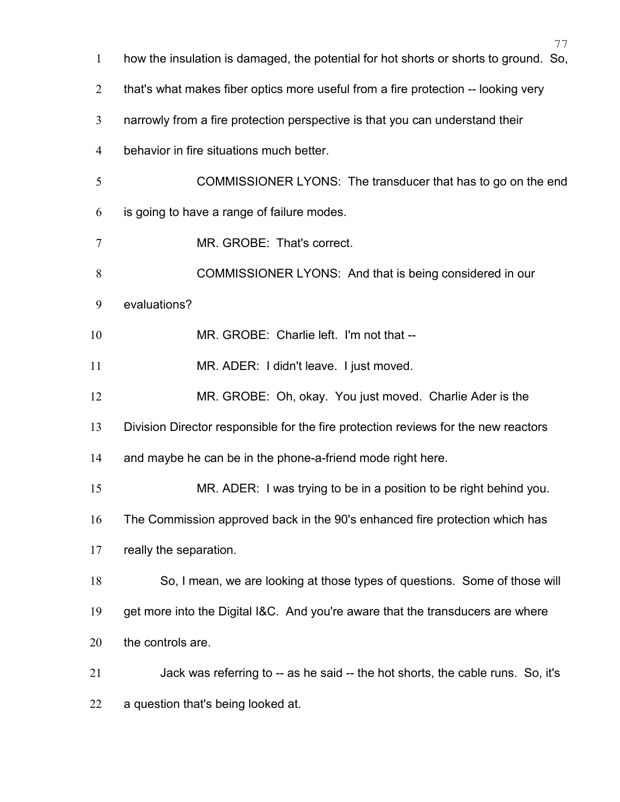| $\mathbf{1}$   | $\left  \right $<br>how the insulation is damaged, the potential for hot shorts or shorts to ground. So, |
|----------------|----------------------------------------------------------------------------------------------------------|
| $\overline{2}$ | that's what makes fiber optics more useful from a fire protection -- looking very                        |
| 3              | narrowly from a fire protection perspective is that you can understand their                             |
| 4              | behavior in fire situations much better.                                                                 |
| $\mathfrak{S}$ | COMMISSIONER LYONS: The transducer that has to go on the end                                             |
| 6              | is going to have a range of failure modes.                                                               |
| $\tau$         | MR. GROBE: That's correct.                                                                               |
| 8              | COMMISSIONER LYONS: And that is being considered in our                                                  |
| 9              | evaluations?                                                                                             |
| 10             | MR. GROBE: Charlie left. I'm not that --                                                                 |
| 11             | MR. ADER: I didn't leave. I just moved.                                                                  |
| 12             | MR. GROBE: Oh, okay. You just moved. Charlie Ader is the                                                 |
| 13             | Division Director responsible for the fire protection reviews for the new reactors                       |
| 14             | and maybe he can be in the phone-a-friend mode right here.                                               |
| 15             | MR. ADER: I was trying to be in a position to be right behind you.                                       |
| 16             | The Commission approved back in the 90's enhanced fire protection which has                              |
| 17             | really the separation.                                                                                   |
| 18             | So, I mean, we are looking at those types of questions. Some of those will                               |
| 19             | get more into the Digital I&C. And you're aware that the transducers are where                           |
| 20             | the controls are.                                                                                        |
| 21             | Jack was referring to -- as he said -- the hot shorts, the cable runs. So, it's                          |

a question that's being looked at.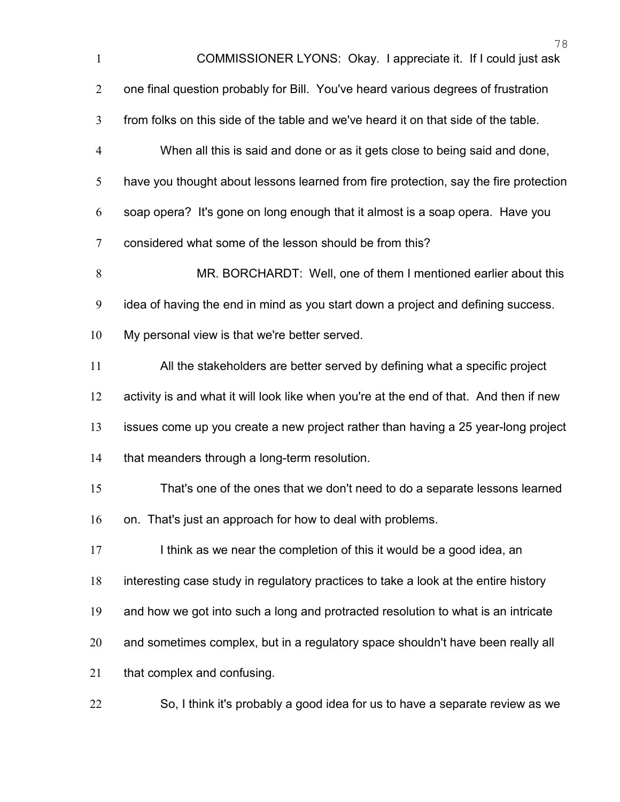|                | 78                                                                                     |
|----------------|----------------------------------------------------------------------------------------|
| $\mathbf{1}$   | COMMISSIONER LYONS: Okay. I appreciate it. If I could just ask                         |
| $\overline{2}$ | one final question probably for Bill. You've heard various degrees of frustration      |
| 3              | from folks on this side of the table and we've heard it on that side of the table.     |
| $\overline{4}$ | When all this is said and done or as it gets close to being said and done,             |
| 5              | have you thought about lessons learned from fire protection, say the fire protection   |
| 6              | soap opera? It's gone on long enough that it almost is a soap opera. Have you          |
| $\overline{7}$ | considered what some of the lesson should be from this?                                |
| 8              | MR. BORCHARDT: Well, one of them I mentioned earlier about this                        |
| 9              | idea of having the end in mind as you start down a project and defining success.       |
| 10             | My personal view is that we're better served.                                          |
| 11             | All the stakeholders are better served by defining what a specific project             |
| 12             | activity is and what it will look like when you're at the end of that. And then if new |
| 13             | issues come up you create a new project rather than having a 25 year-long project      |
| 14             | that meanders through a long-term resolution.                                          |
| 15             | That's one of the ones that we don't need to do a separate lessons learned             |
| 16             | on. That's just an approach for how to deal with problems.                             |
| 17             | I think as we near the completion of this it would be a good idea, an                  |
| 18             | interesting case study in regulatory practices to take a look at the entire history    |
| 19             | and how we got into such a long and protracted resolution to what is an intricate      |
| 20             | and sometimes complex, but in a regulatory space shouldn't have been really all        |
| 21             | that complex and confusing.                                                            |
| 22             | So, I think it's probably a good idea for us to have a separate review as we           |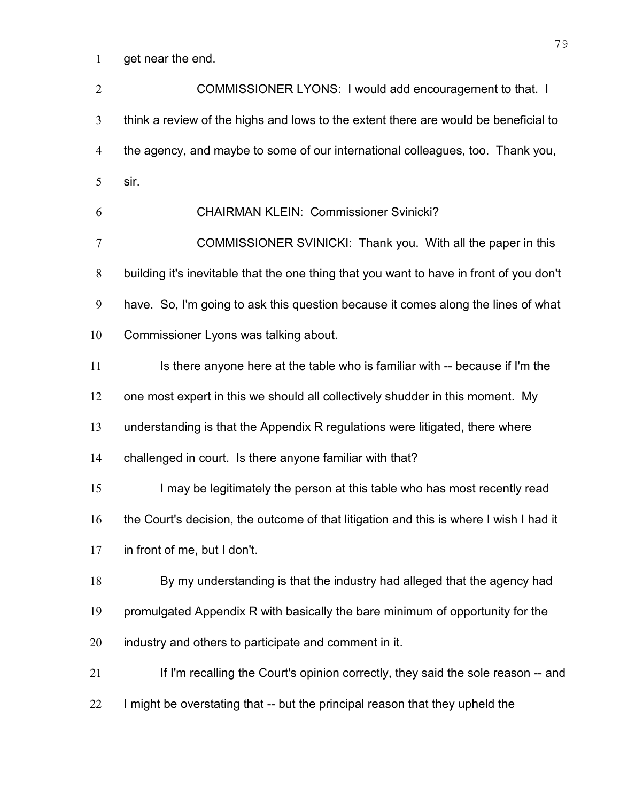get near the end.

COMMISSIONER LYONS: I would add encouragement to that. I think a review of the highs and lows to the extent there are would be beneficial to the agency, and maybe to some of our international colleagues, too. Thank you, sir. CHAIRMAN KLEIN: Commissioner Svinicki? COMMISSIONER SVINICKI: Thank you. With all the paper in this building it's inevitable that the one thing that you want to have in front of you don't have. So, I'm going to ask this question because it comes along the lines of what Commissioner Lyons was talking about. 11 Is there anyone here at the table who is familiar with -- because if I'm the one most expert in this we should all collectively shudder in this moment. My understanding is that the Appendix R regulations were litigated, there where challenged in court. Is there anyone familiar with that? I may be legitimately the person at this table who has most recently read the Court's decision, the outcome of that litigation and this is where I wish I had it in front of me, but I don't. By my understanding is that the industry had alleged that the agency had promulgated Appendix R with basically the bare minimum of opportunity for the industry and others to participate and comment in it. If I'm recalling the Court's opinion correctly, they said the sole reason -- and 22 I might be overstating that -- but the principal reason that they upheld the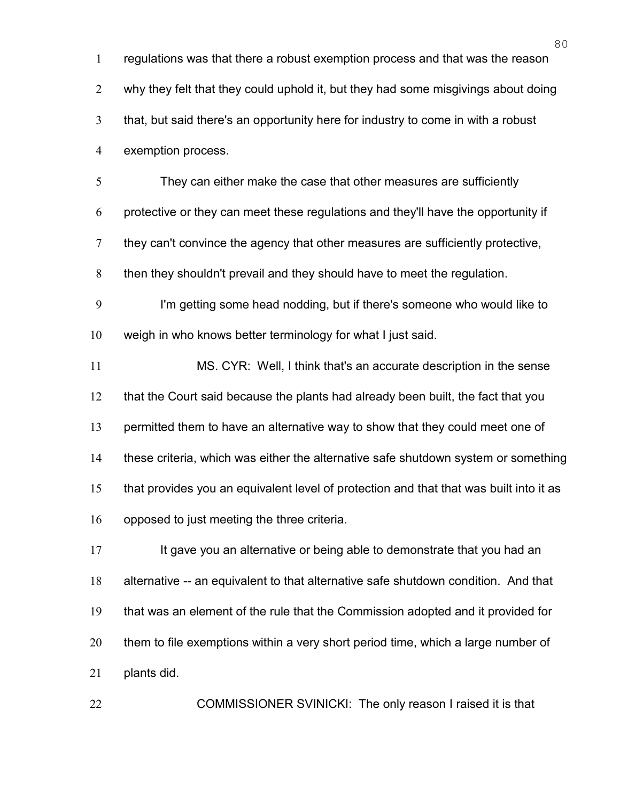regulations was that there a robust exemption process and that was the reason why they felt that they could uphold it, but they had some misgivings about doing that, but said there's an opportunity here for industry to come in with a robust exemption process.

They can either make the case that other measures are sufficiently protective or they can meet these regulations and they'll have the opportunity if they can't convince the agency that other measures are sufficiently protective, then they shouldn't prevail and they should have to meet the regulation.

I'm getting some head nodding, but if there's someone who would like to weigh in who knows better terminology for what I just said.

MS. CYR: Well, I think that's an accurate description in the sense that the Court said because the plants had already been built, the fact that you 13 permitted them to have an alternative way to show that they could meet one of these criteria, which was either the alternative safe shutdown system or something that provides you an equivalent level of protection and that that was built into it as opposed to just meeting the three criteria.

17 It gave you an alternative or being able to demonstrate that you had an alternative -- an equivalent to that alternative safe shutdown condition. And that that was an element of the rule that the Commission adopted and it provided for them to file exemptions within a very short period time, which a large number of plants did.

22 COMMISSIONER SVINICKI: The only reason I raised it is that